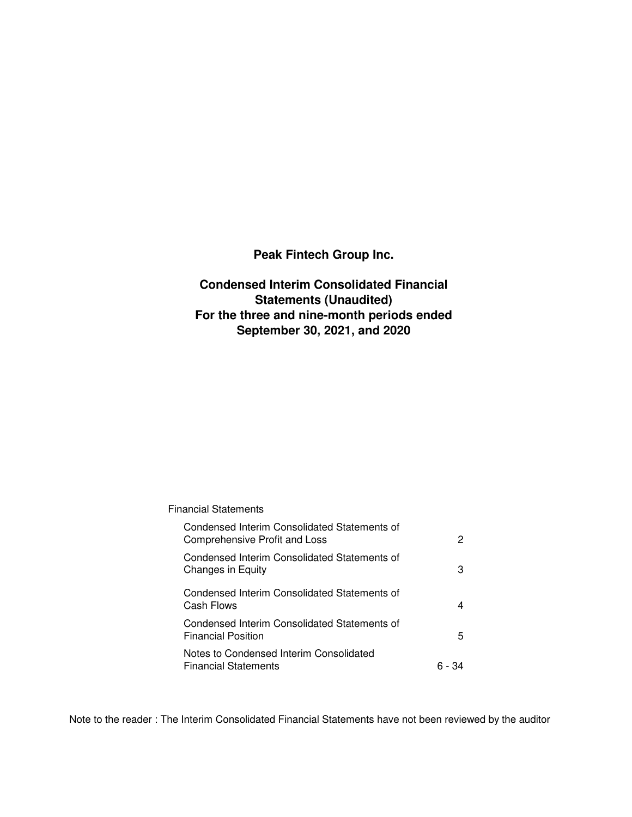**Peak Fintech Group Inc.**

**Condensed Interim Consolidated Financial Statements (Unaudited) For the three and nine-month periods ended September 30, 2021, and 2020**

## Financial Statements

| Condensed Interim Consolidated Statements of<br>Comprehensive Profit and Loss | 2      |
|-------------------------------------------------------------------------------|--------|
| Condensed Interim Consolidated Statements of<br>Changes in Equity             | 3      |
| Condensed Interim Consolidated Statements of<br>Cash Flows                    | 4      |
| Condensed Interim Consolidated Statements of<br><b>Financial Position</b>     | 5.     |
| Notes to Condensed Interim Consolidated<br><b>Financial Statements</b>        | 6 - 34 |

Note to the reader : The Interim Consolidated Financial Statements have not been reviewed by the auditor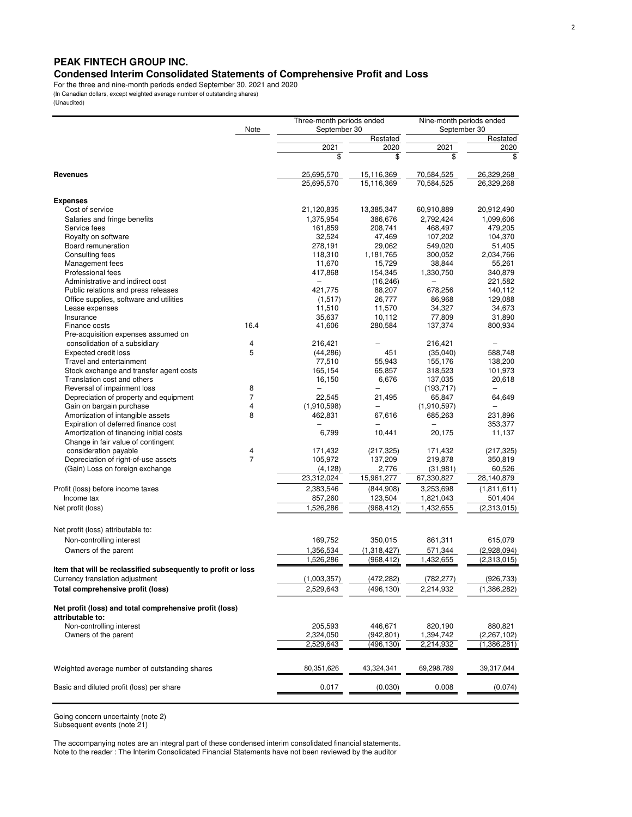## **PEAK FINTECH GROUP INC.**

**Condensed Interim Consolidated Statements of Comprehensive Profit and Loss**

For the three and nine-month periods ended September 30, 2021 and 2020

(In Canadian dollars, except weighted average number of outstanding shares)

| (Unaudited) |
|-------------|
|-------------|

| Note<br>September 30<br>September 30<br>Restated<br>2021<br>2021<br>2020<br>\$<br>\$.<br>\$<br>25,695,570<br>15,116,369<br>70,584,525<br>26,329,268<br><b>Revenues</b><br>25,695,570<br>15.116.369<br>70,584,525<br>26,329,268<br><b>Expenses</b><br>20,912,490<br>Cost of service<br>21,120,835<br>13,385,347<br>60,910,889<br>2,792,424<br>Salaries and fringe benefits<br>1,375,954<br>386,676<br>1,099,606<br>Service fees<br>161,859<br>208,741<br>468,497<br>479,205<br>104,370<br>Royalty on software<br>32,524<br>47,469<br>107,202<br>Board remuneration<br>29,062<br>549,020<br>278,191<br>51,405<br>300.052<br>Consulting fees<br>118,310<br>1,181,765<br>2,034,766<br>Management fees<br>11,670<br>38,844<br>15,729<br>55,261<br>Professional fees<br>154,345<br>340,879<br>417,868<br>1,330,750<br>Administrative and indirect cost<br>221,582<br>$\overline{\phantom{0}}$<br>(16, 246)<br>421,775<br>678,256<br>Public relations and press releases<br>88,207<br>140,112<br>Office supplies, software and utilities<br>(1,517)<br>26,777<br>86,968<br>129,088<br>11,570<br>34,327<br>34,673<br>Lease expenses<br>11,510<br>35,637<br>10,112<br>77,809<br>31,890<br>Insurance<br>16.4<br>41,606<br>280,584<br>137,374<br>800,934<br>Finance costs<br>Pre-acquisition expenses assumed on<br>consolidation of a subsidiary<br>216,421<br>4<br>216,421<br>5<br><b>Expected credit loss</b><br>(44, 286)<br>451<br>(35,040)<br>588,748<br>77,510<br>55,943<br>155,176<br>138,200<br>Travel and entertainment<br>318,523<br>Stock exchange and transfer agent costs<br>165,154<br>65,857<br>101,973<br>137,035<br>Translation cost and others<br>16,150<br>6,676<br>20,618<br>Reversal of impairment loss<br>8<br>(193, 717)<br>$\overline{\phantom{0}}$<br>$\overline{\phantom{0}}$<br>$\overline{7}$<br>Depreciation of property and equipment<br>22.545<br>65,847<br>21,495<br>64,649<br>Gain on bargain purchase<br>4<br>(1,910,598)<br>(1,910,597)<br>$\overline{\phantom{m}}$<br>Amortization of intangible assets<br>8<br>462,831<br>67,616<br>685,263<br>231,896<br>Expiration of deferred finance cost<br>353,377<br>Amortization of financing initial costs<br>6,799<br>20,175<br>10,441<br>11,137<br>Change in fair value of contingent<br>consideration payable<br>4<br>171,432<br>(217, 325)<br>171,432<br>(217, 325)<br>Depreciation of right-of-use assets<br>$\overline{7}$<br>105,972<br>219,878<br>137,209<br>350,819<br>(Gain) Loss on foreign exchange<br>60,526<br>(4, 128)<br>2,776<br>(31, 981)<br>23,312,024<br>15,961,277<br>67,330,827<br>28,140,879<br>3,253,698<br>2,383,546<br>(844,908)<br>Profit (loss) before income taxes<br>Income tax<br>123,504<br>1,821,043<br>857,260<br>501,404<br>1,526,286<br>(968, 412)<br>1,432,655<br>Net profit (loss)<br>Net profit (loss) attributable to:<br>Non-controlling interest<br>169,752<br>350,015<br>861,311<br>615,079<br>1,356,534<br>(2,928,094)<br>Owners of the parent<br>(1,318,427)<br>571,344<br>1,526,286<br>(968, 412)<br>1,432,655<br>(2,313,015)<br>Item that will be reclassified subsequently to profit or loss<br>Currency translation adjustment<br>(1,003,357)<br>(472, 282)<br>(782, 277)<br>(926, 733)<br>Total comprehensive profit (loss)<br>2,529,643<br>(496, 130)<br>2,214,932<br>(1,386,282)<br>Net profit (loss) and total comprehensive profit (loss)<br>attributable to:<br>Non-controlling interest<br>205,593<br>446,671<br>820,190<br>880,821<br>Owners of the parent<br>2,324,050<br>(942, 801)<br>1,394,742<br>(2,267,102)<br>2,214,932<br>2,529,643<br>(496,130)<br>(1,386,281)<br>80,351,626<br>43,324,341<br>69,298,789<br>39,317,044<br>Weighted average number of outstanding shares<br>Basic and diluted profit (loss) per share<br>0.017<br>(0.030)<br>0.008<br>(0.074) |  | Three-month periods ended | Nine-month periods ended |             |  |
|----------------------------------------------------------------------------------------------------------------------------------------------------------------------------------------------------------------------------------------------------------------------------------------------------------------------------------------------------------------------------------------------------------------------------------------------------------------------------------------------------------------------------------------------------------------------------------------------------------------------------------------------------------------------------------------------------------------------------------------------------------------------------------------------------------------------------------------------------------------------------------------------------------------------------------------------------------------------------------------------------------------------------------------------------------------------------------------------------------------------------------------------------------------------------------------------------------------------------------------------------------------------------------------------------------------------------------------------------------------------------------------------------------------------------------------------------------------------------------------------------------------------------------------------------------------------------------------------------------------------------------------------------------------------------------------------------------------------------------------------------------------------------------------------------------------------------------------------------------------------------------------------------------------------------------------------------------------------------------------------------------------------------------------------------------------------------------------------------------------------------------------------------------------------------------------------------------------------------------------------------------------------------------------------------------------------------------------------------------------------------------------------------------------------------------------------------------------------------------------------------------------------------------------------------------------------------------------------------------------------------------------------------------------------------------------------------------------------------------------------------------------------------------------------------------------------------------------------------------------------------------------------------------------------------------------------------------------------------------------------------------------------------------------------------------------------------------------------------------------------------------------------------------------------------------------------------------------------------------------------------------------------------------------------------------------------------------------------------------------------------------------------------------------------------------------------------------------------------------------------------------------------------------------------------------------------------------------------------------------------------------------------------------------------------------------------------------------------------------------------------------------------------------------------------|--|---------------------------|--------------------------|-------------|--|
|                                                                                                                                                                                                                                                                                                                                                                                                                                                                                                                                                                                                                                                                                                                                                                                                                                                                                                                                                                                                                                                                                                                                                                                                                                                                                                                                                                                                                                                                                                                                                                                                                                                                                                                                                                                                                                                                                                                                                                                                                                                                                                                                                                                                                                                                                                                                                                                                                                                                                                                                                                                                                                                                                                                                                                                                                                                                                                                                                                                                                                                                                                                                                                                                                                                                                                                                                                                                                                                                                                                                                                                                                                                                                                                                                                                                    |  |                           |                          |             |  |
|                                                                                                                                                                                                                                                                                                                                                                                                                                                                                                                                                                                                                                                                                                                                                                                                                                                                                                                                                                                                                                                                                                                                                                                                                                                                                                                                                                                                                                                                                                                                                                                                                                                                                                                                                                                                                                                                                                                                                                                                                                                                                                                                                                                                                                                                                                                                                                                                                                                                                                                                                                                                                                                                                                                                                                                                                                                                                                                                                                                                                                                                                                                                                                                                                                                                                                                                                                                                                                                                                                                                                                                                                                                                                                                                                                                                    |  |                           |                          | Restated    |  |
|                                                                                                                                                                                                                                                                                                                                                                                                                                                                                                                                                                                                                                                                                                                                                                                                                                                                                                                                                                                                                                                                                                                                                                                                                                                                                                                                                                                                                                                                                                                                                                                                                                                                                                                                                                                                                                                                                                                                                                                                                                                                                                                                                                                                                                                                                                                                                                                                                                                                                                                                                                                                                                                                                                                                                                                                                                                                                                                                                                                                                                                                                                                                                                                                                                                                                                                                                                                                                                                                                                                                                                                                                                                                                                                                                                                                    |  |                           |                          | 2020        |  |
|                                                                                                                                                                                                                                                                                                                                                                                                                                                                                                                                                                                                                                                                                                                                                                                                                                                                                                                                                                                                                                                                                                                                                                                                                                                                                                                                                                                                                                                                                                                                                                                                                                                                                                                                                                                                                                                                                                                                                                                                                                                                                                                                                                                                                                                                                                                                                                                                                                                                                                                                                                                                                                                                                                                                                                                                                                                                                                                                                                                                                                                                                                                                                                                                                                                                                                                                                                                                                                                                                                                                                                                                                                                                                                                                                                                                    |  |                           |                          |             |  |
|                                                                                                                                                                                                                                                                                                                                                                                                                                                                                                                                                                                                                                                                                                                                                                                                                                                                                                                                                                                                                                                                                                                                                                                                                                                                                                                                                                                                                                                                                                                                                                                                                                                                                                                                                                                                                                                                                                                                                                                                                                                                                                                                                                                                                                                                                                                                                                                                                                                                                                                                                                                                                                                                                                                                                                                                                                                                                                                                                                                                                                                                                                                                                                                                                                                                                                                                                                                                                                                                                                                                                                                                                                                                                                                                                                                                    |  |                           |                          |             |  |
|                                                                                                                                                                                                                                                                                                                                                                                                                                                                                                                                                                                                                                                                                                                                                                                                                                                                                                                                                                                                                                                                                                                                                                                                                                                                                                                                                                                                                                                                                                                                                                                                                                                                                                                                                                                                                                                                                                                                                                                                                                                                                                                                                                                                                                                                                                                                                                                                                                                                                                                                                                                                                                                                                                                                                                                                                                                                                                                                                                                                                                                                                                                                                                                                                                                                                                                                                                                                                                                                                                                                                                                                                                                                                                                                                                                                    |  |                           |                          |             |  |
|                                                                                                                                                                                                                                                                                                                                                                                                                                                                                                                                                                                                                                                                                                                                                                                                                                                                                                                                                                                                                                                                                                                                                                                                                                                                                                                                                                                                                                                                                                                                                                                                                                                                                                                                                                                                                                                                                                                                                                                                                                                                                                                                                                                                                                                                                                                                                                                                                                                                                                                                                                                                                                                                                                                                                                                                                                                                                                                                                                                                                                                                                                                                                                                                                                                                                                                                                                                                                                                                                                                                                                                                                                                                                                                                                                                                    |  |                           |                          |             |  |
|                                                                                                                                                                                                                                                                                                                                                                                                                                                                                                                                                                                                                                                                                                                                                                                                                                                                                                                                                                                                                                                                                                                                                                                                                                                                                                                                                                                                                                                                                                                                                                                                                                                                                                                                                                                                                                                                                                                                                                                                                                                                                                                                                                                                                                                                                                                                                                                                                                                                                                                                                                                                                                                                                                                                                                                                                                                                                                                                                                                                                                                                                                                                                                                                                                                                                                                                                                                                                                                                                                                                                                                                                                                                                                                                                                                                    |  |                           |                          |             |  |
|                                                                                                                                                                                                                                                                                                                                                                                                                                                                                                                                                                                                                                                                                                                                                                                                                                                                                                                                                                                                                                                                                                                                                                                                                                                                                                                                                                                                                                                                                                                                                                                                                                                                                                                                                                                                                                                                                                                                                                                                                                                                                                                                                                                                                                                                                                                                                                                                                                                                                                                                                                                                                                                                                                                                                                                                                                                                                                                                                                                                                                                                                                                                                                                                                                                                                                                                                                                                                                                                                                                                                                                                                                                                                                                                                                                                    |  |                           |                          |             |  |
|                                                                                                                                                                                                                                                                                                                                                                                                                                                                                                                                                                                                                                                                                                                                                                                                                                                                                                                                                                                                                                                                                                                                                                                                                                                                                                                                                                                                                                                                                                                                                                                                                                                                                                                                                                                                                                                                                                                                                                                                                                                                                                                                                                                                                                                                                                                                                                                                                                                                                                                                                                                                                                                                                                                                                                                                                                                                                                                                                                                                                                                                                                                                                                                                                                                                                                                                                                                                                                                                                                                                                                                                                                                                                                                                                                                                    |  |                           |                          |             |  |
|                                                                                                                                                                                                                                                                                                                                                                                                                                                                                                                                                                                                                                                                                                                                                                                                                                                                                                                                                                                                                                                                                                                                                                                                                                                                                                                                                                                                                                                                                                                                                                                                                                                                                                                                                                                                                                                                                                                                                                                                                                                                                                                                                                                                                                                                                                                                                                                                                                                                                                                                                                                                                                                                                                                                                                                                                                                                                                                                                                                                                                                                                                                                                                                                                                                                                                                                                                                                                                                                                                                                                                                                                                                                                                                                                                                                    |  |                           |                          |             |  |
|                                                                                                                                                                                                                                                                                                                                                                                                                                                                                                                                                                                                                                                                                                                                                                                                                                                                                                                                                                                                                                                                                                                                                                                                                                                                                                                                                                                                                                                                                                                                                                                                                                                                                                                                                                                                                                                                                                                                                                                                                                                                                                                                                                                                                                                                                                                                                                                                                                                                                                                                                                                                                                                                                                                                                                                                                                                                                                                                                                                                                                                                                                                                                                                                                                                                                                                                                                                                                                                                                                                                                                                                                                                                                                                                                                                                    |  |                           |                          |             |  |
|                                                                                                                                                                                                                                                                                                                                                                                                                                                                                                                                                                                                                                                                                                                                                                                                                                                                                                                                                                                                                                                                                                                                                                                                                                                                                                                                                                                                                                                                                                                                                                                                                                                                                                                                                                                                                                                                                                                                                                                                                                                                                                                                                                                                                                                                                                                                                                                                                                                                                                                                                                                                                                                                                                                                                                                                                                                                                                                                                                                                                                                                                                                                                                                                                                                                                                                                                                                                                                                                                                                                                                                                                                                                                                                                                                                                    |  |                           |                          |             |  |
|                                                                                                                                                                                                                                                                                                                                                                                                                                                                                                                                                                                                                                                                                                                                                                                                                                                                                                                                                                                                                                                                                                                                                                                                                                                                                                                                                                                                                                                                                                                                                                                                                                                                                                                                                                                                                                                                                                                                                                                                                                                                                                                                                                                                                                                                                                                                                                                                                                                                                                                                                                                                                                                                                                                                                                                                                                                                                                                                                                                                                                                                                                                                                                                                                                                                                                                                                                                                                                                                                                                                                                                                                                                                                                                                                                                                    |  |                           |                          |             |  |
|                                                                                                                                                                                                                                                                                                                                                                                                                                                                                                                                                                                                                                                                                                                                                                                                                                                                                                                                                                                                                                                                                                                                                                                                                                                                                                                                                                                                                                                                                                                                                                                                                                                                                                                                                                                                                                                                                                                                                                                                                                                                                                                                                                                                                                                                                                                                                                                                                                                                                                                                                                                                                                                                                                                                                                                                                                                                                                                                                                                                                                                                                                                                                                                                                                                                                                                                                                                                                                                                                                                                                                                                                                                                                                                                                                                                    |  |                           |                          |             |  |
|                                                                                                                                                                                                                                                                                                                                                                                                                                                                                                                                                                                                                                                                                                                                                                                                                                                                                                                                                                                                                                                                                                                                                                                                                                                                                                                                                                                                                                                                                                                                                                                                                                                                                                                                                                                                                                                                                                                                                                                                                                                                                                                                                                                                                                                                                                                                                                                                                                                                                                                                                                                                                                                                                                                                                                                                                                                                                                                                                                                                                                                                                                                                                                                                                                                                                                                                                                                                                                                                                                                                                                                                                                                                                                                                                                                                    |  |                           |                          |             |  |
|                                                                                                                                                                                                                                                                                                                                                                                                                                                                                                                                                                                                                                                                                                                                                                                                                                                                                                                                                                                                                                                                                                                                                                                                                                                                                                                                                                                                                                                                                                                                                                                                                                                                                                                                                                                                                                                                                                                                                                                                                                                                                                                                                                                                                                                                                                                                                                                                                                                                                                                                                                                                                                                                                                                                                                                                                                                                                                                                                                                                                                                                                                                                                                                                                                                                                                                                                                                                                                                                                                                                                                                                                                                                                                                                                                                                    |  |                           |                          |             |  |
|                                                                                                                                                                                                                                                                                                                                                                                                                                                                                                                                                                                                                                                                                                                                                                                                                                                                                                                                                                                                                                                                                                                                                                                                                                                                                                                                                                                                                                                                                                                                                                                                                                                                                                                                                                                                                                                                                                                                                                                                                                                                                                                                                                                                                                                                                                                                                                                                                                                                                                                                                                                                                                                                                                                                                                                                                                                                                                                                                                                                                                                                                                                                                                                                                                                                                                                                                                                                                                                                                                                                                                                                                                                                                                                                                                                                    |  |                           |                          |             |  |
|                                                                                                                                                                                                                                                                                                                                                                                                                                                                                                                                                                                                                                                                                                                                                                                                                                                                                                                                                                                                                                                                                                                                                                                                                                                                                                                                                                                                                                                                                                                                                                                                                                                                                                                                                                                                                                                                                                                                                                                                                                                                                                                                                                                                                                                                                                                                                                                                                                                                                                                                                                                                                                                                                                                                                                                                                                                                                                                                                                                                                                                                                                                                                                                                                                                                                                                                                                                                                                                                                                                                                                                                                                                                                                                                                                                                    |  |                           |                          |             |  |
|                                                                                                                                                                                                                                                                                                                                                                                                                                                                                                                                                                                                                                                                                                                                                                                                                                                                                                                                                                                                                                                                                                                                                                                                                                                                                                                                                                                                                                                                                                                                                                                                                                                                                                                                                                                                                                                                                                                                                                                                                                                                                                                                                                                                                                                                                                                                                                                                                                                                                                                                                                                                                                                                                                                                                                                                                                                                                                                                                                                                                                                                                                                                                                                                                                                                                                                                                                                                                                                                                                                                                                                                                                                                                                                                                                                                    |  |                           |                          |             |  |
|                                                                                                                                                                                                                                                                                                                                                                                                                                                                                                                                                                                                                                                                                                                                                                                                                                                                                                                                                                                                                                                                                                                                                                                                                                                                                                                                                                                                                                                                                                                                                                                                                                                                                                                                                                                                                                                                                                                                                                                                                                                                                                                                                                                                                                                                                                                                                                                                                                                                                                                                                                                                                                                                                                                                                                                                                                                                                                                                                                                                                                                                                                                                                                                                                                                                                                                                                                                                                                                                                                                                                                                                                                                                                                                                                                                                    |  |                           |                          |             |  |
|                                                                                                                                                                                                                                                                                                                                                                                                                                                                                                                                                                                                                                                                                                                                                                                                                                                                                                                                                                                                                                                                                                                                                                                                                                                                                                                                                                                                                                                                                                                                                                                                                                                                                                                                                                                                                                                                                                                                                                                                                                                                                                                                                                                                                                                                                                                                                                                                                                                                                                                                                                                                                                                                                                                                                                                                                                                                                                                                                                                                                                                                                                                                                                                                                                                                                                                                                                                                                                                                                                                                                                                                                                                                                                                                                                                                    |  |                           |                          |             |  |
|                                                                                                                                                                                                                                                                                                                                                                                                                                                                                                                                                                                                                                                                                                                                                                                                                                                                                                                                                                                                                                                                                                                                                                                                                                                                                                                                                                                                                                                                                                                                                                                                                                                                                                                                                                                                                                                                                                                                                                                                                                                                                                                                                                                                                                                                                                                                                                                                                                                                                                                                                                                                                                                                                                                                                                                                                                                                                                                                                                                                                                                                                                                                                                                                                                                                                                                                                                                                                                                                                                                                                                                                                                                                                                                                                                                                    |  |                           |                          |             |  |
|                                                                                                                                                                                                                                                                                                                                                                                                                                                                                                                                                                                                                                                                                                                                                                                                                                                                                                                                                                                                                                                                                                                                                                                                                                                                                                                                                                                                                                                                                                                                                                                                                                                                                                                                                                                                                                                                                                                                                                                                                                                                                                                                                                                                                                                                                                                                                                                                                                                                                                                                                                                                                                                                                                                                                                                                                                                                                                                                                                                                                                                                                                                                                                                                                                                                                                                                                                                                                                                                                                                                                                                                                                                                                                                                                                                                    |  |                           |                          |             |  |
|                                                                                                                                                                                                                                                                                                                                                                                                                                                                                                                                                                                                                                                                                                                                                                                                                                                                                                                                                                                                                                                                                                                                                                                                                                                                                                                                                                                                                                                                                                                                                                                                                                                                                                                                                                                                                                                                                                                                                                                                                                                                                                                                                                                                                                                                                                                                                                                                                                                                                                                                                                                                                                                                                                                                                                                                                                                                                                                                                                                                                                                                                                                                                                                                                                                                                                                                                                                                                                                                                                                                                                                                                                                                                                                                                                                                    |  |                           |                          |             |  |
|                                                                                                                                                                                                                                                                                                                                                                                                                                                                                                                                                                                                                                                                                                                                                                                                                                                                                                                                                                                                                                                                                                                                                                                                                                                                                                                                                                                                                                                                                                                                                                                                                                                                                                                                                                                                                                                                                                                                                                                                                                                                                                                                                                                                                                                                                                                                                                                                                                                                                                                                                                                                                                                                                                                                                                                                                                                                                                                                                                                                                                                                                                                                                                                                                                                                                                                                                                                                                                                                                                                                                                                                                                                                                                                                                                                                    |  |                           |                          |             |  |
|                                                                                                                                                                                                                                                                                                                                                                                                                                                                                                                                                                                                                                                                                                                                                                                                                                                                                                                                                                                                                                                                                                                                                                                                                                                                                                                                                                                                                                                                                                                                                                                                                                                                                                                                                                                                                                                                                                                                                                                                                                                                                                                                                                                                                                                                                                                                                                                                                                                                                                                                                                                                                                                                                                                                                                                                                                                                                                                                                                                                                                                                                                                                                                                                                                                                                                                                                                                                                                                                                                                                                                                                                                                                                                                                                                                                    |  |                           |                          |             |  |
|                                                                                                                                                                                                                                                                                                                                                                                                                                                                                                                                                                                                                                                                                                                                                                                                                                                                                                                                                                                                                                                                                                                                                                                                                                                                                                                                                                                                                                                                                                                                                                                                                                                                                                                                                                                                                                                                                                                                                                                                                                                                                                                                                                                                                                                                                                                                                                                                                                                                                                                                                                                                                                                                                                                                                                                                                                                                                                                                                                                                                                                                                                                                                                                                                                                                                                                                                                                                                                                                                                                                                                                                                                                                                                                                                                                                    |  |                           |                          |             |  |
|                                                                                                                                                                                                                                                                                                                                                                                                                                                                                                                                                                                                                                                                                                                                                                                                                                                                                                                                                                                                                                                                                                                                                                                                                                                                                                                                                                                                                                                                                                                                                                                                                                                                                                                                                                                                                                                                                                                                                                                                                                                                                                                                                                                                                                                                                                                                                                                                                                                                                                                                                                                                                                                                                                                                                                                                                                                                                                                                                                                                                                                                                                                                                                                                                                                                                                                                                                                                                                                                                                                                                                                                                                                                                                                                                                                                    |  |                           |                          |             |  |
|                                                                                                                                                                                                                                                                                                                                                                                                                                                                                                                                                                                                                                                                                                                                                                                                                                                                                                                                                                                                                                                                                                                                                                                                                                                                                                                                                                                                                                                                                                                                                                                                                                                                                                                                                                                                                                                                                                                                                                                                                                                                                                                                                                                                                                                                                                                                                                                                                                                                                                                                                                                                                                                                                                                                                                                                                                                                                                                                                                                                                                                                                                                                                                                                                                                                                                                                                                                                                                                                                                                                                                                                                                                                                                                                                                                                    |  |                           |                          |             |  |
|                                                                                                                                                                                                                                                                                                                                                                                                                                                                                                                                                                                                                                                                                                                                                                                                                                                                                                                                                                                                                                                                                                                                                                                                                                                                                                                                                                                                                                                                                                                                                                                                                                                                                                                                                                                                                                                                                                                                                                                                                                                                                                                                                                                                                                                                                                                                                                                                                                                                                                                                                                                                                                                                                                                                                                                                                                                                                                                                                                                                                                                                                                                                                                                                                                                                                                                                                                                                                                                                                                                                                                                                                                                                                                                                                                                                    |  |                           |                          |             |  |
|                                                                                                                                                                                                                                                                                                                                                                                                                                                                                                                                                                                                                                                                                                                                                                                                                                                                                                                                                                                                                                                                                                                                                                                                                                                                                                                                                                                                                                                                                                                                                                                                                                                                                                                                                                                                                                                                                                                                                                                                                                                                                                                                                                                                                                                                                                                                                                                                                                                                                                                                                                                                                                                                                                                                                                                                                                                                                                                                                                                                                                                                                                                                                                                                                                                                                                                                                                                                                                                                                                                                                                                                                                                                                                                                                                                                    |  |                           |                          |             |  |
|                                                                                                                                                                                                                                                                                                                                                                                                                                                                                                                                                                                                                                                                                                                                                                                                                                                                                                                                                                                                                                                                                                                                                                                                                                                                                                                                                                                                                                                                                                                                                                                                                                                                                                                                                                                                                                                                                                                                                                                                                                                                                                                                                                                                                                                                                                                                                                                                                                                                                                                                                                                                                                                                                                                                                                                                                                                                                                                                                                                                                                                                                                                                                                                                                                                                                                                                                                                                                                                                                                                                                                                                                                                                                                                                                                                                    |  |                           |                          |             |  |
|                                                                                                                                                                                                                                                                                                                                                                                                                                                                                                                                                                                                                                                                                                                                                                                                                                                                                                                                                                                                                                                                                                                                                                                                                                                                                                                                                                                                                                                                                                                                                                                                                                                                                                                                                                                                                                                                                                                                                                                                                                                                                                                                                                                                                                                                                                                                                                                                                                                                                                                                                                                                                                                                                                                                                                                                                                                                                                                                                                                                                                                                                                                                                                                                                                                                                                                                                                                                                                                                                                                                                                                                                                                                                                                                                                                                    |  |                           |                          |             |  |
|                                                                                                                                                                                                                                                                                                                                                                                                                                                                                                                                                                                                                                                                                                                                                                                                                                                                                                                                                                                                                                                                                                                                                                                                                                                                                                                                                                                                                                                                                                                                                                                                                                                                                                                                                                                                                                                                                                                                                                                                                                                                                                                                                                                                                                                                                                                                                                                                                                                                                                                                                                                                                                                                                                                                                                                                                                                                                                                                                                                                                                                                                                                                                                                                                                                                                                                                                                                                                                                                                                                                                                                                                                                                                                                                                                                                    |  |                           |                          |             |  |
|                                                                                                                                                                                                                                                                                                                                                                                                                                                                                                                                                                                                                                                                                                                                                                                                                                                                                                                                                                                                                                                                                                                                                                                                                                                                                                                                                                                                                                                                                                                                                                                                                                                                                                                                                                                                                                                                                                                                                                                                                                                                                                                                                                                                                                                                                                                                                                                                                                                                                                                                                                                                                                                                                                                                                                                                                                                                                                                                                                                                                                                                                                                                                                                                                                                                                                                                                                                                                                                                                                                                                                                                                                                                                                                                                                                                    |  |                           |                          |             |  |
|                                                                                                                                                                                                                                                                                                                                                                                                                                                                                                                                                                                                                                                                                                                                                                                                                                                                                                                                                                                                                                                                                                                                                                                                                                                                                                                                                                                                                                                                                                                                                                                                                                                                                                                                                                                                                                                                                                                                                                                                                                                                                                                                                                                                                                                                                                                                                                                                                                                                                                                                                                                                                                                                                                                                                                                                                                                                                                                                                                                                                                                                                                                                                                                                                                                                                                                                                                                                                                                                                                                                                                                                                                                                                                                                                                                                    |  |                           |                          |             |  |
|                                                                                                                                                                                                                                                                                                                                                                                                                                                                                                                                                                                                                                                                                                                                                                                                                                                                                                                                                                                                                                                                                                                                                                                                                                                                                                                                                                                                                                                                                                                                                                                                                                                                                                                                                                                                                                                                                                                                                                                                                                                                                                                                                                                                                                                                                                                                                                                                                                                                                                                                                                                                                                                                                                                                                                                                                                                                                                                                                                                                                                                                                                                                                                                                                                                                                                                                                                                                                                                                                                                                                                                                                                                                                                                                                                                                    |  |                           |                          | (1,811,611) |  |
|                                                                                                                                                                                                                                                                                                                                                                                                                                                                                                                                                                                                                                                                                                                                                                                                                                                                                                                                                                                                                                                                                                                                                                                                                                                                                                                                                                                                                                                                                                                                                                                                                                                                                                                                                                                                                                                                                                                                                                                                                                                                                                                                                                                                                                                                                                                                                                                                                                                                                                                                                                                                                                                                                                                                                                                                                                                                                                                                                                                                                                                                                                                                                                                                                                                                                                                                                                                                                                                                                                                                                                                                                                                                                                                                                                                                    |  |                           |                          |             |  |
|                                                                                                                                                                                                                                                                                                                                                                                                                                                                                                                                                                                                                                                                                                                                                                                                                                                                                                                                                                                                                                                                                                                                                                                                                                                                                                                                                                                                                                                                                                                                                                                                                                                                                                                                                                                                                                                                                                                                                                                                                                                                                                                                                                                                                                                                                                                                                                                                                                                                                                                                                                                                                                                                                                                                                                                                                                                                                                                                                                                                                                                                                                                                                                                                                                                                                                                                                                                                                                                                                                                                                                                                                                                                                                                                                                                                    |  |                           |                          | (2,313,015) |  |
|                                                                                                                                                                                                                                                                                                                                                                                                                                                                                                                                                                                                                                                                                                                                                                                                                                                                                                                                                                                                                                                                                                                                                                                                                                                                                                                                                                                                                                                                                                                                                                                                                                                                                                                                                                                                                                                                                                                                                                                                                                                                                                                                                                                                                                                                                                                                                                                                                                                                                                                                                                                                                                                                                                                                                                                                                                                                                                                                                                                                                                                                                                                                                                                                                                                                                                                                                                                                                                                                                                                                                                                                                                                                                                                                                                                                    |  |                           |                          |             |  |
|                                                                                                                                                                                                                                                                                                                                                                                                                                                                                                                                                                                                                                                                                                                                                                                                                                                                                                                                                                                                                                                                                                                                                                                                                                                                                                                                                                                                                                                                                                                                                                                                                                                                                                                                                                                                                                                                                                                                                                                                                                                                                                                                                                                                                                                                                                                                                                                                                                                                                                                                                                                                                                                                                                                                                                                                                                                                                                                                                                                                                                                                                                                                                                                                                                                                                                                                                                                                                                                                                                                                                                                                                                                                                                                                                                                                    |  |                           |                          |             |  |
|                                                                                                                                                                                                                                                                                                                                                                                                                                                                                                                                                                                                                                                                                                                                                                                                                                                                                                                                                                                                                                                                                                                                                                                                                                                                                                                                                                                                                                                                                                                                                                                                                                                                                                                                                                                                                                                                                                                                                                                                                                                                                                                                                                                                                                                                                                                                                                                                                                                                                                                                                                                                                                                                                                                                                                                                                                                                                                                                                                                                                                                                                                                                                                                                                                                                                                                                                                                                                                                                                                                                                                                                                                                                                                                                                                                                    |  |                           |                          |             |  |
|                                                                                                                                                                                                                                                                                                                                                                                                                                                                                                                                                                                                                                                                                                                                                                                                                                                                                                                                                                                                                                                                                                                                                                                                                                                                                                                                                                                                                                                                                                                                                                                                                                                                                                                                                                                                                                                                                                                                                                                                                                                                                                                                                                                                                                                                                                                                                                                                                                                                                                                                                                                                                                                                                                                                                                                                                                                                                                                                                                                                                                                                                                                                                                                                                                                                                                                                                                                                                                                                                                                                                                                                                                                                                                                                                                                                    |  |                           |                          |             |  |
|                                                                                                                                                                                                                                                                                                                                                                                                                                                                                                                                                                                                                                                                                                                                                                                                                                                                                                                                                                                                                                                                                                                                                                                                                                                                                                                                                                                                                                                                                                                                                                                                                                                                                                                                                                                                                                                                                                                                                                                                                                                                                                                                                                                                                                                                                                                                                                                                                                                                                                                                                                                                                                                                                                                                                                                                                                                                                                                                                                                                                                                                                                                                                                                                                                                                                                                                                                                                                                                                                                                                                                                                                                                                                                                                                                                                    |  |                           |                          |             |  |
|                                                                                                                                                                                                                                                                                                                                                                                                                                                                                                                                                                                                                                                                                                                                                                                                                                                                                                                                                                                                                                                                                                                                                                                                                                                                                                                                                                                                                                                                                                                                                                                                                                                                                                                                                                                                                                                                                                                                                                                                                                                                                                                                                                                                                                                                                                                                                                                                                                                                                                                                                                                                                                                                                                                                                                                                                                                                                                                                                                                                                                                                                                                                                                                                                                                                                                                                                                                                                                                                                                                                                                                                                                                                                                                                                                                                    |  |                           |                          |             |  |
|                                                                                                                                                                                                                                                                                                                                                                                                                                                                                                                                                                                                                                                                                                                                                                                                                                                                                                                                                                                                                                                                                                                                                                                                                                                                                                                                                                                                                                                                                                                                                                                                                                                                                                                                                                                                                                                                                                                                                                                                                                                                                                                                                                                                                                                                                                                                                                                                                                                                                                                                                                                                                                                                                                                                                                                                                                                                                                                                                                                                                                                                                                                                                                                                                                                                                                                                                                                                                                                                                                                                                                                                                                                                                                                                                                                                    |  |                           |                          |             |  |
|                                                                                                                                                                                                                                                                                                                                                                                                                                                                                                                                                                                                                                                                                                                                                                                                                                                                                                                                                                                                                                                                                                                                                                                                                                                                                                                                                                                                                                                                                                                                                                                                                                                                                                                                                                                                                                                                                                                                                                                                                                                                                                                                                                                                                                                                                                                                                                                                                                                                                                                                                                                                                                                                                                                                                                                                                                                                                                                                                                                                                                                                                                                                                                                                                                                                                                                                                                                                                                                                                                                                                                                                                                                                                                                                                                                                    |  |                           |                          |             |  |
|                                                                                                                                                                                                                                                                                                                                                                                                                                                                                                                                                                                                                                                                                                                                                                                                                                                                                                                                                                                                                                                                                                                                                                                                                                                                                                                                                                                                                                                                                                                                                                                                                                                                                                                                                                                                                                                                                                                                                                                                                                                                                                                                                                                                                                                                                                                                                                                                                                                                                                                                                                                                                                                                                                                                                                                                                                                                                                                                                                                                                                                                                                                                                                                                                                                                                                                                                                                                                                                                                                                                                                                                                                                                                                                                                                                                    |  |                           |                          |             |  |
|                                                                                                                                                                                                                                                                                                                                                                                                                                                                                                                                                                                                                                                                                                                                                                                                                                                                                                                                                                                                                                                                                                                                                                                                                                                                                                                                                                                                                                                                                                                                                                                                                                                                                                                                                                                                                                                                                                                                                                                                                                                                                                                                                                                                                                                                                                                                                                                                                                                                                                                                                                                                                                                                                                                                                                                                                                                                                                                                                                                                                                                                                                                                                                                                                                                                                                                                                                                                                                                                                                                                                                                                                                                                                                                                                                                                    |  |                           |                          |             |  |
|                                                                                                                                                                                                                                                                                                                                                                                                                                                                                                                                                                                                                                                                                                                                                                                                                                                                                                                                                                                                                                                                                                                                                                                                                                                                                                                                                                                                                                                                                                                                                                                                                                                                                                                                                                                                                                                                                                                                                                                                                                                                                                                                                                                                                                                                                                                                                                                                                                                                                                                                                                                                                                                                                                                                                                                                                                                                                                                                                                                                                                                                                                                                                                                                                                                                                                                                                                                                                                                                                                                                                                                                                                                                                                                                                                                                    |  |                           |                          |             |  |
|                                                                                                                                                                                                                                                                                                                                                                                                                                                                                                                                                                                                                                                                                                                                                                                                                                                                                                                                                                                                                                                                                                                                                                                                                                                                                                                                                                                                                                                                                                                                                                                                                                                                                                                                                                                                                                                                                                                                                                                                                                                                                                                                                                                                                                                                                                                                                                                                                                                                                                                                                                                                                                                                                                                                                                                                                                                                                                                                                                                                                                                                                                                                                                                                                                                                                                                                                                                                                                                                                                                                                                                                                                                                                                                                                                                                    |  |                           |                          |             |  |
|                                                                                                                                                                                                                                                                                                                                                                                                                                                                                                                                                                                                                                                                                                                                                                                                                                                                                                                                                                                                                                                                                                                                                                                                                                                                                                                                                                                                                                                                                                                                                                                                                                                                                                                                                                                                                                                                                                                                                                                                                                                                                                                                                                                                                                                                                                                                                                                                                                                                                                                                                                                                                                                                                                                                                                                                                                                                                                                                                                                                                                                                                                                                                                                                                                                                                                                                                                                                                                                                                                                                                                                                                                                                                                                                                                                                    |  |                           |                          |             |  |
|                                                                                                                                                                                                                                                                                                                                                                                                                                                                                                                                                                                                                                                                                                                                                                                                                                                                                                                                                                                                                                                                                                                                                                                                                                                                                                                                                                                                                                                                                                                                                                                                                                                                                                                                                                                                                                                                                                                                                                                                                                                                                                                                                                                                                                                                                                                                                                                                                                                                                                                                                                                                                                                                                                                                                                                                                                                                                                                                                                                                                                                                                                                                                                                                                                                                                                                                                                                                                                                                                                                                                                                                                                                                                                                                                                                                    |  |                           |                          |             |  |
|                                                                                                                                                                                                                                                                                                                                                                                                                                                                                                                                                                                                                                                                                                                                                                                                                                                                                                                                                                                                                                                                                                                                                                                                                                                                                                                                                                                                                                                                                                                                                                                                                                                                                                                                                                                                                                                                                                                                                                                                                                                                                                                                                                                                                                                                                                                                                                                                                                                                                                                                                                                                                                                                                                                                                                                                                                                                                                                                                                                                                                                                                                                                                                                                                                                                                                                                                                                                                                                                                                                                                                                                                                                                                                                                                                                                    |  |                           |                          |             |  |
|                                                                                                                                                                                                                                                                                                                                                                                                                                                                                                                                                                                                                                                                                                                                                                                                                                                                                                                                                                                                                                                                                                                                                                                                                                                                                                                                                                                                                                                                                                                                                                                                                                                                                                                                                                                                                                                                                                                                                                                                                                                                                                                                                                                                                                                                                                                                                                                                                                                                                                                                                                                                                                                                                                                                                                                                                                                                                                                                                                                                                                                                                                                                                                                                                                                                                                                                                                                                                                                                                                                                                                                                                                                                                                                                                                                                    |  |                           |                          |             |  |

Going concern uncertainty (note 2) Subsequent events (note 21)

The accompanying notes are an integral part of these condensed interim consolidated financial statements. Note to the reader : The Interim Consolidated Financial Statements have not been reviewed by the auditor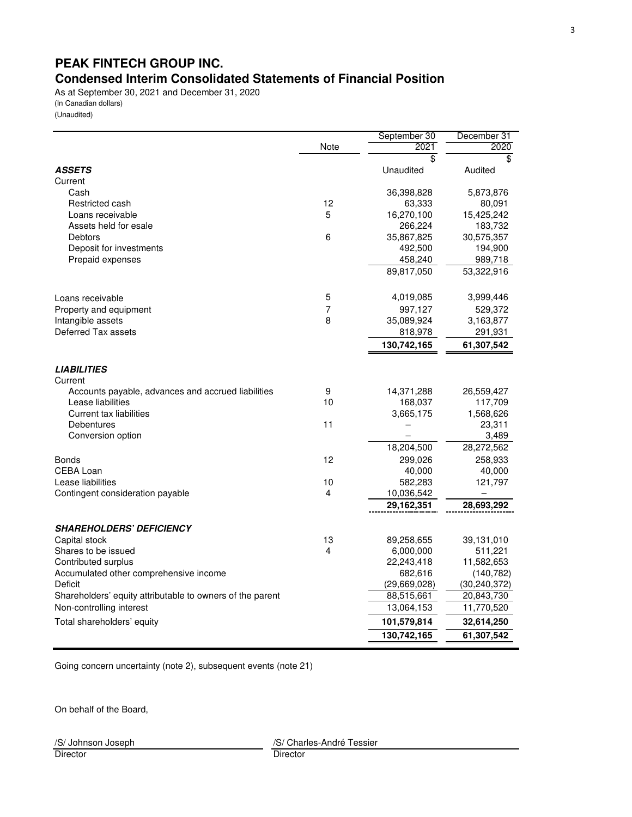# **PEAK FINTECH GROUP INC. Condensed Interim Consolidated Statements of Financial Position**

As at September 30, 2021 and December 31, 2020 (In Canadian dollars) (Unaudited)

|                                                                         |      | September 30    | December 31             |
|-------------------------------------------------------------------------|------|-----------------|-------------------------|
|                                                                         | Note | 2021            | 2020                    |
|                                                                         |      | $\overline{\$}$ | $\overline{\mathbf{s}}$ |
| <b>ASSETS</b>                                                           |      | Unaudited       | Audited                 |
| Current                                                                 |      |                 |                         |
| Cash                                                                    |      | 36,398,828      | 5,873,876               |
| Restricted cash                                                         | 12   | 63,333          | 80,091                  |
| Loans receivable                                                        | 5    | 16,270,100      | 15,425,242              |
| Assets held for esale                                                   |      | 266,224         | 183,732                 |
| Debtors                                                                 | 6    | 35,867,825      | 30,575,357              |
| Deposit for investments                                                 |      | 492,500         | 194,900                 |
| Prepaid expenses                                                        |      | 458,240         | 989,718                 |
|                                                                         |      | 89,817,050      | 53,322,916              |
| Loans receivable                                                        | 5    | 4,019,085       | 3,999,446               |
| Property and equipment                                                  | 7    | 997,127         | 529,372                 |
| Intangible assets                                                       | 8    | 35,089,924      | 3,163,877               |
| Deferred Tax assets                                                     |      | 818,978         | 291,931                 |
|                                                                         |      | 130,742,165     | 61,307,542              |
| <b>LIABILITIES</b>                                                      |      |                 |                         |
| Current                                                                 | 9    | 14,371,288      | 26,559,427              |
| Accounts payable, advances and accrued liabilities<br>Lease liabilities | 10   | 168,037         | 117,709                 |
| <b>Current tax liabilities</b>                                          |      | 3,665,175       | 1,568,626               |
| <b>Debentures</b>                                                       | 11   |                 | 23,311                  |
| Conversion option                                                       |      |                 | 3,489                   |
|                                                                         |      | 18,204,500      | 28,272,562              |
| Bonds                                                                   | 12   | 299,026         | 258,933                 |
| CEBA Loan                                                               |      | 40,000          | 40,000                  |
| Lease liabilities                                                       | 10   | 582,283         | 121,797                 |
| Contingent consideration payable                                        | 4    | 10,036,542      |                         |
|                                                                         |      | 29,162,351      | 28,693,292              |
| <b>SHAREHOLDERS' DEFICIENCY</b>                                         |      |                 |                         |
| Capital stock                                                           | 13   | 89,258,655      | 39,131,010              |
| Shares to be issued                                                     | 4    | 6,000,000       | 511,221                 |
| Contributed surplus                                                     |      | 22,243,418      | 11,582,653              |
| Accumulated other comprehensive income                                  |      | 682,616         | (140, 782)              |
| Deficit                                                                 |      | (29,669,028)    | (30, 240, 372)          |
| Shareholders' equity attributable to owners of the parent               |      | 88,515,661      | 20,843,730              |
| Non-controlling interest                                                |      | 13,064,153      | 11,770,520              |
| Total shareholders' equity                                              |      | 101,579,814     | 32,614,250              |
|                                                                         |      | 130,742,165     | 61,307,542              |

Going concern uncertainty (note 2), subsequent events (note 21)

On behalf of the Board,

Director Director

/S/ Johnson Joseph /S/ Charles-André Tessier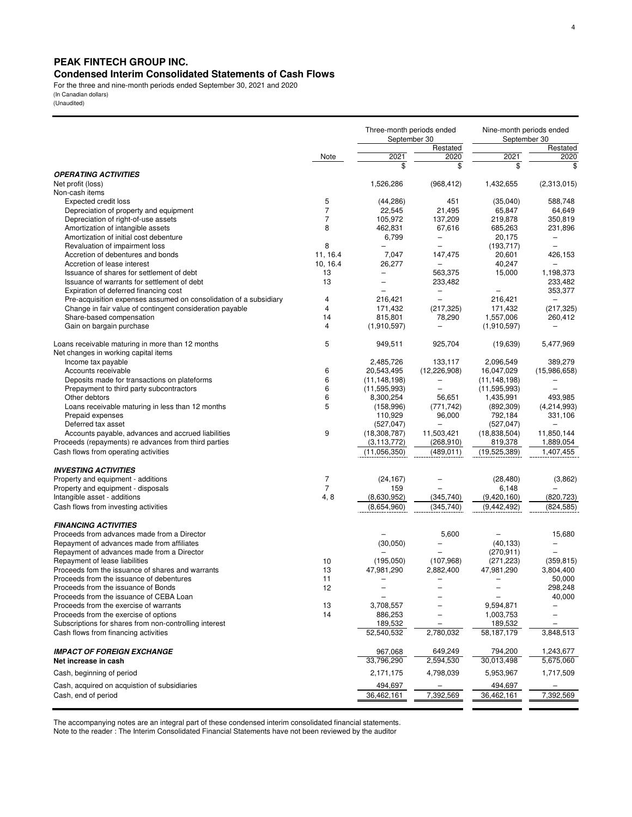## **PEAK FINTECH GROUP INC.**

## **Condensed Interim Consolidated Statements of Cash Flows**

For the three and nine-month periods ended September 30, 2021 and 2020 (In Canadian dollars)

(Unaudited)

|                                                                          |                     |                          | Three-month periods ended<br>September 30     |                          | Nine-month periods ended<br>September 30 |  |  |
|--------------------------------------------------------------------------|---------------------|--------------------------|-----------------------------------------------|--------------------------|------------------------------------------|--|--|
|                                                                          |                     |                          | Restated                                      |                          | Restated                                 |  |  |
|                                                                          | Note                | 2021                     | 2020                                          | 2021                     | 2020                                     |  |  |
|                                                                          |                     |                          | \$                                            | \$                       | \$                                       |  |  |
| <b>OPERATING ACTIVITIES</b>                                              |                     |                          |                                               |                          |                                          |  |  |
| Net profit (loss)                                                        |                     | 1,526,286                | (968, 412)                                    | 1,432,655                | (2,313,015)                              |  |  |
| Non-cash items                                                           |                     |                          |                                               |                          |                                          |  |  |
| <b>Expected credit loss</b>                                              | 5                   | (44, 286)                | 451                                           | (35,040)                 | 588,748                                  |  |  |
| Depreciation of property and equipment                                   | $\overline{7}$      | 22,545                   | 21,495                                        | 65,847                   | 64,649                                   |  |  |
| Depreciation of right-of-use assets                                      | 7                   | 105,972                  | 137,209                                       | 219,878                  | 350,819                                  |  |  |
| Amortization of intangible assets                                        | 8                   | 462,831                  | 67,616                                        | 685,263                  | 231,896                                  |  |  |
| Amortization of initial cost debenture                                   | 8                   | 6,799                    | $\qquad \qquad -$<br>$\overline{\phantom{0}}$ | 20,175<br>(193, 717)     | $\qquad \qquad -$                        |  |  |
| Revaluation of impairment loss<br>Accretion of debentures and bonds      | 11, 16.4            | 7,047                    | 147,475                                       | 20,601                   | 426,153                                  |  |  |
| Accretion of lease interest                                              | 10, 16.4            | 26,277                   |                                               | 40,247                   |                                          |  |  |
| Issuance of shares for settlement of debt                                | 13                  | $\overline{\phantom{0}}$ | 563.375                                       | 15,000                   | 1,198,373                                |  |  |
| Issuance of warrants for settlement of debt                              | 13                  | $\overline{\phantom{0}}$ | 233,482                                       |                          | 233,482                                  |  |  |
| Expiration of deferred financing cost                                    |                     | $\overline{\phantom{0}}$ | $\overline{\phantom{0}}$                      | $\overline{\phantom{0}}$ | 353,377                                  |  |  |
| Pre-acquisition expenses assumed on consolidation of a subsidiary        | 4                   | 216,421                  | $\equiv$                                      | 216,421                  |                                          |  |  |
| Change in fair value of contingent consideration payable                 | 4                   | 171,432                  | (217, 325)                                    | 171,432                  | (217, 325)                               |  |  |
| Share-based compensation                                                 | 14                  | 815,801                  | 78,290                                        | 1,557,006                | 260,412                                  |  |  |
| Gain on bargain purchase                                                 | 4                   | (1,910,597)              |                                               | (1,910,597)              |                                          |  |  |
|                                                                          |                     |                          |                                               |                          |                                          |  |  |
| Loans receivable maturing in more than 12 months                         | 5                   | 949,511                  | 925,704                                       | (19,639)                 | 5,477,969                                |  |  |
| Net changes in working capital items                                     |                     |                          |                                               |                          |                                          |  |  |
| Income tax payable                                                       |                     | 2,485,726                | 133,117                                       | 2,096,549                | 389,279                                  |  |  |
| Accounts receivable                                                      | 6                   | 20,543,495               | (12, 226, 908)                                | 16,047,029               | (15,986,658)                             |  |  |
| Deposits made for transactions on plateforms                             | 6                   | (11, 148, 198)           | $\qquad \qquad -$                             | (11, 148, 198)           |                                          |  |  |
| Prepayment to third party subcontractors                                 | 6                   | (11, 595, 993)           | $\overline{\phantom{0}}$                      | (11, 595, 993)           | $\equiv$                                 |  |  |
| Other debtors                                                            | 6                   | 8,300,254                | 56,651                                        | 1,435,991                | 493,985                                  |  |  |
| Loans receivable maturing in less than 12 months                         | 5                   | (158, 996)               | (771, 742)                                    | (892, 309)               | (4,214,993)                              |  |  |
| Prepaid expenses                                                         |                     | 110,929                  | 96,000                                        | 792,184                  | 331,106                                  |  |  |
| Deferred tax asset                                                       |                     | (527, 047)               |                                               | (527, 047)               |                                          |  |  |
| Accounts payable, advances and accrued liabilities                       | 9                   | (18, 308, 787)           | 11,503,421                                    | (18,838,504)             | 11,850,144                               |  |  |
| Proceeds (repayments) re advances from third parties                     |                     | (3, 113, 772)            | (268, 910)                                    | 819,378                  | 1,889,054                                |  |  |
| Cash flows from operating activities                                     |                     | (11,056,350)             | (489, 011)                                    | (19,525,389)             | 1,407,455                                |  |  |
|                                                                          |                     |                          |                                               |                          |                                          |  |  |
| <b>INVESTING ACTIVITIES</b>                                              |                     |                          |                                               |                          |                                          |  |  |
| Property and equipment - additions<br>Property and equipment - disposals | 7<br>$\overline{7}$ | (24, 167)<br>159         |                                               | (28, 480)<br>6,148       | (3,862)                                  |  |  |
| Intangible asset - additions                                             | 4,8                 | (8,630,952)              | (345,740)                                     | (9,420,160)              | (820, 723)                               |  |  |
| Cash flows from investing activities                                     |                     | (8,654,960)              | (345, 740)                                    | (9,442,492)              | (824, 585)                               |  |  |
|                                                                          |                     |                          |                                               |                          |                                          |  |  |
| <b>FINANCING ACTIVITIES</b>                                              |                     |                          |                                               |                          |                                          |  |  |
| Proceeds from advances made from a Director                              |                     |                          | 5,600                                         |                          | 15,680                                   |  |  |
| Repayment of advances made from affiliates                               |                     | (30,050)                 |                                               | (40, 133)                |                                          |  |  |
| Repayment of advances made from a Director                               |                     |                          |                                               | (270, 911)               |                                          |  |  |
| Repayment of lease liabilities                                           | 10                  | (195,050)                | (107, 968)                                    | (271, 223)               | (359, 815)                               |  |  |
| Proceeds fom the issuance of shares and warrants                         | 13                  | 47,981,290               | 2,882,400                                     | 47,981,290               | 3,804,400                                |  |  |
| Proceeds from the issuance of debentures                                 | 11                  | L,                       | L,                                            | $\overline{\phantom{0}}$ | 50,000                                   |  |  |
| Proceeds from the issuance of Bonds                                      | 12                  | $\overline{\phantom{0}}$ |                                               | $\overline{\phantom{0}}$ | 298,248                                  |  |  |
| Proceeds from the issuance of CEBA Loan                                  |                     | $\overline{\phantom{0}}$ |                                               | $\overline{\phantom{0}}$ | 40,000                                   |  |  |
| Proceeds from the exercise of warrants                                   | 13                  | 3,708,557                |                                               | 9,594,871                |                                          |  |  |
| Proceeds from the exercise of options                                    | 14                  | 886,253                  |                                               | 1,003,753                |                                          |  |  |
| Subscriptions for shares from non-controlling interest                   |                     | 189,532                  |                                               | 189,532                  |                                          |  |  |
| Cash flows from financing activities                                     |                     | 52,540,532               | 2,780,032                                     | 58,187,179               | 3,848,513                                |  |  |
|                                                                          |                     |                          |                                               |                          |                                          |  |  |
| <b>IMPACT OF FOREIGN EXCHANGE</b>                                        |                     | 967,068                  | 649,249                                       | 794,200                  | 1,243,677                                |  |  |
| Net increase in cash                                                     |                     | 33,796,290               | 2,594,530                                     | 30,013,498               | 5,675,060                                |  |  |
| Cash, beginning of period                                                |                     | 2,171,175                | 4,798,039                                     | 5,953,967                | 1,717,509                                |  |  |
| Cash, acquired on acquistion of subsidiaries                             |                     | 494,697                  |                                               | 494,697                  |                                          |  |  |
| Cash, end of period                                                      |                     | 36,462,161               | 7,392,569                                     | 36,462,161               | 7,392,569                                |  |  |
|                                                                          |                     |                          |                                               |                          |                                          |  |  |

The accompanying notes are an integral part of these condensed interim consolidated financial statements.

Note to the reader : The Interim Consolidated Financial Statements have not been reviewed by the auditor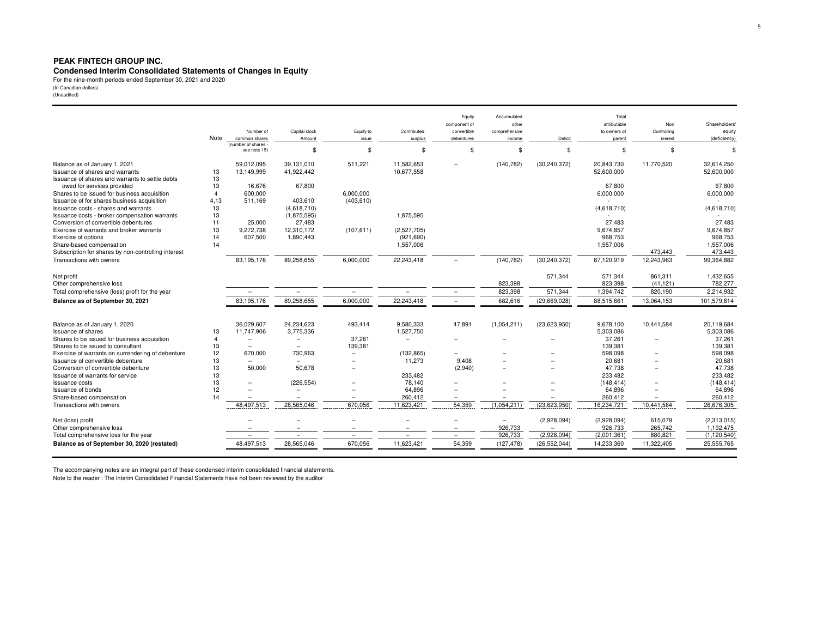#### **PEAK FINTECH GROUP INC.**

# **Condensed Interim Consolidated Statements of Changes in Equity** For the nine-month periods ended September 30, 2021 and 2020

(In Canadian dollars) (Unaudited)

|                                                                                       | Note           | Number of<br>common shares        | Capital stock<br>Amount    | Equity to<br>issue       | Contributed<br>surplus   | Equity<br>component of<br>convertible<br>debentures | Accumulated<br>other<br>comprehensive<br>income | Deficit        | Total<br>attributable<br>to owners of<br>parent | Non<br>Controlling<br>inerest | <b>Shareholders</b><br>equity<br>(deficiency) |
|---------------------------------------------------------------------------------------|----------------|-----------------------------------|----------------------------|--------------------------|--------------------------|-----------------------------------------------------|-------------------------------------------------|----------------|-------------------------------------------------|-------------------------------|-----------------------------------------------|
|                                                                                       |                | (number of shares<br>see note 15) | \$                         | \$                       | \$                       | \$                                                  | \$                                              | \$             | \$                                              | \$                            |                                               |
| Balance as of January 1, 2021<br><b>Issuance of shares and warrants</b>               | 13             | 59,012,095<br>13,149,999          | 39,131,010<br>41,922,442   | 511,221                  | 11,582,653<br>10,677,558 |                                                     | (140, 782)                                      | (30, 240, 372) | 20,843,730<br>52,600,000                        | 11,770,520                    | 32.614.250<br>52,600,000                      |
| Issuance of shares and warrants to settle debts                                       | 13             |                                   |                            |                          |                          |                                                     |                                                 |                |                                                 |                               |                                               |
| owed for services provided                                                            | 13             | 16.676                            | 67,800                     |                          |                          |                                                     |                                                 |                | 67.800                                          |                               | 67.800                                        |
| Shares to be issued for business acquisition                                          | $\overline{4}$ | 600.000                           |                            | 6,000,000                |                          |                                                     |                                                 |                | 6,000,000                                       |                               | 6,000,000                                     |
| Issuance of for shares business acquisition                                           | 4,13           | 511,169                           | 403,610                    | (403, 610)               |                          |                                                     |                                                 |                |                                                 |                               |                                               |
| Issuance costs - shares and warrants<br>Issuance costs - broker compensation warrants | 13<br>13       |                                   | (4,618,710)<br>(1,875,595) |                          | 1,875,595                |                                                     |                                                 |                | (4,618,710)                                     |                               | (4,618,710)                                   |
| Conversion of convertible debentures                                                  | 11             | 25,000                            | 27,483                     |                          |                          |                                                     |                                                 |                | 27,483                                          |                               | 27,483                                        |
| Exercise of warrants and broker warrants                                              | 13             | 9,272,738                         | 12,310,172                 | (107, 611)               | (2,527,705)              |                                                     |                                                 |                | 9,674,857                                       |                               | 9,674,857                                     |
| Exercise of options                                                                   | 14             | 607,500                           | 1,890,443                  |                          | (921, 690)               |                                                     |                                                 |                | 968,753                                         |                               | 968,753                                       |
| Share-based compensation                                                              | 14             |                                   |                            |                          | 1,557,006                |                                                     |                                                 |                | 1,557,006                                       |                               | 1,557,006                                     |
| Subscription for shares by non-controlling interest                                   |                |                                   |                            |                          |                          |                                                     |                                                 |                |                                                 | 473,443                       | 473,443                                       |
| Transactions with owners                                                              |                | 83,195,176                        | 89,258,655                 | 6,000,000                | 22,243,418               |                                                     | (140, 782)                                      | (30, 240, 372) | 87,120,919                                      | 12,243,963                    | 99,364,882                                    |
| Net profit                                                                            |                |                                   |                            |                          |                          |                                                     |                                                 | 571,344        | 571,344                                         | 861,311                       | 1,432,655                                     |
| Other comprehensive loss                                                              |                |                                   |                            |                          |                          |                                                     | 823,398                                         |                | 823,398                                         | (41, 121)                     | 782,277                                       |
| Total comprehensive (loss) profit for the year                                        |                |                                   | $\overline{\phantom{0}}$   | $\overline{\phantom{0}}$ | $\qquad \qquad -$        | $\overline{\phantom{m}}$                            | 823,398                                         | 571,344        | 1,394,742                                       | 820,190                       | 2,214,932                                     |
| Balance as of September 30, 2021                                                      |                | 83,195,176                        | 89,258,655                 | 6,000,000                | 22,243,418               | $\overline{\phantom{a}}$                            | 682,616                                         | (29,669,028)   | 88,515,661                                      | 13,064,153                    | 101,579,814                                   |
| Balance as of January 1, 2020                                                         |                | 36,029,607                        | 24,234,623                 | 493,414                  | 9,580,333                | 47,891                                              | (1,054,211)                                     | (23,623,950)   | 9,678,100                                       | 10,441,584                    | 20,119,684                                    |
| ssuance of shares                                                                     | 13             | 11,747,906                        | 3,775,336                  |                          | 1,527,750                |                                                     |                                                 |                | 5,303,086                                       |                               | 5,303,086                                     |
| Shares to be issued for business acquisition                                          | $\overline{4}$ |                                   | $\overline{\phantom{a}}$   | 37,261                   | $\overline{\phantom{m}}$ |                                                     |                                                 |                | 37,261                                          | $\overline{\phantom{0}}$      | 37,261                                        |
| Shares to be issued to consultant                                                     | 13             |                                   |                            | 139,381                  |                          |                                                     |                                                 |                | 139,381                                         |                               | 139,381                                       |
| Exercise of warrants on surrendering of debenture                                     | 12             | 670,000                           | 730,963                    | $\equiv$                 | (132, 865)               | $\overline{\phantom{0}}$                            |                                                 |                | 598,098                                         | -                             | 598,098                                       |
| Issuance of convertible debenture                                                     | 13             |                                   |                            |                          | 11,273                   | 9,408                                               |                                                 |                | 20,681                                          |                               | 20,681                                        |
| Conversion of convertible debenture                                                   | 13             | 50,000                            | 50,678                     |                          |                          | (2,940)                                             |                                                 |                | 47,738                                          | $\overline{\phantom{0}}$      | 47,738                                        |
| Issuance of warrants for service<br>Issuance costs                                    | 13<br>13       |                                   | (226, 554)                 |                          | 233,482<br>78,140        |                                                     |                                                 |                | 233.482<br>(148, 414)                           |                               | 233.482<br>(148, 414)                         |
| <b>Issuance of bonds</b>                                                              | 12             |                                   |                            |                          | 64,896                   |                                                     |                                                 |                | 64,896                                          |                               | 64,896                                        |
| Share-based compensation                                                              | 14             |                                   |                            |                          | 260,412                  |                                                     |                                                 |                | 260,412                                         |                               | 260,412                                       |
| Transactions with owners                                                              |                | 48,497,513                        | 28,565,046                 | 670,056                  | 11,623,421               | 54,359                                              | (1,054,211)                                     | (23, 623, 950) | 16,234,721                                      | 10,441,584                    | 26,676,305                                    |
|                                                                                       |                |                                   |                            |                          |                          |                                                     |                                                 |                |                                                 |                               |                                               |
| Net (loss) profit                                                                     |                |                                   |                            |                          |                          |                                                     | $\overline{\phantom{0}}$                        | (2,928,094)    | (2,928,094)                                     | 615,079                       | (2,313,015)                                   |
| Other comprehensive loss                                                              |                |                                   | $\equiv$                   | $\equiv$                 | $\equiv$                 | $\overline{\phantom{a}}$                            | 926,733                                         |                | 926,733                                         | 265,742                       | 1,192,475                                     |
| Total comprehensive loss for the year                                                 |                |                                   |                            | $\overline{\phantom{0}}$ |                          | $\overline{\phantom{0}}$                            | 926,733                                         | (2,928,094)    | (2,001,361)                                     | 880,821                       | (1, 120, 540)                                 |
| Balance as of September 30, 2020 (restated)                                           |                | 48,497,513                        | 28,565,046                 | 670,056                  | 11,623,421               | 54,359                                              | (127, 478)                                      | (26, 552, 044) | 14,233,360                                      | 11,322,405                    | 25,555,765                                    |
|                                                                                       |                |                                   |                            |                          |                          |                                                     |                                                 |                |                                                 |                               |                                               |

The accompanying notes are an integral part of these condensed interim consolidated financial statements. Note to the reader : The Interim Consolidated Financial Statements have not been reviewed by the auditor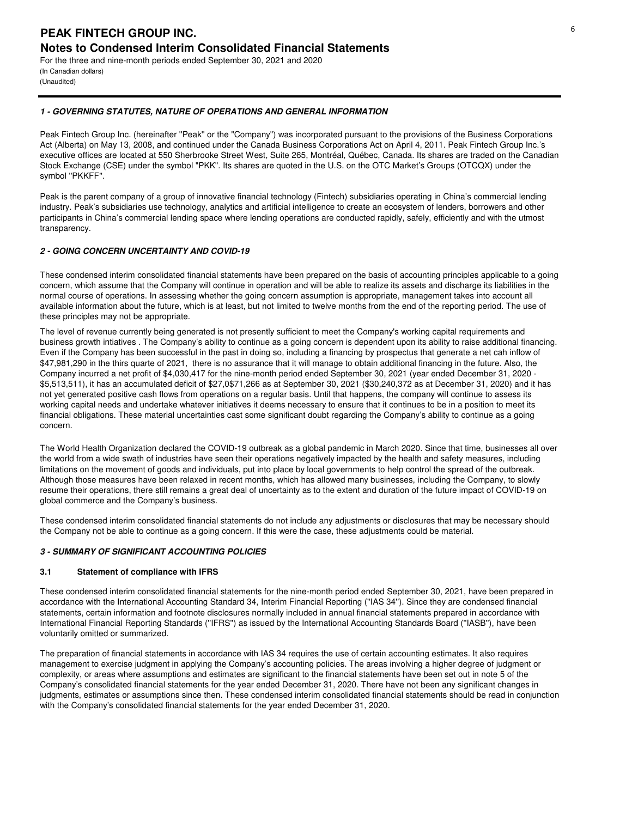(In Canadian dollars) (Unaudited)

## **1 - GOVERNING STATUTES, NATURE OF OPERATIONS AND GENERAL INFORMATION**

Peak Fintech Group Inc. (hereinafter ''Peak'' or the "Company") was incorporated pursuant to the provisions of the Business Corporations Act (Alberta) on May 13, 2008, and continued under the Canada Business Corporations Act on April 4, 2011. Peak Fintech Group Inc.'s executive offices are located at 550 Sherbrooke Street West, Suite 265, Montréal, Québec, Canada. Its shares are traded on the Canadian Stock Exchange (CSE) under the symbol "PKK". Its shares are quoted in the U.S. on the OTC Market's Groups (OTCQX) under the symbol ''PKKFF''.

Peak is the parent company of a group of innovative financial technology (Fintech) subsidiaries operating in China's commercial lending industry. Peak's subsidiaries use technology, analytics and artificial intelligence to create an ecosystem of lenders, borrowers and other participants in China's commercial lending space where lending operations are conducted rapidly, safely, efficiently and with the utmost transparency.

## **2 - GOING CONCERN UNCERTAINTY AND COVID-19**

These condensed interim consolidated financial statements have been prepared on the basis of accounting principles applicable to a going concern, which assume that the Company will continue in operation and will be able to realize its assets and discharge its liabilities in the normal course of operations. In assessing whether the going concern assumption is appropriate, management takes into account all available information about the future, which is at least, but not limited to twelve months from the end of the reporting period. The use of these principles may not be appropriate.

The level of revenue currently being generated is not presently sufficient to meet the Company's working capital requirements and business growth intiatives . The Company's ability to continue as a going concern is dependent upon its ability to raise additional financing. Even if the Company has been successful in the past in doing so, including a financing by prospectus that generate a net cah inflow of \$47,981,290 in the thirs quarte of 2021, there is no assurance that it will manage to obtain additional financing in the future. Also, the Company incurred a net profit of \$4,030,417 for the nine-month period ended September 30, 2021 (year ended December 31, 2020 - \$5,513,511), it has an accumulated deficit of \$27,0\$71,266 as at September 30, 2021 (\$30,240,372 as at December 31, 2020) and it has not yet generated positive cash flows from operations on a regular basis. Until that happens, the company will continue to assess its working capital needs and undertake whatever initiatives it deems necessary to ensure that it continues to be in a position to meet its financial obligations. These material uncertainties cast some significant doubt regarding the Company's ability to continue as a going concern.

The World Health Organization declared the COVID-19 outbreak as a global pandemic in March 2020. Since that time, businesses all over the world from a wide swath of industries have seen their operations negatively impacted by the health and safety measures, including limitations on the movement of goods and individuals, put into place by local governments to help control the spread of the outbreak. Although those measures have been relaxed in recent months, which has allowed many businesses, including the Company, to slowly resume their operations, there still remains a great deal of uncertainty as to the extent and duration of the future impact of COVID-19 on global commerce and the Company's business.

These condensed interim consolidated financial statements do not include any adjustments or disclosures that may be necessary should the Company not be able to continue as a going concern. If this were the case, these adjustments could be material.

## **3 - SUMMARY OF SIGNIFICANT ACCOUNTING POLICIES**

## **3.1 Statement of compliance with IFRS**

These condensed interim consolidated financial statements for the nine-month period ended September 30, 2021, have been prepared in accordance with the International Accounting Standard 34, Interim Financial Reporting (''IAS 34''). Since they are condensed financial statements, certain information and footnote disclosures normally included in annual financial statements prepared in accordance with International Financial Reporting Standards (''IFRS'') as issued by the International Accounting Standards Board (''IASB''), have been voluntarily omitted or summarized.

The preparation of financial statements in accordance with IAS 34 requires the use of certain accounting estimates. It also requires management to exercise judgment in applying the Company's accounting policies. The areas involving a higher degree of judgment or complexity, or areas where assumptions and estimates are significant to the financial statements have been set out in note 5 of the Company's consolidated financial statements for the year ended December 31, 2020. There have not been any significant changes in judgments, estimates or assumptions since then. These condensed interim consolidated financial statements should be read in conjunction with the Company's consolidated financial statements for the year ended December 31, 2020.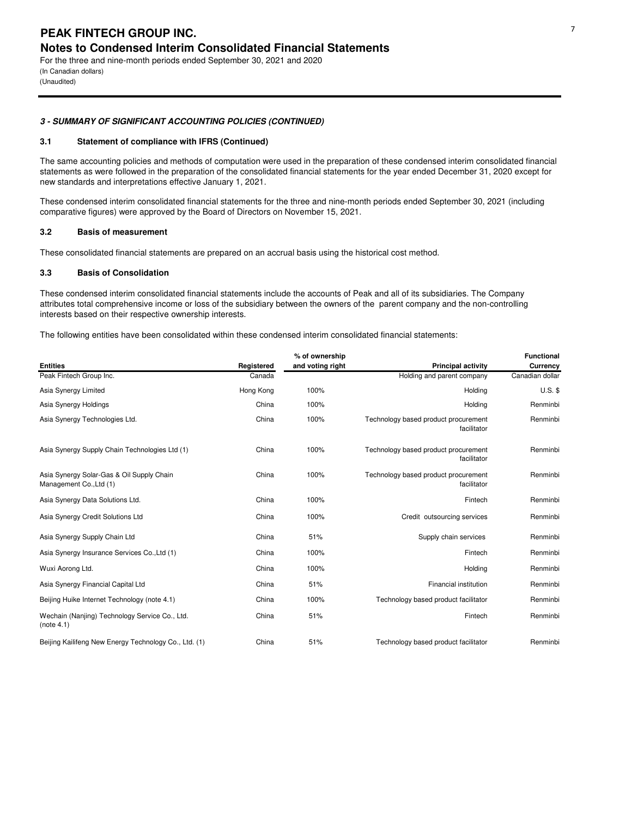For the three and nine-month periods ended September 30, 2021 and 2020 (In Canadian dollars) (Unaudited)

## **3 - SUMMARY OF SIGNIFICANT ACCOUNTING POLICIES (CONTINUED)**

## **3.1 Statement of compliance with IFRS (Continued)**

The same accounting policies and methods of computation were used in the preparation of these condensed interim consolidated financial statements as were followed in the preparation of the consolidated financial statements for the year ended December 31, 2020 except for new standards and interpretations effective January 1, 2021.

These condensed interim consolidated financial statements for the three and nine-month periods ended September 30, 2021 (including comparative figures) were approved by the Board of Directors on November 15, 2021.

## **3.2 Basis of measurement**

These consolidated financial statements are prepared on an accrual basis using the historical cost method.

#### **3.3 Basis of Consolidation**

These condensed interim consolidated financial statements include the accounts of Peak and all of its subsidiaries. The Company attributes total comprehensive income or loss of the subsidiary between the owners of the parent company and the non-controlling interests based on their respective ownership interests.

The following entities have been consolidated within these condensed interim consolidated financial statements:

|                                                                      |            | % of ownership   |                                                     | <b>Functional</b> |
|----------------------------------------------------------------------|------------|------------------|-----------------------------------------------------|-------------------|
| <b>Entities</b>                                                      | Registered | and voting right | <b>Principal activity</b>                           | Currency          |
| Peak Fintech Group Inc.                                              | Canada     |                  | Holding and parent company                          | Canadian dollar   |
| Asia Synergy Limited                                                 | Hong Kong  | 100%             | Holding                                             | $U.S.$ \$         |
| Asia Synergy Holdings                                                | China      | 100%             | Holding                                             | Renminbi          |
| Asia Synergy Technologies Ltd.                                       | China      | 100%             | Technology based product procurement<br>facilitator | Renminbi          |
| Asia Synergy Supply Chain Technologies Ltd (1)                       | China      | 100%             | Technology based product procurement<br>facilitator | Renminbi          |
| Asia Synergy Solar-Gas & Oil Supply Chain<br>Management Co., Ltd (1) | China      | 100%             | Technology based product procurement<br>facilitator | Renminbi          |
| Asia Synergy Data Solutions Ltd.                                     | China      | 100%             | Fintech                                             | Renminbi          |
| Asia Synergy Credit Solutions Ltd                                    | China      | 100%             | Credit outsourcing services                         | Renminbi          |
| Asia Synergy Supply Chain Ltd                                        | China      | 51%              | Supply chain services                               | Renminbi          |
| Asia Synergy Insurance Services Co., Ltd (1)                         | China      | 100%             | Fintech                                             | Renminbi          |
| Wuxi Aorong Ltd.                                                     | China      | 100%             | Holding                                             | Renminbi          |
| Asia Synergy Financial Capital Ltd                                   | China      | 51%              | <b>Financial institution</b>                        | Renminbi          |
| Beijing Huike Internet Technology (note 4.1)                         | China      | 100%             | Technology based product facilitator                | Renminbi          |
| Wechain (Nanjing) Technology Service Co., Ltd.<br>(note 4.1)         | China      | 51%              | Fintech                                             | Renminbi          |
| Beijing Kailifeng New Energy Technology Co., Ltd. (1)                | China      | 51%              | Technology based product facilitator                | Renminbi          |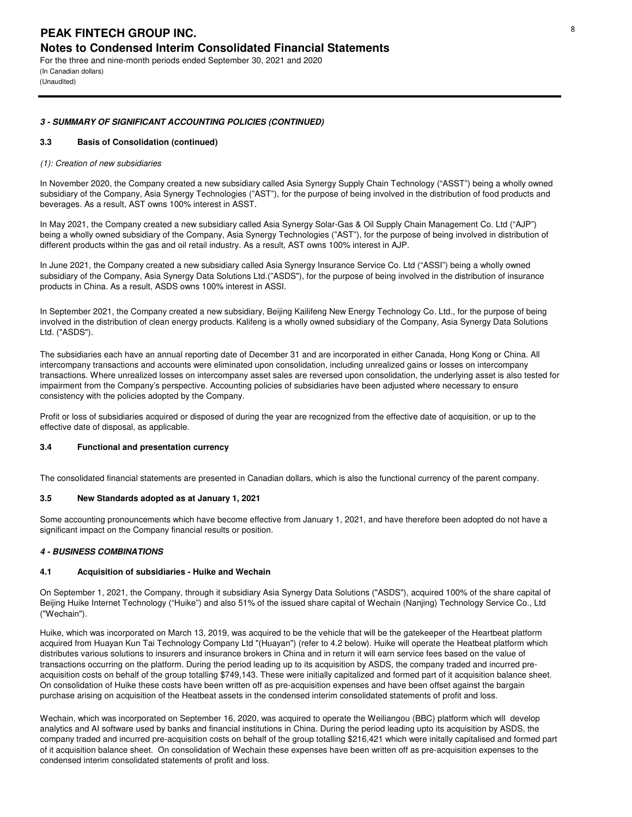(In Canadian dollars) (Unaudited)

#### **3 - SUMMARY OF SIGNIFICANT ACCOUNTING POLICIES (CONTINUED)**

#### **3.3 Basis of Consolidation (continued)**

#### *(1): Creation of new subsidiaries*

In November 2020, the Company created a new subsidiary called Asia Synergy Supply Chain Technology ("ASST") being a wholly owned subsidiary of the Company, Asia Synergy Technologies ("AST"), for the purpose of being involved in the distribution of food products and beverages. As a result, AST owns 100% interest in ASST.

In May 2021, the Company created a new subsidiary called Asia Synergy Solar-Gas & Oil Supply Chain Management Co. Ltd ("AJP") being a wholly owned subsidiary of the Company, Asia Synergy Technologies ("AST"), for the purpose of being involved in distribution of different products within the gas and oil retail industry. As a result, AST owns 100% interest in AJP.

In June 2021, the Company created a new subsidiary called Asia Synergy Insurance Service Co. Ltd ("ASSI") being a wholly owned subsidiary of the Company, Asia Synergy Data Solutions Ltd.("ASDS"), for the purpose of being involved in the distribution of insurance products in China. As a result, ASDS owns 100% interest in ASSI.

In September 2021, the Company created a new subsidiary, Beijing Kailifeng New Energy Technology Co. Ltd., for the purpose of being involved in the distribution of clean energy products. Kalifeng is a wholly owned subsidiary of the Company, Asia Synergy Data Solutions Ltd. ("ASDS").

The subsidiaries each have an annual reporting date of December 31 and are incorporated in either Canada. Hong Kong or China, All intercompany transactions and accounts were eliminated upon consolidation, including unrealized gains or losses on intercompany transactions. Where unrealized losses on intercompany asset sales are reversed upon consolidation, the underlying asset is also tested for impairment from the Company's perspective. Accounting policies of subsidiaries have been adjusted where necessary to ensure consistency with the policies adopted by the Company.

Profit or loss of subsidiaries acquired or disposed of during the year are recognized from the effective date of acquisition, or up to the effective date of disposal, as applicable.

## **3.4 Functional and presentation currency**

The consolidated financial statements are presented in Canadian dollars, which is also the functional currency of the parent company.

#### **3.5 New Standards adopted as at January 1, 2021**

Some accounting pronouncements which have become effective from January 1, 2021, and have therefore been adopted do not have a significant impact on the Company financial results or position.

## **4 - BUSINESS COMBINATIONS**

#### **4.1 Acquisition of subsidiaries - Huike and Wechain**

On September 1, 2021, the Company, through it subsidiary Asia Synergy Data Solutions ("ASDS"), acquired 100% of the share capital of Beijing Huike Internet Technology ("Huike") and also 51% of the issued share capital of Wechain (Nanjing) Technology Service Co., Ltd ("Wechain").

Huike, which was incorporated on March 13, 2019, was acquired to be the vehicle that will be the gatekeeper of the Heartbeat platform acquired from Huayan Kun Tai Technology Company Ltd "(Huayan") (refer to 4.2 below). Huike will operate the Heatbeat platform which distributes various solutions to insurers and insurance brokers in China and in return it will earn service fees based on the value of transactions occurring on the platform. During the period leading up to its acquisition by ASDS, the company traded and incurred preacquisition costs on behalf of the group totalling \$749,143. These were initially capitalized and formed part of it acquisition balance sheet. On consolidation of Huike these costs have been written off as pre-acquisition expenses and have been offset against the bargain purchase arising on acquisition of the Heatbeat assets in the condensed interim consolidated statements of profit and loss.

Wechain, which was incorporated on September 16, 2020, was acquired to operate the Weiliangou (BBC) platform which will develop analytics and AI software used by banks and financial institutions in China. During the period leading upto its acquisition by ASDS, the company traded and incurred pre-acquisition costs on behalf of the group totalling \$216,421 which were initally capitalised and formed part of it acquisition balance sheet. On consolidation of Wechain these expenses have been written off as pre-acquisition expenses to the condensed interim consolidated statements of profit and loss.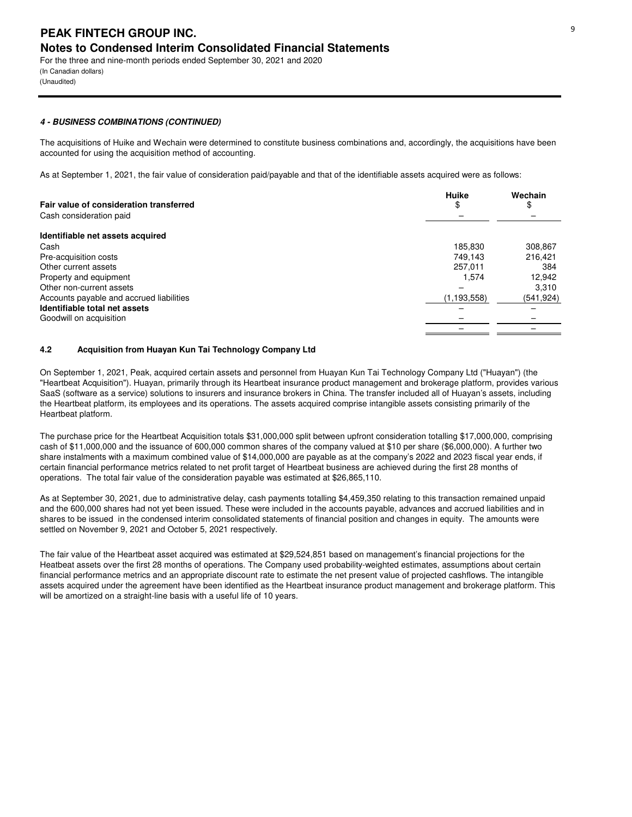(In Canadian dollars) (Unaudited)

## **4 - BUSINESS COMBINATIONS (CONTINUED)**

The acquisitions of Huike and Wechain were determined to constitute business combinations and, accordingly, the acquisitions have been accounted for using the acquisition method of accounting.

As at September 1, 2021, the fair value of consideration paid/payable and that of the identifiable assets acquired were as follows:

| Fair value of consideration transferred  | Huike<br>\$ | Wechain<br>\$ |
|------------------------------------------|-------------|---------------|
| Cash consideration paid                  |             |               |
| Identifiable net assets acquired         |             |               |
| Cash                                     | 185,830     | 308,867       |
| Pre-acquisition costs                    | 749.143     | 216.421       |
| Other current assets                     | 257.011     | 384           |
| Property and equipment                   | 1.574       | 12,942        |
| Other non-current assets                 |             | 3.310         |
| Accounts payable and accrued liabilities | (1.193.558) | (541,924)     |
| Identifiable total net assets            |             |               |
| Goodwill on acquisition                  |             |               |
|                                          |             |               |

## **4.2 Acquisition from Huayan Kun Tai Technology Company Ltd**

On September 1, 2021, Peak, acquired certain assets and personnel from Huayan Kun Tai Technology Company Ltd ("Huayan") (the "Heartbeat Acquisition"). Huayan, primarily through its Heartbeat insurance product management and brokerage platform, provides various SaaS (software as a service) solutions to insurers and insurance brokers in China. The transfer included all of Huayan's assets, including the Heartbeat platform, its employees and its operations. The assets acquired comprise intangible assets consisting primarily of the Heartbeat platform.

The purchase price for the Heartbeat Acquisition totals \$31,000,000 split between upfront consideration totalling \$17,000,000, comprising cash of \$11,000,000 and the issuance of 600,000 common shares of the company valued at \$10 per share (\$6,000,000). A further two share instalments with a maximum combined value of \$14,000,000 are payable as at the company's 2022 and 2023 fiscal year ends, if certain financial performance metrics related to net profit target of Heartbeat business are achieved during the first 28 months of operations. The total fair value of the consideration payable was estimated at \$26,865,110.

As at September 30, 2021, due to administrative delay, cash payments totalling \$4,459,350 relating to this transaction remained unpaid and the 600,000 shares had not yet been issued. These were included in the accounts payable, advances and accrued liabilities and in shares to be issued in the condensed interim consolidated statements of financial position and changes in equity. The amounts were settled on November 9, 2021 and October 5, 2021 respectively.

The fair value of the Heartbeat asset acquired was estimated at \$29,524,851 based on management's financial projections for the Heatbeat assets over the first 28 months of operations. The Company used probability-weighted estimates, assumptions about certain financial performance metrics and an appropriate discount rate to estimate the net present value of projected cashflows. The intangible assets acquired under the agreement have been identified as the Heartbeat insurance product management and brokerage platform. This will be amortized on a straight-line basis with a useful life of 10 years.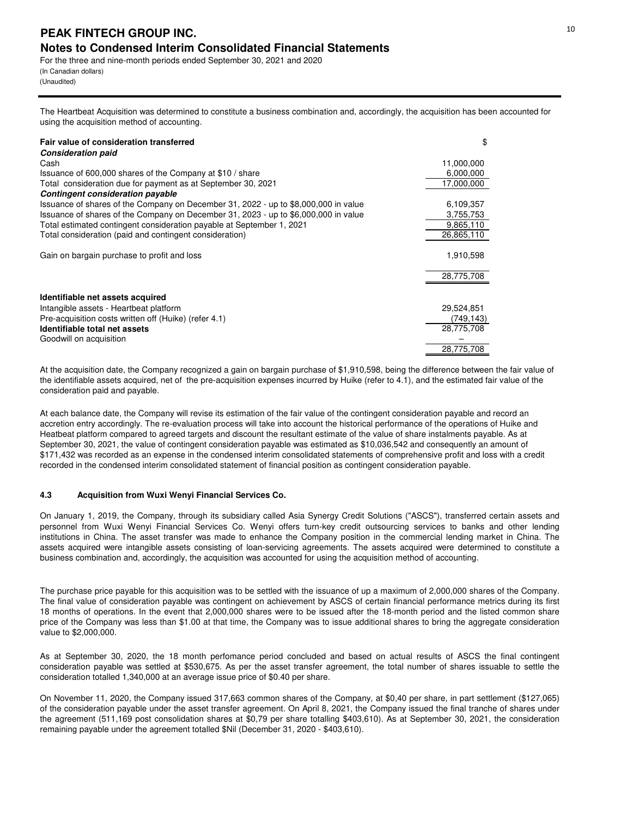For the three and nine-month periods ended September 30, 2021 and 2020 (In Canadian dollars) (Unaudited)

The Heartbeat Acquisition was determined to constitute a business combination and, accordingly, the acquisition has been accounted for using the acquisition method of accounting.

| Fair value of consideration transferred                                             | \$         |
|-------------------------------------------------------------------------------------|------------|
| <b>Consideration paid</b><br>Cash                                                   | 11,000,000 |
| Issuance of 600,000 shares of the Company at \$10 / share                           | 6,000,000  |
| Total consideration due for payment as at September 30, 2021                        | 17,000,000 |
| <b>Contingent consideration payable</b>                                             |            |
| Issuance of shares of the Company on December 31, 2022 - up to \$8,000,000 in value | 6,109,357  |
| Issuance of shares of the Company on December 31, 2023 - up to \$6,000,000 in value | 3,755,753  |
| Total estimated contingent consideration payable at September 1, 2021               | 9,865,110  |
| Total consideration (paid and contingent consideration)                             | 26,865,110 |
| Gain on bargain purchase to profit and loss                                         | 1,910,598  |
|                                                                                     | 28,775,708 |
| Identifiable net assets acquired                                                    |            |
| Intangible assets - Heartbeat platform                                              | 29,524,851 |
| Pre-acquisition costs written off (Huike) (refer 4.1)                               | (749, 143) |
| Identifiable total net assets                                                       | 28,775,708 |
| Goodwill on acquisition                                                             |            |
|                                                                                     | 28,775,708 |

At the acquisition date, the Company recognized a gain on bargain purchase of \$1,910,598, being the difference between the fair value of the identifiable assets acquired, net of the pre-acquisition expenses incurred by Huike (refer to 4.1), and the estimated fair value of the consideration paid and payable.

At each balance date, the Company will revise its estimation of the fair value of the contingent consideration payable and record an accretion entry accordingly. The re-evaluation process will take into account the historical performance of the operations of Huike and Heatbeat platform compared to agreed targets and discount the resultant estimate of the value of share instalments payable. As at September 30, 2021, the value of contingent consideration payable was estimated as \$10,036,542 and consequently an amount of \$171,432 was recorded as an expense in the condensed interim consolidated statements of comprehensive profit and loss with a credit recorded in the condensed interim consolidated statement of financial position as contingent consideration payable.

## **4.3 Acquisition from Wuxi Wenyi Financial Services Co.**

On January 1, 2019, the Company, through its subsidiary called Asia Synergy Credit Solutions ("ASCS"), transferred certain assets and personnel from Wuxi Wenyi Financial Services Co. Wenyi offers turn-key credit outsourcing services to banks and other lending institutions in China. The asset transfer was made to enhance the Company position in the commercial lending market in China. The assets acquired were intangible assets consisting of loan-servicing agreements. The assets acquired were determined to constitute a business combination and, accordingly, the acquisition was accounted for using the acquisition method of accounting.

The purchase price payable for this acquisition was to be settled with the issuance of up a maximum of 2,000,000 shares of the Company. The final value of consideration payable was contingent on achievement by ASCS of certain financial performance metrics during its first 18 months of operations. In the event that 2,000,000 shares were to be issued after the 18-month period and the listed common share price of the Company was less than \$1.00 at that time, the Company was to issue additional shares to bring the aggregate consideration value to \$2,000,000.

As at September 30, 2020, the 18 month perfomance period concluded and based on actual results of ASCS the final contingent consideration payable was settled at \$530,675. As per the asset transfer agreement, the total number of shares issuable to settle the consideration totalled 1,340,000 at an average issue price of \$0.40 per share.

On November 11, 2020, the Company issued 317,663 common shares of the Company, at \$0,40 per share, in part settlement (\$127,065) of the consideration payable under the asset transfer agreement. On April 8, 2021, the Company issued the final tranche of shares under the agreement (511,169 post consolidation shares at \$0,79 per share totalling \$403,610). As at September 30, 2021, the consideration remaining payable under the agreement totalled \$Nil (December 31, 2020 - \$403,610).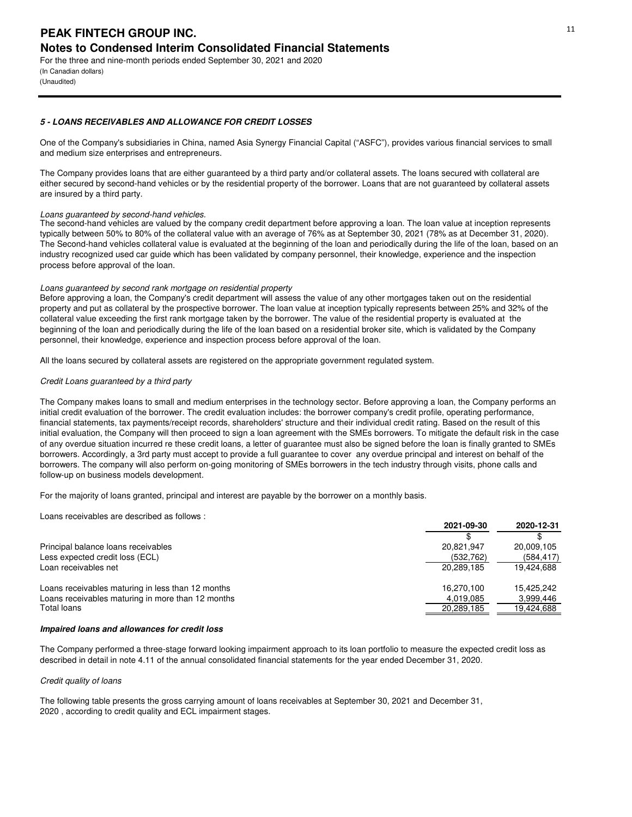(In Canadian dollars) (Unaudited)

## **5 - LOANS RECEIVABLES AND ALLOWANCE FOR CREDIT LOSSES**

One of the Company's subsidiaries in China, named Asia Synergy Financial Capital ("ASFC"), provides various financial services to small and medium size enterprises and entrepreneurs.

The Company provides loans that are either guaranteed by a third party and/or collateral assets. The loans secured with collateral are either secured by second-hand vehicles or by the residential property of the borrower. Loans that are not guaranteed by collateral assets are insured by a third party.

## *Loans guaranteed by second-hand vehicles.*

The second-hand vehicles are valued by the company credit department before approving a loan. The loan value at inception represents typically between 50% to 80% of the collateral value with an average of 76% as at September 30, 2021 (78% as at December 31, 2020). The Second-hand vehicles collateral value is evaluated at the beginning of the loan and periodically during the life of the loan, based on an industry recognized used car guide which has been validated by company personnel, their knowledge, experience and the inspection process before approval of the loan.

## *Loans guaranteed by second rank mortgage on residential property*

Before approving a loan, the Company's credit department will assess the value of any other mortgages taken out on the residential property and put as collateral by the prospective borrower. The loan value at inception typically represents between 25% and 32% of the collateral value exceeding the first rank mortgage taken by the borrower. The value of the residential property is evaluated at the beginning of the loan and periodically during the life of the loan based on a residential broker site, which is validated by the Company personnel, their knowledge, experience and inspection process before approval of the loan.

All the loans secured by collateral assets are registered on the appropriate government regulated system.

## *Credit Loans guaranteed by a third party*

The Company makes loans to small and medium enterprises in the technology sector. Before approving a loan, the Company performs an initial credit evaluation of the borrower. The credit evaluation includes: the borrower company's credit profile, operating performance, financial statements, tax payments/receipt records, shareholders' structure and their individual credit rating. Based on the result of this initial evaluation, the Company will then proceed to sign a loan agreement with the SMEs borrowers. To mitigate the default risk in the case of any overdue situation incurred re these credit loans, a letter of guarantee must also be signed before the loan is finally granted to SMEs borrowers. Accordingly, a 3rd party must accept to provide a full guarantee to cover any overdue principal and interest on behalf of the borrowers. The company will also perform on-going monitoring of SMEs borrowers in the tech industry through visits, phone calls and follow-up on business models development.

For the majority of loans granted, principal and interest are payable by the borrower on a monthly basis.

Loans receivables are described as follows :

|                                                   | 2021-09-30 | 2020-12-31 |
|---------------------------------------------------|------------|------------|
|                                                   |            |            |
| Principal balance loans receivables               | 20.821.947 | 20,009,105 |
| Less expected credit loss (ECL)                   | (532, 762) | (584, 417) |
| Loan receivables net                              | 20.289.185 | 19.424.688 |
| Loans receivables maturing in less than 12 months | 16.270.100 | 15.425.242 |
| Loans receivables maturing in more than 12 months | 4,019,085  | 3,999,446  |
| Total loans                                       | 20,289,185 | 19,424,688 |

#### **Impaired loans and allowances for credit loss**

The Company performed a three-stage forward looking impairment approach to its loan portfolio to measure the expected credit loss as described in detail in note 4.11 of the annual consolidated financial statements for the year ended December 31, 2020.

## *Credit quality of loans*

The following table presents the gross carrying amount of loans receivables at September 30, 2021 and December 31, 2020 , according to credit quality and ECL impairment stages.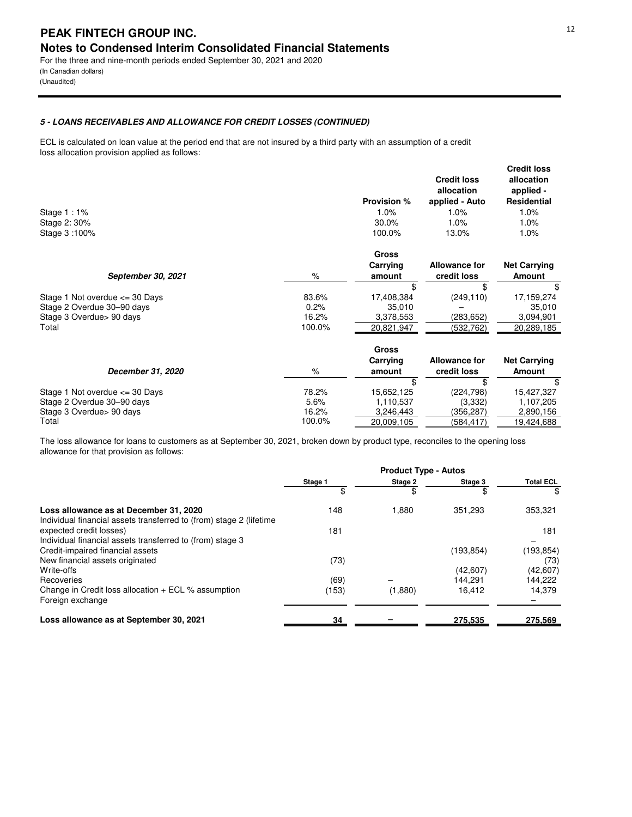## **PEAK FINTECH GROUP INC.** The state of the state of the state of the state of the state of the state of the state of the state of the state of the state of the state of the state of the state of the state of the state of t **Notes to Condensed Interim Consolidated Financial Statements** For the three and nine-month periods ended September 30, 2021 and 2020

(In Canadian dollars) (Unaudited)

## **5 - LOANS RECEIVABLES AND ALLOWANCE FOR CREDIT LOSSES (CONTINUED)**

ECL is calculated on loan value at the period end that are not insured by a third party with an assumption of a credit loss allocation provision applied as follows:

| Stage $1:1\%$<br>Stage 2: 30%<br>Stage 3:100% |        | <b>Provision %</b><br>1.0%<br>30.0%<br>100.0% | <b>Credit loss</b><br>allocation<br>applied - Auto<br>1.0%<br>1.0%<br>13.0% | <b>Credit loss</b><br>allocation<br>applied -<br><b>Residential</b><br>1.0%<br>1.0%<br>1.0% |
|-----------------------------------------------|--------|-----------------------------------------------|-----------------------------------------------------------------------------|---------------------------------------------------------------------------------------------|
|                                               |        | <b>Gross</b>                                  |                                                                             |                                                                                             |
|                                               |        | Carrying                                      | <b>Allowance for</b>                                                        | <b>Net Carrying</b>                                                                         |
| September 30, 2021                            | $\%$   | amount                                        | credit loss                                                                 | <b>Amount</b>                                                                               |
|                                               |        | \$                                            | \$                                                                          | \$                                                                                          |
| Stage 1 Not overdue $\leq$ 30 Days            | 83.6%  | 17,408,384                                    | (249, 110)                                                                  | 17,159,274                                                                                  |
| Stage 2 Overdue 30–90 days                    | 0.2%   | 35,010                                        |                                                                             | 35,010                                                                                      |
| Stage 3 Overdue > 90 days                     | 16.2%  | 3,378,553                                     | (283,652)                                                                   | 3,094,901                                                                                   |
| Total                                         | 100.0% | 20,821,947                                    | (532,762)                                                                   | 20,289,185                                                                                  |
|                                               |        | <b>Gross</b>                                  |                                                                             |                                                                                             |
|                                               |        | Carrying                                      | <b>Allowance for</b>                                                        | <b>Net Carrying</b>                                                                         |
| December 31, 2020                             | $\%$   | amount                                        | credit loss                                                                 | <b>Amount</b>                                                                               |
|                                               |        | \$                                            | \$                                                                          | \$                                                                                          |
| Stage 1 Not overdue $\leq$ 30 Days            | 78.2%  | 15,652,125                                    | (224, 798)                                                                  | 15,427,327                                                                                  |
| Stage 2 Overdue 30-90 days                    | 5.6%   | 1,110,537                                     | (3,332)                                                                     | 1,107,205                                                                                   |
| Stage 3 Overdue > 90 days                     | 16.2%  | 3,246,443                                     | (356, 287)                                                                  | 2,890,156                                                                                   |
| Total                                         | 100.0% | 20,009,105                                    | (584, 417)                                                                  | 19,424,688                                                                                  |

The loss allowance for loans to customers as at September 30, 2021, broken down by product type, reconciles to the opening loss allowance for that provision as follows:

|                                                                                                               | <b>Product Type - Autos</b> |         |           |                  |  |
|---------------------------------------------------------------------------------------------------------------|-----------------------------|---------|-----------|------------------|--|
|                                                                                                               | Stage 1                     | Stage 2 | Stage 3   | <b>Total ECL</b> |  |
|                                                                                                               |                             |         | \$.       | \$               |  |
| Loss allowance as at December 31, 2020<br>Individual financial assets transferred to (from) stage 2 (lifetime | 148                         | 1,880   | 351.293   | 353,321          |  |
| expected credit losses)<br>Individual financial assets transferred to (from) stage 3                          | 181                         |         |           | 181              |  |
| Credit-impaired financial assets                                                                              |                             |         | (193.854) | (193, 854)       |  |
| New financial assets originated                                                                               | (73)                        |         |           | (73)             |  |
| Write-offs                                                                                                    |                             |         | (42,607)  | (42,607)         |  |
| Recoveries                                                                                                    | (69)                        |         | 144.291   | 144,222          |  |
| Change in Credit loss allocation $+$ ECL % assumption                                                         | (153)                       | (1,880) | 16.412    | 14.379           |  |
| Foreign exchange                                                                                              |                             |         |           |                  |  |
| Loss allowance as at September 30, 2021                                                                       | 34                          |         | 275,535   | 275,569          |  |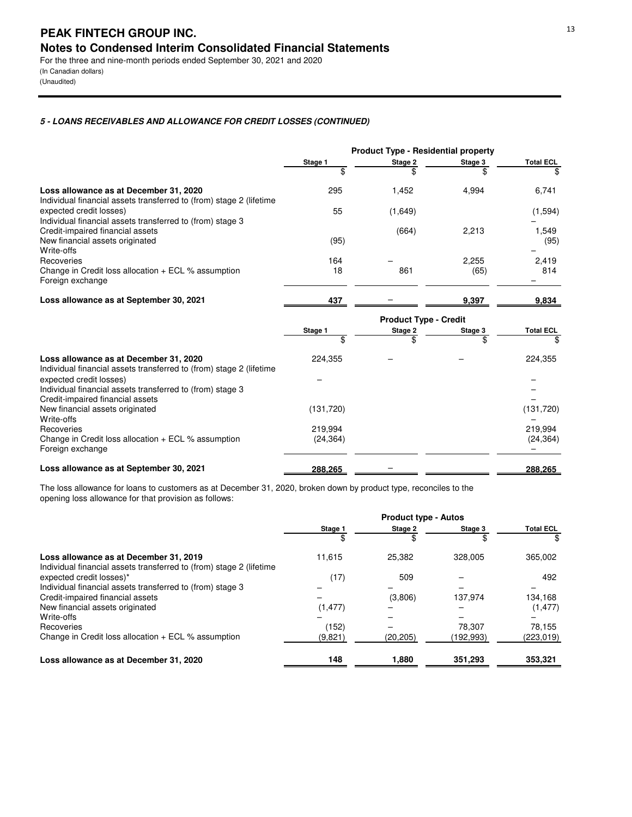(In Canadian dollars) (Unaudited)

## **5 - LOANS RECEIVABLES AND ALLOWANCE FOR CREDIT LOSSES (CONTINUED)**

|                                                                                                               | <b>Product Type - Residential property</b> |                              |         |                  |
|---------------------------------------------------------------------------------------------------------------|--------------------------------------------|------------------------------|---------|------------------|
|                                                                                                               | Stage 1                                    | Stage 2                      | Stage 3 | <b>Total ECL</b> |
|                                                                                                               | \$                                         |                              | \$      |                  |
| Loss allowance as at December 31, 2020<br>Individual financial assets transferred to (from) stage 2 (lifetime | 295                                        | 1,452                        | 4,994   | 6,741            |
| expected credit losses)<br>Individual financial assets transferred to (from) stage 3                          | 55                                         | (1,649)                      |         | (1,594)          |
| Credit-impaired financial assets                                                                              |                                            | (664)                        | 2,213   | 1,549            |
| New financial assets originated<br>Write-offs                                                                 | (95)                                       |                              |         | (95)             |
| Recoveries                                                                                                    | 164                                        |                              | 2,255   | 2,419            |
| Change in Credit loss allocation $+$ ECL % assumption<br>Foreign exchange                                     | 18                                         | 861                          | (65)    | 814              |
| Loss allowance as at September 30, 2021                                                                       | 437                                        |                              | 9,397   | 9,834            |
|                                                                                                               |                                            | <b>Product Type - Credit</b> |         |                  |
|                                                                                                               | Stage 1                                    | Stage 2                      | Stage 3 | <b>Total ECL</b> |
|                                                                                                               | \$                                         | \$                           | \$.     | \$               |
| Loss allowance as at December 31, 2020<br>Individual financial assets transferred to (from) stage 2 (lifetime | 224,355                                    |                              |         | 224,355          |
| expected credit losses)                                                                                       |                                            |                              |         |                  |
| Individual financial assets transferred to (from) stage 3                                                     |                                            |                              |         |                  |
| Credit-impaired financial assets                                                                              |                                            |                              |         |                  |

| Loss allowance as at September 30, 2021                                                               | 288,265              | - | 288,265              |
|-------------------------------------------------------------------------------------------------------|----------------------|---|----------------------|
| Write-offs<br>Recoveries<br>Change in Credit loss allocation $+$ ECL % assumption<br>Foreign exchange | 219.994<br>(24, 364) |   | 219.994<br>(24, 364) |
| New financial assets originated                                                                       | (131.720)            |   | (131, 720)           |

The loss allowance for loans to customers as at December 31, 2020, broken down by product type, reconciles to the opening loss allowance for that provision as follows:

|                                                                                                               | <b>Product type - Autos</b> |           |           |                  |
|---------------------------------------------------------------------------------------------------------------|-----------------------------|-----------|-----------|------------------|
|                                                                                                               | Stage 1                     | Stage 2   | Stage 3   | <b>Total ECL</b> |
|                                                                                                               |                             |           |           | \$               |
| Loss allowance as at December 31, 2019<br>Individual financial assets transferred to (from) stage 2 (lifetime | 11.615                      | 25.382    | 328,005   | 365,002          |
| expected credit losses)*                                                                                      | (17)                        | 509       |           | 492              |
| Individual financial assets transferred to (from) stage 3                                                     |                             |           |           |                  |
| Credit-impaired financial assets                                                                              |                             | (3,806)   | 137.974   | 134,168          |
| New financial assets originated                                                                               | (1, 477)                    |           |           | (1, 477)         |
| Write-offs                                                                                                    |                             |           |           |                  |
| Recoveries                                                                                                    | (152)                       |           | 78.307    | 78,155           |
| Change in Credit loss allocation $+$ ECL % assumption                                                         | (9,821)                     | (20, 205) | (192,993) | (223,019)        |
| Loss allowance as at December 31, 2020                                                                        | 148                         | 1,880     | 351,293   | 353,321          |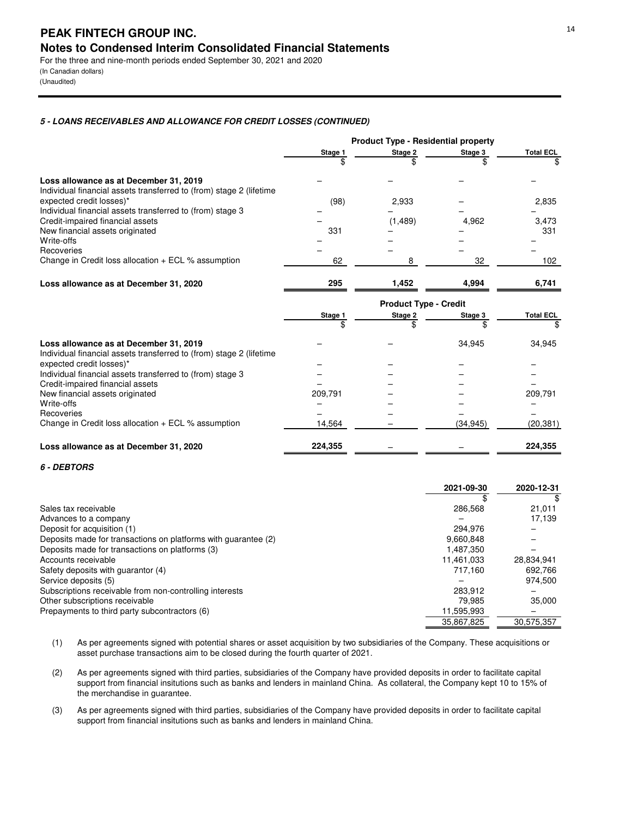(In Canadian dollars) (Unaudited)

## **5 - LOANS RECEIVABLES AND ALLOWANCE FOR CREDIT LOSSES (CONTINUED)**

|                                                                                               | <b>Product Type - Residential property</b> |                              |           |                  |
|-----------------------------------------------------------------------------------------------|--------------------------------------------|------------------------------|-----------|------------------|
|                                                                                               | Stage 1                                    | Stage 2                      | Stage 3   | <b>Total ECL</b> |
|                                                                                               |                                            |                              |           |                  |
| Loss allowance as at December 31, 2019                                                        |                                            |                              |           |                  |
| Individual financial assets transferred to (from) stage 2 (lifetime                           |                                            |                              |           |                  |
| expected credit losses)*                                                                      | (98)                                       | 2,933                        |           | 2,835            |
| Individual financial assets transferred to (from) stage 3                                     |                                            |                              |           |                  |
| Credit-impaired financial assets<br>New financial assets originated                           | 331                                        | (1, 489)                     | 4,962     | 3,473<br>331     |
| Write-offs                                                                                    |                                            |                              |           |                  |
| Recoveries                                                                                    |                                            |                              |           |                  |
| Change in Credit loss allocation + ECL % assumption                                           | 62                                         | 8                            | 32        | 102              |
| Loss allowance as at December 31, 2020                                                        | 295                                        | 1,452                        | 4,994     | 6,741            |
|                                                                                               |                                            | <b>Product Type - Credit</b> |           |                  |
|                                                                                               | Stage 1                                    | Stage 2                      | Stage 3   | <b>Total ECL</b> |
|                                                                                               | \$                                         | \$                           |           | \$               |
| Loss allowance as at December 31, 2019                                                        |                                            |                              | 34.945    | 34,945           |
| Individual financial assets transferred to (from) stage 2 (lifetime                           |                                            |                              |           |                  |
| expected credit losses)*                                                                      |                                            |                              |           |                  |
| Individual financial assets transferred to (from) stage 3<br>Credit-impaired financial assets |                                            |                              |           |                  |
| New financial assets originated                                                               | 209,791                                    |                              |           | 209,791          |
| Write-offs                                                                                    |                                            |                              |           |                  |
| Recoveries                                                                                    |                                            |                              |           |                  |
| Change in Credit loss allocation + ECL % assumption                                           | 14,564                                     |                              | (34, 945) | (20, 381)        |
| Loss allowance as at December 31, 2020                                                        | 224,355                                    |                              |           | 224,355          |

## **6 - DEBTORS**

|                                                                | 2021-09-30 | 2020-12-31 |
|----------------------------------------------------------------|------------|------------|
|                                                                |            |            |
| Sales tax receivable                                           | 286,568    | 21,011     |
| Advances to a company                                          |            | 17.139     |
| Deposit for acquisition (1)                                    | 294.976    |            |
| Deposits made for transactions on platforms with guarantee (2) | 9,660,848  |            |
| Deposits made for transactions on platforms (3)                | 1.487.350  |            |
| Accounts receivable                                            | 11.461.033 | 28,834,941 |
| Safety deposits with quarantor (4)                             | 717.160    | 692.766    |
| Service deposits (5)                                           |            | 974.500    |
| Subscriptions receivable from non-controlling interests        | 283,912    |            |
| Other subscriptions receivable                                 | 79.985     | 35,000     |
| Prepayments to third party subcontractors (6)                  | 11,595,993 |            |
|                                                                | 35.867.825 | 30,575,357 |

(1) As per agreements signed with potential shares or asset acquisition by two subsidiaries of the Company. These acquisitions or asset purchase transactions aim to be closed during the fourth quarter of 2021.

(2) As per agreements signed with third parties, subsidiaries of the Company have provided deposits in order to facilitate capital support from financial insitutions such as banks and lenders in mainland China. As collateral, the Company kept 10 to 15% of the merchandise in guarantee.

(3) As per agreements signed with third parties, subsidiaries of the Company have provided deposits in order to facilitate capital support from financial insitutions such as banks and lenders in mainland China.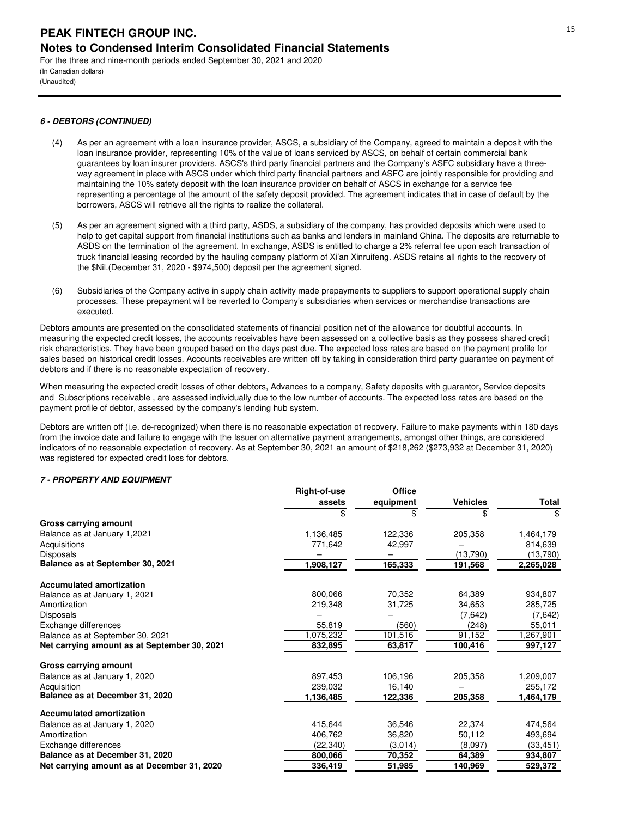(In Canadian dollars) (Unaudited)

## **6 - DEBTORS (CONTINUED)**

- (4) As per an agreement with a loan insurance provider, ASCS, a subsidiary of the Company, agreed to maintain a deposit with the loan insurance provider, representing 10% of the value of loans serviced by ASCS, on behalf of certain commercial bank guarantees by loan insurer providers. ASCS's third party financial partners and the Company's ASFC subsidiary have a threeway agreement in place with ASCS under which third party financial partners and ASFC are jointly responsible for providing and maintaining the 10% safety deposit with the loan insurance provider on behalf of ASCS in exchange for a service fee representing a percentage of the amount of the safety deposit provided. The agreement indicates that in case of default by the borrowers, ASCS will retrieve all the rights to realize the collateral.
- (5) As per an agreement signed with a third party, ASDS, a subsidiary of the company, has provided deposits which were used to help to get capital support from financial institutions such as banks and lenders in mainland China. The deposits are returnable to ASDS on the termination of the agreement. In exchange, ASDS is entitled to charge a 2% referral fee upon each transaction of truck financial leasing recorded by the hauling company platform of Xi'an Xinruifeng. ASDS retains all rights to the recovery of the \$Nil.(December 31, 2020 - \$974,500) deposit per the agreement signed.
- (6) Subsidiaries of the Company active in supply chain activity made prepayments to suppliers to support operational supply chain processes. These prepayment will be reverted to Company's subsidiaries when services or merchandise transactions are executed.

Debtors amounts are presented on the consolidated statements of financial position net of the allowance for doubtful accounts. In measuring the expected credit losses, the accounts receivables have been assessed on a collective basis as they possess shared credit risk characteristics. They have been grouped based on the days past due. The expected loss rates are based on the payment profile for sales based on historical credit losses. Accounts receivables are written off by taking in consideration third party guarantee on payment of debtors and if there is no reasonable expectation of recovery.

When measuring the expected credit losses of other debtors, Advances to a company, Safety deposits with guarantor, Service deposits and Subscriptions receivable , are assessed individually due to the low number of accounts. The expected loss rates are based on the payment profile of debtor, assessed by the company's lending hub system.

Debtors are written off (i.e. de-recognized) when there is no reasonable expectation of recovery. Failure to make payments within 180 days from the invoice date and failure to engage with the Issuer on alternative payment arrangements, amongst other things, are considered indicators of no reasonable expectation of recovery. As at September 30, 2021 an amount of \$218,262 (\$273,932 at December 31, 2020) was registered for expected credit loss for debtors.

## **7 - PROPERTY AND EQUIPMENT**

|                                              | Right-of-use | <b>Office</b> |                 |           |
|----------------------------------------------|--------------|---------------|-----------------|-----------|
|                                              | assets       | equipment     | <b>Vehicles</b> | Total     |
|                                              |              | \$            |                 | \$        |
| <b>Gross carrying amount</b>                 |              |               |                 |           |
| Balance as at January 1,2021                 | 1,136,485    | 122,336       | 205,358         | 1,464,179 |
| Acquisitions                                 | 771,642      | 42,997        |                 | 814,639   |
| Disposals                                    |              |               | (13,790)        | (13,790)  |
| Balance as at September 30, 2021             | ,908,127     | 165,333       | 191,568         | 2,265,028 |
| <b>Accumulated amortization</b>              |              |               |                 |           |
| Balance as at January 1, 2021                | 800,066      | 70,352        | 64,389          | 934,807   |
| Amortization                                 | 219,348      | 31,725        | 34.653          | 285,725   |
| Disposals                                    |              |               | (7,642)         | (7,642)   |
| Exchange differences                         | 55,819       | (560)         | (248)           | 55,011    |
| Balance as at September 30, 2021             | ,075,232     | 101,516       | 91,152          | 1,267,901 |
| Net carrying amount as at September 30, 2021 | 832,895      | 63,817        | 100,416         | 997,127   |
| Gross carrying amount                        |              |               |                 |           |
| Balance as at January 1, 2020                | 897.453      | 106,196       | 205,358         | 1,209,007 |
| Acquisition                                  | 239,032      | 16,140        |                 | 255,172   |
| Balance as at December 31, 2020              | 1,136,485    | 122,336       | 205,358         | 1,464,179 |
| <b>Accumulated amortization</b>              |              |               |                 |           |
| Balance as at January 1, 2020                | 415,644      | 36,546        | 22,374          | 474,564   |
| Amortization                                 | 406,762      | 36,820        | 50,112          | 493,694   |
| Exchange differences                         | (22, 340)    | (3,014)       | (8,097)         | (33, 451) |
| Balance as at December 31, 2020              | 800,066      | 70,352        | 64,389          | 934,807   |
| Net carrying amount as at December 31, 2020  | 336,419      | 51,985        | 140,969         | 529,372   |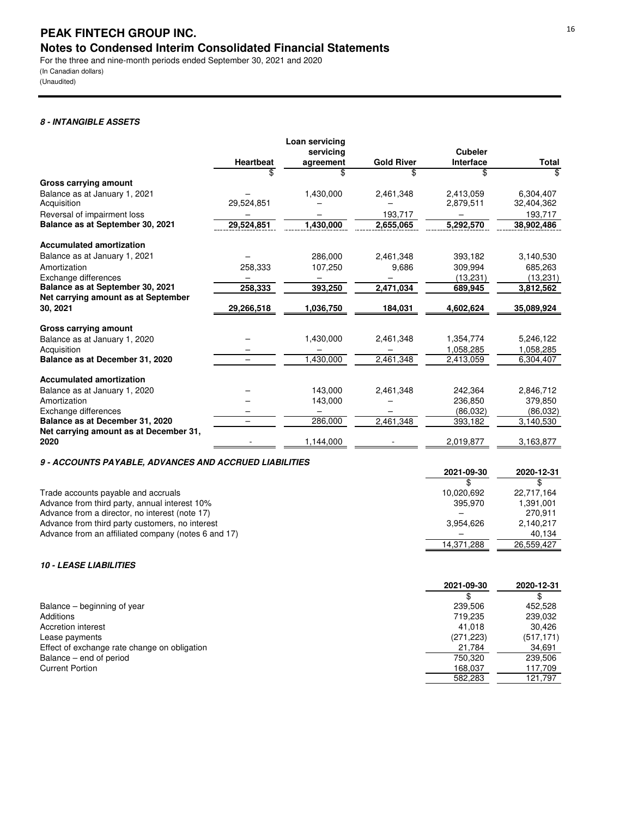(In Canadian dollars) (Unaudited)

## **8 - INTANGIBLE ASSETS**

|                                        |                  | Loan servicing |                   |                |              |
|----------------------------------------|------------------|----------------|-------------------|----------------|--------------|
|                                        |                  | servicing      |                   | <b>Cubeler</b> |              |
|                                        | <b>Heartbeat</b> | agreement      | <b>Gold River</b> | Interface      | <b>Total</b> |
|                                        | \$               | \$.            | \$                | \$             | \$           |
| Gross carrying amount                  |                  |                |                   |                |              |
| Balance as at January 1, 2021          |                  | 1,430,000      | 2,461,348         | 2,413,059      | 6.304.407    |
| Acquisition                            | 29,524,851       |                |                   | 2,879,511      | 32,404,362   |
| Reversal of impairment loss            |                  |                | 193,717           |                | 193,717      |
| Balance as at September 30, 2021       | 29,524,851       | 1,430,000      | 2,655,065         | 5,292,570      | 38,902,486   |
| <b>Accumulated amortization</b>        |                  |                |                   |                |              |
| Balance as at January 1, 2021          |                  | 286,000        | 2,461,348         | 393,182        | 3,140,530    |
| Amortization                           | 258,333          | 107,250        | 9,686             | 309.994        | 685.263      |
| Exchange differences                   |                  |                |                   | (13, 231)      | (13, 231)    |
| Balance as at September 30, 2021       | 258,333          | 393,250        | 2,471,034         | 689,945        | 3,812,562    |
| Net carrying amount as at September    |                  |                |                   |                |              |
| 30, 2021                               | 29,266,518       | 1,036,750      | 184,031           | 4,602,624      | 35,089,924   |
| Gross carrying amount                  |                  |                |                   |                |              |
| Balance as at January 1, 2020          |                  | 1,430,000      | 2,461,348         | 1,354,774      | 5,246,122    |
| Acquisition                            |                  |                |                   | 1,058,285      | 1,058,285    |
| Balance as at December 31, 2020        |                  | 1,430,000      | 2,461,348         | 2,413,059      | 6,304,407    |
| <b>Accumulated amortization</b>        |                  |                |                   |                |              |
| Balance as at January 1, 2020          |                  | 143,000        | 2,461,348         | 242.364        | 2,846,712    |
| Amortization                           |                  | 143,000        |                   | 236,850        | 379,850      |
| Exchange differences                   |                  |                |                   | (86.032)       | (86,032)     |
| Balance as at December 31, 2020        |                  | 286,000        | 2,461,348         | 393,182        | 3,140,530    |
| Net carrying amount as at December 31, |                  |                |                   |                |              |
| 2020                                   |                  | 1,144,000      |                   | 2,019,877      | 3,163,877    |

## **9 - ACCOUNTS PAYABLE, ADVANCES AND ACCRUED LIABILITIES**

| 3 - AUGUONTO FATADLL, AD VANULO AND AUGHULD LIADILITILO |            |            |
|---------------------------------------------------------|------------|------------|
|                                                         | 2021-09-30 | 2020-12-31 |
|                                                         |            |            |
| Trade accounts payable and accruals                     | 10.020.692 | 22.717.164 |
| Advance from third party, annual interest 10%           | 395.970    | 1,391,001  |
| Advance from a director, no interest (note 17)          |            | 270.911    |
| Advance from third party customers, no interest         | 3.954.626  | 2.140.217  |
| Advance from an affiliated company (notes 6 and 17)     |            | 40.134     |
|                                                         | 14,371,288 | 26.559.427 |

## **10 - LEASE LIABILITIES**

| 239.506<br>Balance – beginning of year<br>Additions<br>719.235<br>Accretion interest<br>41.018<br>(271, 223)<br>Lease payments<br>Effect of exchange rate change on obligation<br>21,784<br>Balance – end of period<br>750.320<br><b>Current Portion</b><br>168.037<br>582.283 | 2021-09-30 | 2020-12-31 |
|--------------------------------------------------------------------------------------------------------------------------------------------------------------------------------------------------------------------------------------------------------------------------------|------------|------------|
|                                                                                                                                                                                                                                                                                |            |            |
|                                                                                                                                                                                                                                                                                |            | 452.528    |
|                                                                                                                                                                                                                                                                                |            | 239.032    |
|                                                                                                                                                                                                                                                                                |            | 30.426     |
|                                                                                                                                                                                                                                                                                |            | (517, 171) |
|                                                                                                                                                                                                                                                                                |            | 34,691     |
|                                                                                                                                                                                                                                                                                |            | 239.506    |
|                                                                                                                                                                                                                                                                                |            | 117.709    |
|                                                                                                                                                                                                                                                                                |            | 121.797    |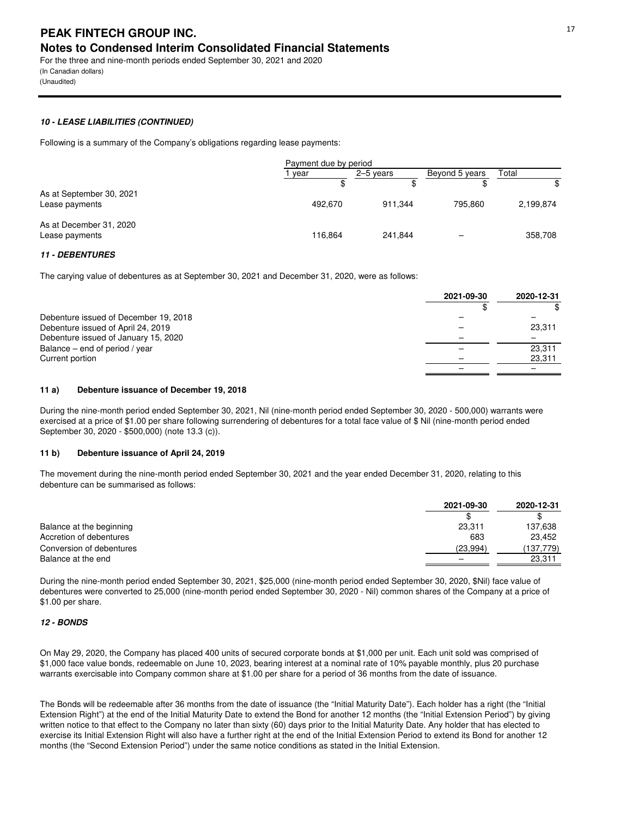(In Canadian dollars) (Unaudited)

## **10 - LEASE LIABILITIES (CONTINUED)**

Following is a summary of the Company's obligations regarding lease payments:

|                                            | Payment due by period |           |                |           |
|--------------------------------------------|-----------------------|-----------|----------------|-----------|
|                                            | vear                  | 2–5 years | Beyond 5 years | Total     |
|                                            |                       |           |                | \$        |
| As at September 30, 2021<br>Lease payments | 492.670               | 911.344   | 795.860        | 2,199,874 |
| As at December 31, 2020<br>Lease payments  | 116,864               | 241.844   | -              | 358,708   |

## **11 - DEBENTURES**

The carying value of debentures as at September 30, 2021 and December 31, 2020, were as follows:

|                                       | 2021-09-30 | 2020-12-31 |
|---------------------------------------|------------|------------|
|                                       |            |            |
| Debenture issued of December 19, 2018 |            |            |
| Debenture issued of April 24, 2019    |            | 23,311     |
| Debenture issued of January 15, 2020  |            |            |
| Balance – end of period / year        |            | 23,311     |
| Current portion                       |            | 23,311     |
|                                       |            |            |

## **11 a) Debenture issuance of December 19, 2018**

During the nine-month period ended September 30, 2021, Nil (nine-month period ended September 30, 2020 - 500,000) warrants were exercised at a price of \$1.00 per share following surrendering of debentures for a total face value of \$ Nil (nine-month period ended September 30, 2020 - \$500,000) (note 13.3 (c)).

## **11 b) Debenture issuance of April 24, 2019**

The movement during the nine-month period ended September 30, 2021 and the year ended December 31, 2020, relating to this debenture can be summarised as follows:

|                          | 2021-09-30 | 2020-12-31 |
|--------------------------|------------|------------|
|                          |            |            |
| Balance at the beginning | 23,311     | 137,638    |
| Accretion of debentures  | 683        | 23.452     |
| Conversion of debentures | (23,994)   | (137,779)  |
| Balance at the end       |            | 23,311     |

During the nine-month period ended September 30, 2021, \$25,000 (nine-month period ended September 30, 2020, \$Nil) face value of debentures were converted to 25,000 (nine-month period ended September 30, 2020 - Nil) common shares of the Company at a price of \$1.00 per share.

## **12 - BONDS**

On May 29, 2020, the Company has placed 400 units of secured corporate bonds at \$1,000 per unit. Each unit sold was comprised of \$1,000 face value bonds, redeemable on June 10, 2023, bearing interest at a nominal rate of 10% payable monthly, plus 20 purchase warrants exercisable into Company common share at \$1.00 per share for a period of 36 months from the date of issuance.

The Bonds will be redeemable after 36 months from the date of issuance (the "Initial Maturity Date"). Each holder has a right (the "Initial Extension Right") at the end of the Initial Maturity Date to extend the Bond for another 12 months (the "Initial Extension Period") by giving written notice to that effect to the Company no later than sixty (60) days prior to the Initial Maturity Date. Any holder that has elected to exercise its Initial Extension Right will also have a further right at the end of the Initial Extension Period to extend its Bond for another 12 months (the "Second Extension Period") under the same notice conditions as stated in the Initial Extension.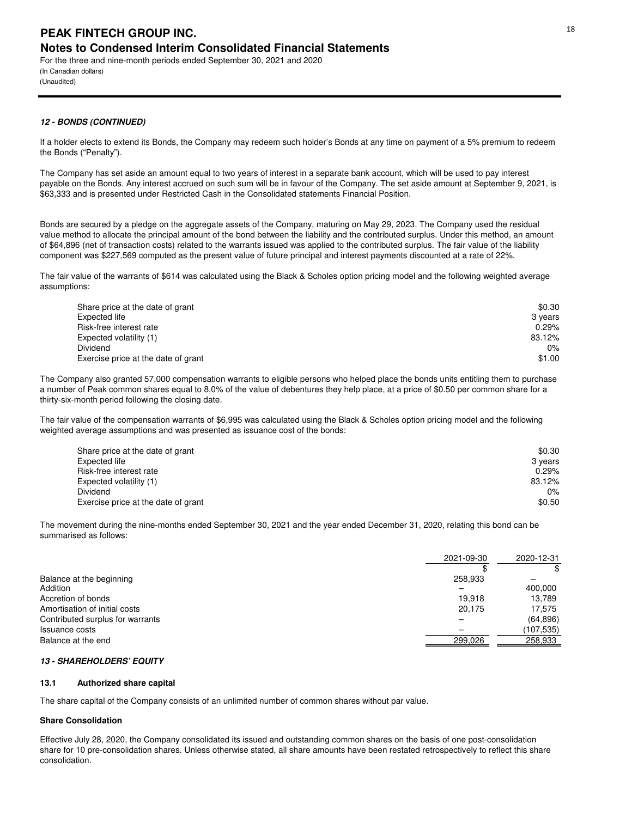(In Canadian dollars) (Unaudited)

## **12 - BONDS (CONTINUED)**

If a holder elects to extend its Bonds, the Company may redeem such holder's Bonds at any time on payment of a 5% premium to redeem the Bonds ("Penalty").

The Company has set aside an amount equal to two years of interest in a separate bank account, which will be used to pay interest payable on the Bonds. Any interest accrued on such sum will be in favour of the Company. The set aside amount at September 9, 2021, is \$63,333 and is presented under Restricted Cash in the Consolidated statements Financial Position.

Bonds are secured by a pledge on the aggregate assets of the Company, maturing on May 29, 2023. The Company used the residual value method to allocate the principal amount of the bond between the liability and the contributed surplus. Under this method, an amount of \$64,896 (net of transaction costs) related to the warrants issued was applied to the contributed surplus. The fair value of the liability component was \$227,569 computed as the present value of future principal and interest payments discounted at a rate of 22%.

The fair value of the warrants of \$614 was calculated using the Black & Scholes option pricing model and the following weighted average assumptions:

| Share price at the date of grant    | \$0.30  |
|-------------------------------------|---------|
| Expected life                       | 3 years |
| Risk-free interest rate             | 0.29%   |
| Expected volatility (1)             | 83.12%  |
| Dividend                            | 0%      |
| Exercise price at the date of grant | \$1.00  |

The Company also granted 57,000 compensation warrants to eligible persons who helped place the bonds units entitling them to purchase a number of Peak common shares equal to 8,0% of the value of debentures they help place, at a price of \$0.50 per common share for a thirty-six-month period following the closing date.

The fair value of the compensation warrants of \$6,995 was calculated using the Black & Scholes option pricing model and the following weighted average assumptions and was presented as issuance cost of the bonds:

| Share price at the date of grant    | \$0.30  |
|-------------------------------------|---------|
| Expected life                       | 3 years |
| Risk-free interest rate             | 0.29%   |
| Expected volatility (1)             | 83.12%  |
| Dividend                            | $0\%$   |
| Exercise price at the date of grant | \$0.50  |

The movement during the nine-months ended September 30, 2021 and the year ended December 31, 2020, relating this bond can be summarised as follows:

|                                  | 2021-09-30 | 2020-12-31 |
|----------------------------------|------------|------------|
|                                  |            | \$         |
| Balance at the beginning         | 258.933    |            |
| Addition                         |            | 400,000    |
| Accretion of bonds               | 19.918     | 13.789     |
| Amortisation of initial costs    | 20.175     | 17.575     |
| Contributed surplus for warrants |            | (64, 896)  |
| Issuance costs                   |            | (107, 535) |
| Balance at the end               | 299,026    | 258,933    |

## **13 - SHAREHOLDERS' EQUITY**

## **13.1 Authorized share capital**

The share capital of the Company consists of an unlimited number of common shares without par value.

## **Share Consolidation**

Effective July 28, 2020, the Company consolidated its issued and outstanding common shares on the basis of one post-consolidation share for 10 pre-consolidation shares. Unless otherwise stated, all share amounts have been restated retrospectively to reflect this share consolidation.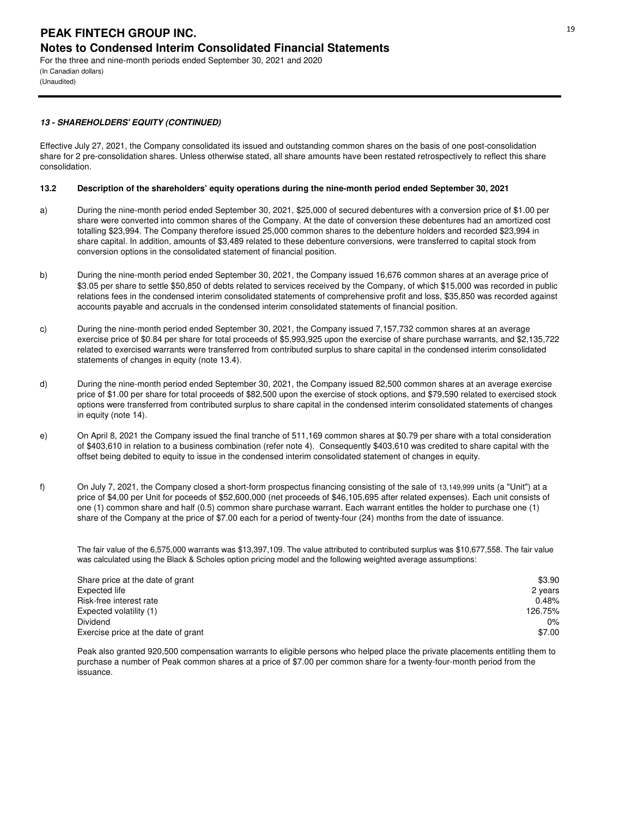(In Canadian dollars) (Unaudited)

## **13 - SHAREHOLDERS' EQUITY (CONTINUED)**

Effective July 27, 2021, the Company consolidated its issued and outstanding common shares on the basis of one post-consolidation share for 2 pre-consolidation shares. Unless otherwise stated, all share amounts have been restated retrospectively to reflect this share consolidation.

## **13.2 Description of the shareholders' equity operations during the nine-month period ended September 30, 2021**

- a) During the nine-month period ended September 30, 2021, \$25,000 of secured debentures with a conversion price of \$1.00 per share were converted into common shares of the Company. At the date of conversion these debentures had an amortized cost totalling \$23,994. The Company therefore issued 25,000 common shares to the debenture holders and recorded \$23,994 in share capital. In addition, amounts of \$3,489 related to these debenture conversions, were transferred to capital stock from conversion options in the consolidated statement of financial position.
- b) During the nine-month period ended September 30, 2021, the Company issued 16,676 common shares at an average price of \$3.05 per share to settle \$50,850 of debts related to services received by the Company, of which \$15,000 was recorded in public relations fees in the condensed interim consolidated statements of comprehensive profit and loss, \$35,850 was recorded against accounts payable and accruals in the condensed interim consolidated statements of financial position.
- c) During the nine-month period ended September 30, 2021, the Company issued 7,157,732 common shares at an average exercise price of \$0.84 per share for total proceeds of \$5,993,925 upon the exercise of share purchase warrants, and \$2,135,722 related to exercised warrants were transferred from contributed surplus to share capital in the condensed interim consolidated statements of changes in equity (note 13.4).
- d) During the nine-month period ended September 30, 2021, the Company issued 82,500 common shares at an average exercise price of \$1.00 per share for total proceeds of \$82,500 upon the exercise of stock options, and \$79,590 related to exercised stock options were transferred from contributed surplus to share capital in the condensed interim consolidated statements of changes in equity (note 14).
- e) On April 8, 2021 the Company issued the final tranche of 511,169 common shares at \$0.79 per share with a total consideration of \$403,610 in relation to a business combination (refer note 4). Consequently \$403,610 was credited to share capital with the offset being debited to equity to issue in the condensed interim consolidated statement of changes in equity.
- f) On July 7, 2021, the Company closed a short-form prospectus financing consisting of the sale of 13,149,999 units (a "Unit") at a price of \$4,00 per Unit for poceeds of \$52,600,000 (net proceeds of \$46,105,695 after related expenses). Each unit consists of one (1) common share and half (0.5) common share purchase warrant. Each warrant entitles the holder to purchase one (1) share of the Company at the price of \$7.00 each for a period of twenty-four (24) months from the date of issuance.

The fair value of the 6,575,000 warrants was \$13,397,109. The value attributed to contributed surplus was \$10,677,558. The fair value was calculated using the Black & Scholes option pricing model and the following weighted average assumptions:

| \$3.90  |
|---------|
| 2 years |
| 0.48%   |
| 126.75% |
| 0%      |
| \$7.00  |
|         |

Peak also granted 920,500 compensation warrants to eligible persons who helped place the private placements entitling them to purchase a number of Peak common shares at a price of \$7.00 per common share for a twenty-four-month period from the issuance.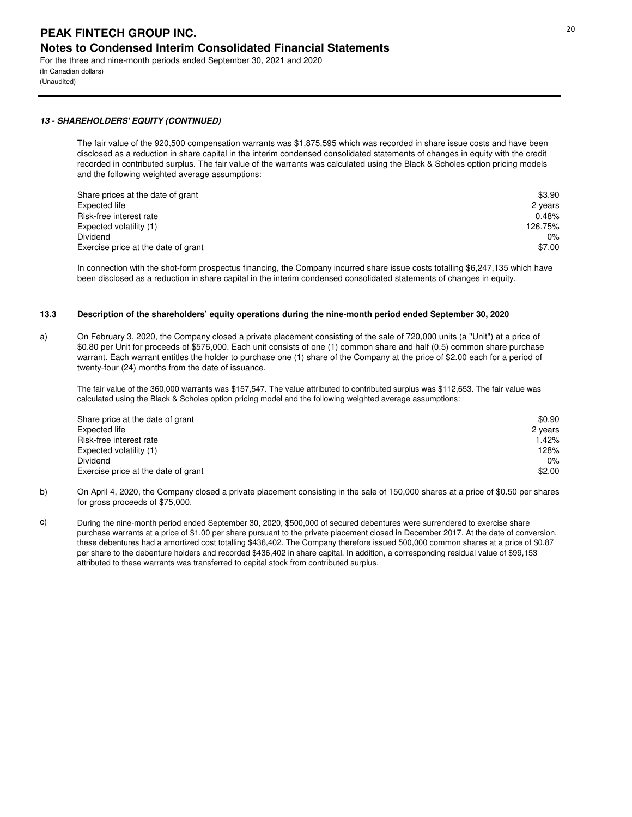(In Canadian dollars) (Unaudited)

## **13 - SHAREHOLDERS' EQUITY (CONTINUED)**

The fair value of the 920,500 compensation warrants was \$1,875,595 which was recorded in share issue costs and have been disclosed as a reduction in share capital in the interim condensed consolidated statements of changes in equity with the credit recorded in contributed surplus. The fair value of the warrants was calculated using the Black & Scholes option pricing models and the following weighted average assumptions:

| Share prices at the date of grant   | \$3.90  |
|-------------------------------------|---------|
| Expected life                       | 2 years |
| Risk-free interest rate             | 0.48%   |
| Expected volatility (1)             | 126.75% |
| Dividend                            | 0%      |
| Exercise price at the date of grant | \$7.00  |

In connection with the shot-form prospectus financing, the Company incurred share issue costs totalling \$6,247,135 which have been disclosed as a reduction in share capital in the interim condensed consolidated statements of changes in equity.

#### **13.3 Description of the shareholders' equity operations during the nine-month period ended September 30, 2020**

a) On February 3, 2020, the Company closed a private placement consisting of the sale of 720,000 units (a ''Unit'') at a price of \$0.80 per Unit for proceeds of \$576,000. Each unit consists of one (1) common share and half (0.5) common share purchase warrant. Each warrant entitles the holder to purchase one (1) share of the Company at the price of \$2.00 each for a period of twenty-four (24) months from the date of issuance.

The fair value of the 360,000 warrants was \$157,547. The value attributed to contributed surplus was \$112,653. The fair value was calculated using the Black & Scholes option pricing model and the following weighted average assumptions:

| Share price at the date of grant    | \$0.90  |
|-------------------------------------|---------|
| Expected life                       | 2 years |
| Risk-free interest rate             | 1.42%   |
| Expected volatility (1)             | 128%    |
| Dividend                            | 0%      |
| Exercise price at the date of grant | \$2.00  |

- b) On April 4, 2020, the Company closed a private placement consisting in the sale of 150,000 shares at a price of \$0.50 per shares for gross proceeds of \$75,000.
- c) During the nine-month period ended September 30, 2020, \$500,000 of secured debentures were surrendered to exercise share purchase warrants at a price of \$1.00 per share pursuant to the private placement closed in December 2017. At the date of conversion, these debentures had a amortized cost totalling \$436,402. The Company therefore issued 500,000 common shares at a price of \$0.87 per share to the debenture holders and recorded \$436,402 in share capital. In addition, a corresponding residual value of \$99,153 attributed to these warrants was transferred to capital stock from contributed surplus.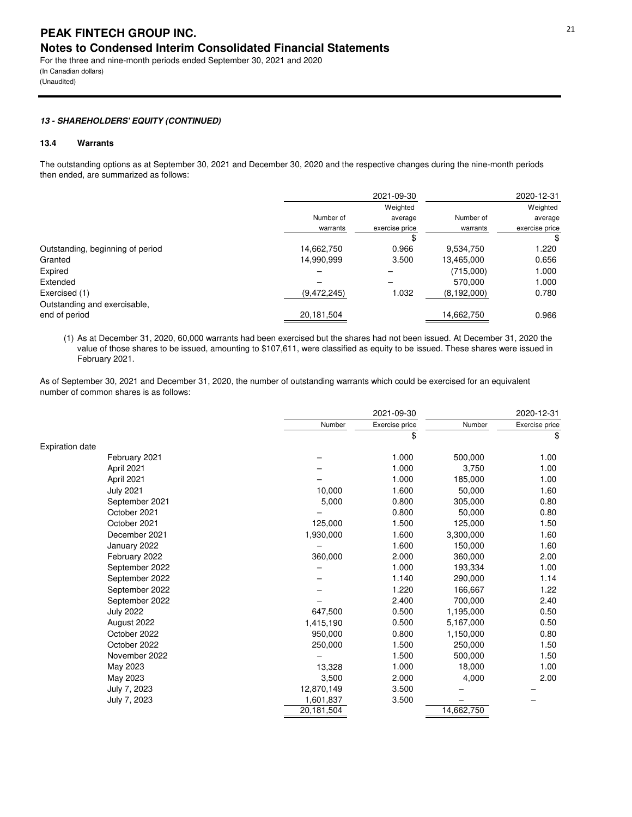(In Canadian dollars) (Unaudited)

## **13 - SHAREHOLDERS' EQUITY (CONTINUED)**

## **13.4 Warrants**

The outstanding options as at September 30, 2021 and December 30, 2020 and the respective changes during the nine-month periods then ended, are summarized as follows:

|                                  |               | 2021-09-30     |               | 2020-12-31     |
|----------------------------------|---------------|----------------|---------------|----------------|
|                                  |               | Weighted       |               | Weighted       |
|                                  | Number of     | average        | Number of     | average        |
|                                  | warrants      | exercise price | warrants      | exercise price |
|                                  |               |                |               | \$             |
| Outstanding, beginning of period | 14,662,750    | 0.966          | 9,534,750     | 1.220          |
| Granted                          | 14,990,999    | 3.500          | 13,465,000    | 0.656          |
| Expired                          |               |                | (715,000)     | 1.000          |
| Extended                         |               |                | 570.000       | 1.000          |
| Exercised (1)                    | (9, 472, 245) | 1.032          | (8, 192, 000) | 0.780          |
| Outstanding and exercisable,     |               |                |               |                |
| end of period                    | 20,181,504    |                | 14,662,750    | 0.966          |

(1) As at December 31, 2020, 60,000 warrants had been exercised but the shares had not been issued. At December 31, 2020 the value of those shares to be issued, amounting to \$107,611, were classified as equity to be issued. These shares were issued in February 2021.

As of September 30, 2021 and December 31, 2020, the number of outstanding warrants which could be exercised for an equivalent number of common shares is as follows:

|                        | 2021-09-30 |                |            | 2020-12-31     |
|------------------------|------------|----------------|------------|----------------|
|                        | Number     | Exercise price | Number     | Exercise price |
|                        |            | \$             |            | \$             |
| <b>Expiration date</b> |            |                |            |                |
| February 2021          |            | 1.000          | 500,000    | 1.00           |
| April 2021             |            | 1.000          | 3,750      | 1.00           |
| April 2021             |            | 1.000          | 185,000    | 1.00           |
| <b>July 2021</b>       | 10,000     | 1.600          | 50,000     | 1.60           |
| September 2021         | 5,000      | 0.800          | 305,000    | 0.80           |
| October 2021           |            | 0.800          | 50,000     | 0.80           |
| October 2021           | 125,000    | 1.500          | 125,000    | 1.50           |
| December 2021          | 1,930,000  | 1.600          | 3,300,000  | 1.60           |
| January 2022           |            | 1.600          | 150,000    | 1.60           |
| February 2022          | 360,000    | 2.000          | 360,000    | 2.00           |
| September 2022         |            | 1.000          | 193,334    | 1.00           |
| September 2022         |            | 1.140          | 290,000    | 1.14           |
| September 2022         |            | 1.220          | 166,667    | 1.22           |
| September 2022         |            | 2.400          | 700,000    | 2.40           |
| <b>July 2022</b>       | 647,500    | 0.500          | 1,195,000  | 0.50           |
| August 2022            | 1,415,190  | 0.500          | 5,167,000  | 0.50           |
| October 2022           | 950,000    | 0.800          | 1,150,000  | 0.80           |
| October 2022           | 250,000    | 1.500          | 250,000    | 1.50           |
| November 2022          |            | 1.500          | 500,000    | 1.50           |
| May 2023               | 13,328     | 1.000          | 18,000     | 1.00           |
| May 2023               | 3,500      | 2.000          | 4,000      | 2.00           |
| July 7, 2023           | 12,870,149 | 3.500          |            |                |
| July 7, 2023           | 1,601,837  | 3.500          |            |                |
|                        | 20,181,504 |                | 14,662,750 |                |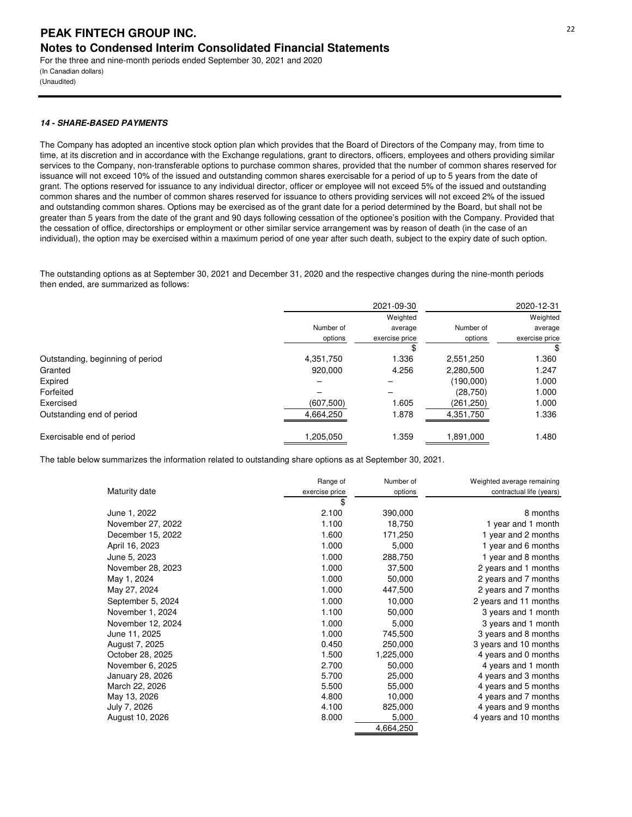(In Canadian dollars) (Unaudited)

## **14 - SHARE-BASED PAYMENTS**

The Company has adopted an incentive stock option plan which provides that the Board of Directors of the Company may, from time to time, at its discretion and in accordance with the Exchange regulations, grant to directors, officers, employees and others providing similar services to the Company, non-transferable options to purchase common shares, provided that the number of common shares reserved for issuance will not exceed 10% of the issued and outstanding common shares exercisable for a period of up to 5 years from the date of grant. The options reserved for issuance to any individual director, officer or employee will not exceed 5% of the issued and outstanding common shares and the number of common shares reserved for issuance to others providing services will not exceed 2% of the issued and outstanding common shares. Options may be exercised as of the grant date for a period determined by the Board, but shall not be greater than 5 years from the date of the grant and 90 days following cessation of the optionee's position with the Company. Provided that the cessation of office, directorships or employment or other similar service arrangement was by reason of death (in the case of an individual), the option may be exercised within a maximum period of one year after such death, subject to the expiry date of such option.

The outstanding options as at September 30, 2021 and December 31, 2020 and the respective changes during the nine-month periods then ended, are summarized as follows:

|                                  |            | 2021-09-30     |            | 2020-12-31     |
|----------------------------------|------------|----------------|------------|----------------|
|                                  |            | Weighted       |            | Weighted       |
|                                  | Number of  | average        | Number of  | average        |
|                                  | options    | exercise price | options    | exercise price |
|                                  |            | \$             |            |                |
| Outstanding, beginning of period | 4,351,750  | 1.336          | 2,551,250  | 1.360          |
| Granted                          | 920.000    | 4.256          | 2,280,500  | 1.247          |
| Expired                          |            |                | (190,000)  | 1.000          |
| Forfeited                        |            |                | (28, 750)  | 1.000          |
| Exercised                        | (607, 500) | 1.605          | (261, 250) | 1.000          |
| Outstanding end of period        | 4,664,250  | 1.878          | 4,351,750  | 1.336          |
| Exercisable end of period        | 1,205,050  | 1.359          | 1,891,000  | 1.480          |

The table below summarizes the information related to outstanding share options as at September 30, 2021.

|                   | Range of       | Number of | Weighted average remaining |
|-------------------|----------------|-----------|----------------------------|
| Maturity date     | exercise price | options   | contractual life (years)   |
|                   | \$             |           |                            |
| June 1, 2022      | 2.100          | 390,000   | 8 months                   |
| November 27, 2022 | 1.100          | 18,750    | 1 year and 1 month         |
| December 15, 2022 | 1.600          | 171,250   | 1 year and 2 months        |
| April 16, 2023    | 1.000          | 5,000     | 1 year and 6 months        |
| June 5, 2023      | 1.000          | 288,750   | 1 year and 8 months        |
| November 28, 2023 | 1.000          | 37,500    | 2 years and 1 months       |
| May 1, 2024       | 1.000          | 50,000    | 2 years and 7 months       |
| May 27, 2024      | 1.000          | 447,500   | 2 years and 7 months       |
| September 5, 2024 | 1.000          | 10,000    | 2 years and 11 months      |
| November 1, 2024  | 1.100          | 50,000    | 3 years and 1 month        |
| November 12, 2024 | 1.000          | 5,000     | 3 years and 1 month        |
| June 11, 2025     | 1.000          | 745,500   | 3 years and 8 months       |
| August 7, 2025    | 0.450          | 250,000   | 3 years and 10 months      |
| October 28, 2025  | 1.500          | 1,225,000 | 4 years and 0 months       |
| November 6, 2025  | 2.700          | 50,000    | 4 years and 1 month        |
| January 28, 2026  | 5.700          | 25,000    | 4 years and 3 months       |
| March 22, 2026    | 5.500          | 55,000    | 4 years and 5 months       |
| May 13, 2026      | 4.800          | 10,000    | 4 years and 7 months       |
| July 7, 2026      | 4.100          | 825,000   | 4 years and 9 months       |
| August 10, 2026   | 8.000          | 5,000     | 4 years and 10 months      |
|                   |                | 4,664,250 |                            |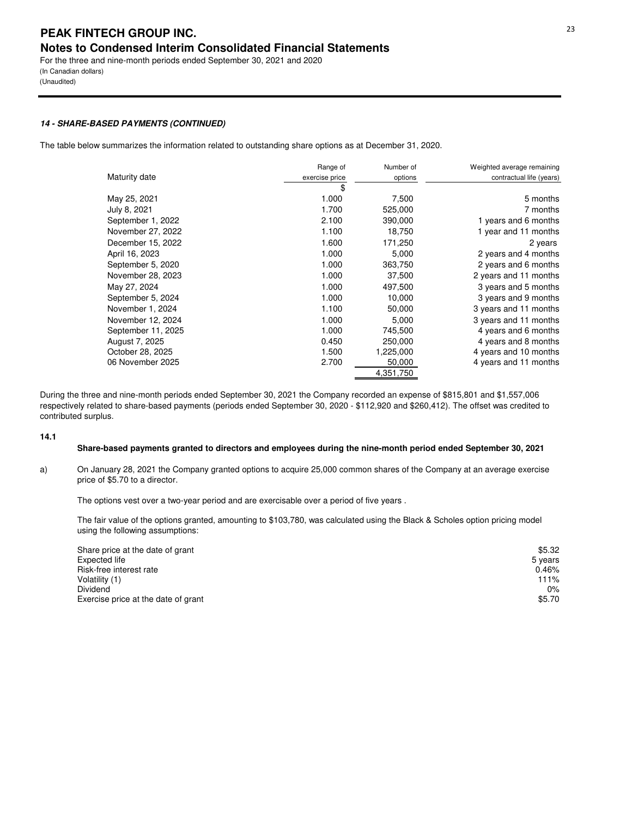(Unaudited)

## **14 - SHARE-BASED PAYMENTS (CONTINUED)**

The table below summarizes the information related to outstanding share options as at December 31, 2020.

|                    | Range of       | Number of | Weighted average remaining |
|--------------------|----------------|-----------|----------------------------|
| Maturity date      | exercise price | options   | contractual life (years)   |
|                    | \$             |           |                            |
| May 25, 2021       | 1.000          | 7,500     | 5 months                   |
| July 8, 2021       | 1.700          | 525,000   | 7 months                   |
| September 1, 2022  | 2.100          | 390,000   | 1 years and 6 months       |
| November 27, 2022  | 1.100          | 18,750    | 1 year and 11 months       |
| December 15, 2022  | 1.600          | 171,250   | 2 years                    |
| April 16, 2023     | 1.000          | 5,000     | 2 years and 4 months       |
| September 5, 2020  | 1.000          | 363,750   | 2 years and 6 months       |
| November 28, 2023  | 1.000          | 37,500    | 2 years and 11 months      |
| May 27, 2024       | 1.000          | 497,500   | 3 years and 5 months       |
| September 5, 2024  | 1.000          | 10,000    | 3 years and 9 months       |
| November 1, 2024   | 1.100          | 50,000    | 3 years and 11 months      |
| November 12, 2024  | 1.000          | 5,000     | 3 years and 11 months      |
| September 11, 2025 | 1.000          | 745,500   | 4 years and 6 months       |
| August 7, 2025     | 0.450          | 250,000   | 4 years and 8 months       |
| October 28, 2025   | 1.500          | 1,225,000 | 4 years and 10 months      |
| 06 November 2025   | 2.700          | 50,000    | 4 years and 11 months      |
|                    |                | 4,351,750 |                            |

During the three and nine-month periods ended September 30, 2021 the Company recorded an expense of \$815,801 and \$1,557,006 respectively related to share-based payments (periods ended September 30, 2020 - \$112,920 and \$260,412). The offset was credited to contributed surplus.

#### **14.1**

## **Share-based payments granted to directors and employees during the nine-month period ended September 30, 2021**

a) On January 28, 2021 the Company granted options to acquire 25,000 common shares of the Company at an average exercise price of \$5.70 to a director.

The options vest over a two-year period and are exercisable over a period of five years .

The fair value of the options granted, amounting to \$103,780, was calculated using the Black & Scholes option pricing model using the following assumptions:

| Share price at the date of grant    | \$5.32  |
|-------------------------------------|---------|
| Expected life                       | 5 years |
| Risk-free interest rate             | 0.46%   |
| Volatility (1)                      | 111%    |
| Dividend                            | 0%      |
| Exercise price at the date of grant | \$5.70  |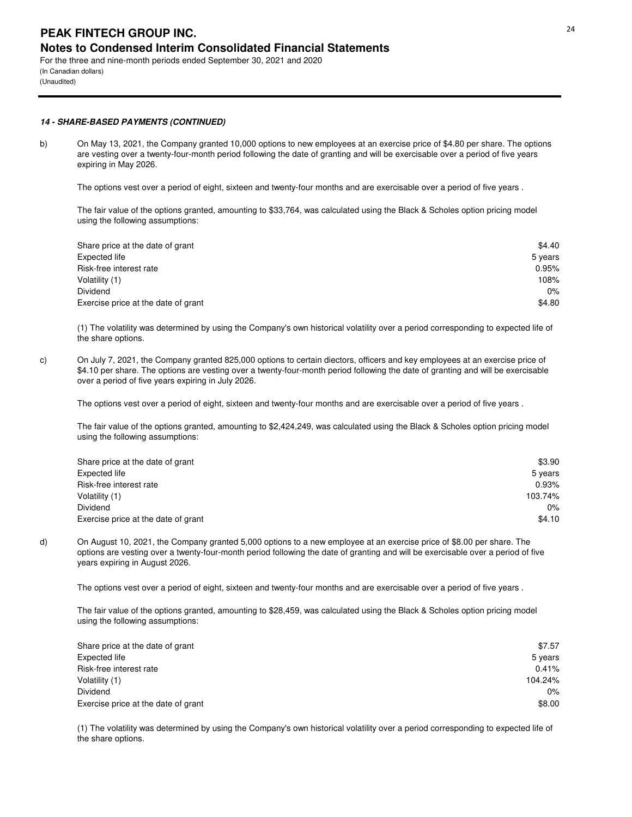(In Canadian dollars) (Unaudited)

## **14 - SHARE-BASED PAYMENTS (CONTINUED)**

b) On May 13, 2021, the Company granted 10,000 options to new employees at an exercise price of \$4.80 per share. The options are vesting over a twenty-four-month period following the date of granting and will be exercisable over a period of five years expiring in May 2026.

The options vest over a period of eight, sixteen and twenty-four months and are exercisable over a period of five years .

The fair value of the options granted, amounting to \$33,764, was calculated using the Black & Scholes option pricing model using the following assumptions:

| Share price at the date of grant    | \$4.40  |
|-------------------------------------|---------|
| Expected life                       | 5 years |
| Risk-free interest rate             | 0.95%   |
| Volatility (1)                      | 108%    |
| Dividend                            | 0%      |
| Exercise price at the date of grant | \$4.80  |

(1) The volatility was determined by using the Company's own historical volatility over a period corresponding to expected life of the share options.

c) On July 7, 2021, the Company granted 825,000 options to certain diectors, officers and key employees at an exercise price of \$4.10 per share. The options are vesting over a twenty-four-month period following the date of granting and will be exercisable over a period of five years expiring in July 2026.

The options vest over a period of eight, sixteen and twenty-four months and are exercisable over a period of five years .

The fair value of the options granted, amounting to \$2,424,249, was calculated using the Black & Scholes option pricing model using the following assumptions:

| Share price at the date of grant    | \$3.90  |
|-------------------------------------|---------|
| Expected life                       | 5 years |
| Risk-free interest rate             | 0.93%   |
| Volatility (1)                      | 103.74% |
| Dividend                            | 0%      |
| Exercise price at the date of grant | \$4.10  |

d) On August 10, 2021, the Company granted 5,000 options to a new employee at an exercise price of \$8.00 per share. The options are vesting over a twenty-four-month period following the date of granting and will be exercisable over a period of five years expiring in August 2026.

The options vest over a period of eight, sixteen and twenty-four months and are exercisable over a period of five years .

The fair value of the options granted, amounting to \$28,459, was calculated using the Black & Scholes option pricing model using the following assumptions:

| Share price at the date of grant    | \$7.57  |
|-------------------------------------|---------|
| Expected life                       | 5 years |
| Risk-free interest rate             | 0.41%   |
| Volatility (1)                      | 104.24% |
| Dividend                            | $0\%$   |
| Exercise price at the date of grant | \$8.00  |

(1) The volatility was determined by using the Company's own historical volatility over a period corresponding to expected life of the share options.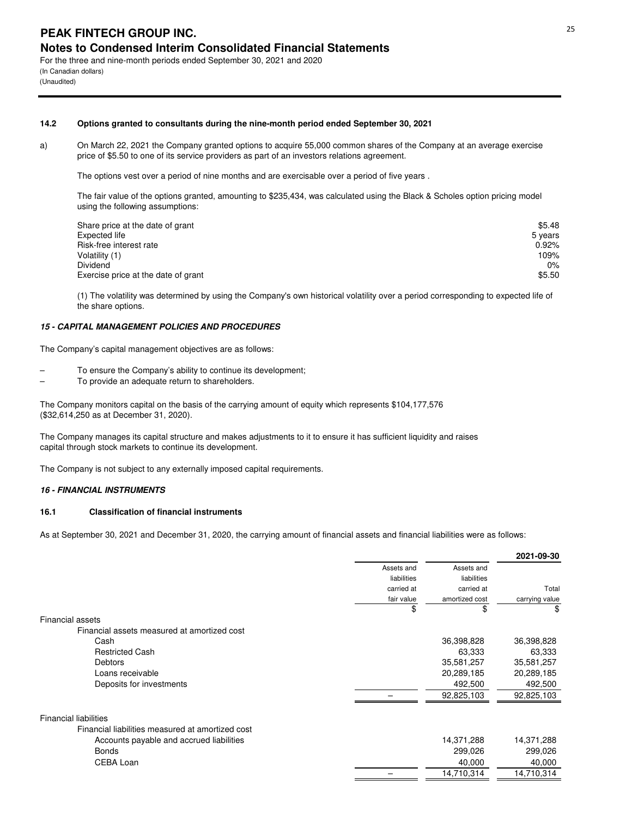For the three and nine-month periods ended September 30, 2021 and 2020 (In Canadian dollars) (Unaudited)

#### **14.2 Options granted to consultants during the nine-month period ended September 30, 2021**

a) On March 22, 2021 the Company granted options to acquire 55,000 common shares of the Company at an average exercise price of \$5.50 to one of its service providers as part of an investors relations agreement.

The options vest over a period of nine months and are exercisable over a period of five years .

The fair value of the options granted, amounting to \$235,434, was calculated using the Black & Scholes option pricing model using the following assumptions:

| Share price at the date of grant    | \$5.48  |
|-------------------------------------|---------|
| Expected life                       | 5 years |
| Risk-free interest rate             | 0.92%   |
| Volatility (1)                      | 109%    |
| Dividend                            | $0\%$   |
| Exercise price at the date of grant | \$5.50  |

(1) The volatility was determined by using the Company's own historical volatility over a period corresponding to expected life of the share options.

#### **15 - CAPITAL MANAGEMENT POLICIES AND PROCEDURES**

The Company's capital management objectives are as follows:

- To ensure the Company's ability to continue its development;
- To provide an adequate return to shareholders.

The Company monitors capital on the basis of the carrying amount of equity which represents \$104,177,576 (\$32,614,250 as at December 31, 2020).

The Company manages its capital structure and makes adjustments to it to ensure it has sufficient liquidity and raises capital through stock markets to continue its development.

The Company is not subject to any externally imposed capital requirements.

## **16 - FINANCIAL INSTRUMENTS**

## **16.1 Classification of financial instruments**

As at September 30, 2021 and December 31, 2020, the carrying amount of financial assets and financial liabilities were as follows:

|                                                  |             |                | 2021-09-30     |
|--------------------------------------------------|-------------|----------------|----------------|
|                                                  | Assets and  | Assets and     |                |
|                                                  | liabilities | liabilities    |                |
|                                                  | carried at  | carried at     | Total          |
|                                                  | fair value  | amortized cost | carrying value |
|                                                  | \$          | \$             | \$             |
| <b>Financial assets</b>                          |             |                |                |
| Financial assets measured at amortized cost      |             |                |                |
| Cash                                             |             | 36,398,828     | 36,398,828     |
| <b>Restricted Cash</b>                           |             | 63,333         | 63,333         |
| <b>Debtors</b>                                   |             | 35,581,257     | 35,581,257     |
| Loans receivable                                 |             | 20,289,185     | 20,289,185     |
| Deposits for investments                         |             | 492,500        | 492,500        |
|                                                  |             | 92,825,103     | 92,825,103     |
| <b>Financial liabilities</b>                     |             |                |                |
| Financial liabilities measured at amortized cost |             |                |                |
| Accounts payable and accrued liabilities         |             | 14,371,288     | 14,371,288     |
| <b>Bonds</b>                                     |             | 299,026        | 299,026        |
| CEBA Loan                                        |             | 40,000         | 40,000         |
|                                                  |             | 14,710,314     | 14,710,314     |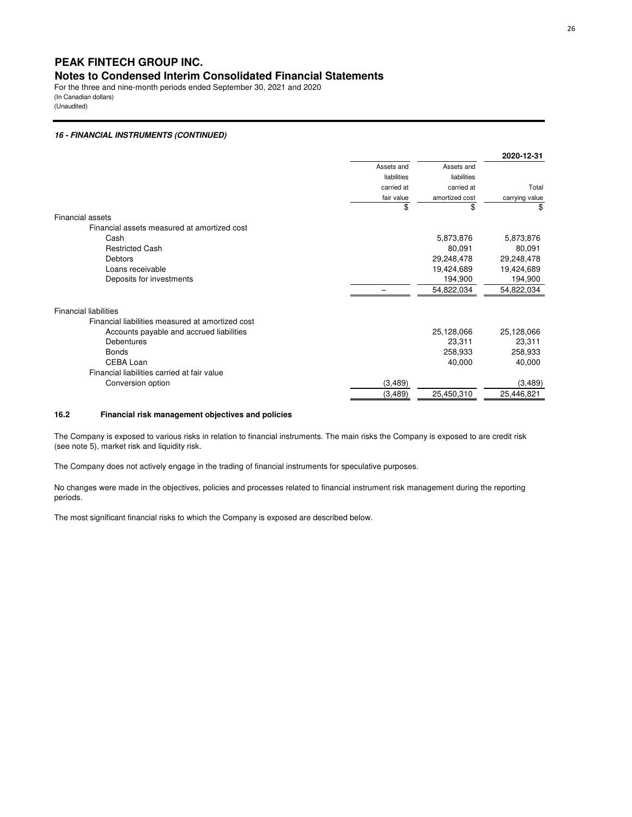For the three and nine-month periods ended September 30, 2021 and 2020 (In Canadian dollars) (Unaudited)

## **16 - FINANCIAL INSTRUMENTS (CONTINUED)**

|                                                  |             |                | 2020-12-31     |
|--------------------------------------------------|-------------|----------------|----------------|
|                                                  | Assets and  | Assets and     |                |
|                                                  | liabilities | liabilities    |                |
|                                                  | carried at  | carried at     | Total          |
|                                                  | fair value  | amortized cost | carrying value |
|                                                  | \$          | \$             | \$             |
| Financial assets                                 |             |                |                |
| Financial assets measured at amortized cost      |             |                |                |
| Cash                                             |             | 5,873,876      | 5,873,876      |
| <b>Restricted Cash</b>                           |             | 80,091         | 80,091         |
| Debtors                                          |             | 29,248,478     | 29,248,478     |
| Loans receivable                                 |             | 19,424,689     | 19,424,689     |
| Deposits for investments                         |             | 194,900        | 194,900        |
|                                                  |             | 54,822,034     | 54,822,034     |
| <b>Financial liabilities</b>                     |             |                |                |
| Financial liabilities measured at amortized cost |             |                |                |
| Accounts payable and accrued liabilities         |             | 25,128,066     | 25,128,066     |
| Debentures                                       |             | 23,311         | 23,311         |
| <b>Bonds</b>                                     |             | 258,933        | 258,933        |
| CEBA Loan                                        |             | 40,000         | 40,000         |
| Financial liabilities carried at fair value      |             |                |                |
| Conversion option                                | (3, 489)    |                | (3,489)        |
|                                                  | (3, 489)    | 25,450,310     | 25,446,821     |

## **16.2 Financial risk management objectives and policies**

The Company is exposed to various risks in relation to financial instruments. The main risks the Company is exposed to are credit risk (see note 5), market risk and liquidity risk.

The Company does not actively engage in the trading of financial instruments for speculative purposes.

No changes were made in the objectives, policies and processes related to financial instrument risk management during the reporting periods.

The most significant financial risks to which the Company is exposed are described below.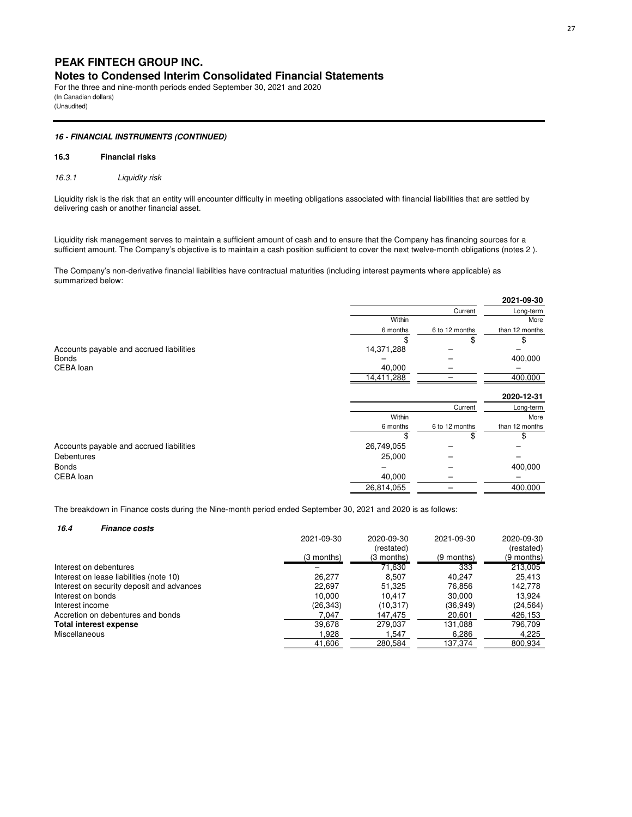For the three and nine-month periods ended September 30, 2021 and 2020 (In Canadian dollars) (Unaudited)

#### **16 - FINANCIAL INSTRUMENTS (CONTINUED)**

#### **16.3 Financial risks**

*16.3.1 Liquidity risk*

Liquidity risk is the risk that an entity will encounter difficulty in meeting obligations associated with financial liabilities that are settled by delivering cash or another financial asset.

Liquidity risk management serves to maintain a sufficient amount of cash and to ensure that the Company has financing sources for a sufficient amount. The Company's objective is to maintain a cash position sufficient to cover the next twelve-month obligations (notes 2 ).

The Company's non-derivative financial liabilities have contractual maturities (including interest payments where applicable) as summarized below:

|                                          |            |                | 2021-09-30     |
|------------------------------------------|------------|----------------|----------------|
|                                          |            | Current        | Long-term      |
|                                          | Within     |                | More           |
|                                          | 6 months   | 6 to 12 months | than 12 months |
|                                          |            | \$             | \$             |
| Accounts payable and accrued liabilities | 14,371,288 |                |                |
| Bonds                                    |            |                | 400,000        |
| CEBA loan                                | 40,000     |                |                |
|                                          | 14,411,288 |                | 400,000        |
|                                          |            |                | 2020-12-31     |
|                                          |            | Current        | Long-term      |
|                                          | Within     |                | More           |
|                                          | 6 months   | 6 to 12 months | than 12 months |
|                                          |            | \$             | \$             |
| Accounts payable and accrued liabilities | 26,749,055 |                |                |
| Debentures                               | 25,000     |                |                |
| Bonds                                    |            |                | 400,000        |
| CEBA loan                                | 40,000     |                |                |
|                                          | 26,814,055 |                | 400,000        |

The breakdown in Finance costs during the Nine-month period ended September 30, 2021 and 2020 is as follows:

| 16.4<br><b>Finance costs</b>              |            |            |            |              |
|-------------------------------------------|------------|------------|------------|--------------|
|                                           | 2021-09-30 | 2020-09-30 | 2021-09-30 | 2020-09-30   |
|                                           |            | (restated) |            | (restated)   |
|                                           | (3 months) | (3 months) | (9 months) | $(9$ months) |
| Interest on debentures                    |            | 71,630     | 333        | 213,005      |
| Interest on lease liabilities (note 10)   | 26.277     | 8.507      | 40.247     | 25,413       |
| Interest on security deposit and advances | 22,697     | 51,325     | 76.856     | 142,778      |
| Interest on bonds                         | 10.000     | 10.417     | 30.000     | 13.924       |
| Interest income                           | (26, 343)  | (10,317)   | (36,949)   | (24, 564)    |
| Accretion on debentures and bonds         | 7.047      | 147,475    | 20.601     | 426,153      |
| Total interest expense                    | 39.678     | 279.037    | 131.088    | 796.709      |
| Miscellaneous                             | 1,928      | 1.547      | 6,286      | 4,225        |
|                                           | 41,606     | 280,584    | 137,374    | 800,934      |
|                                           |            |            |            |              |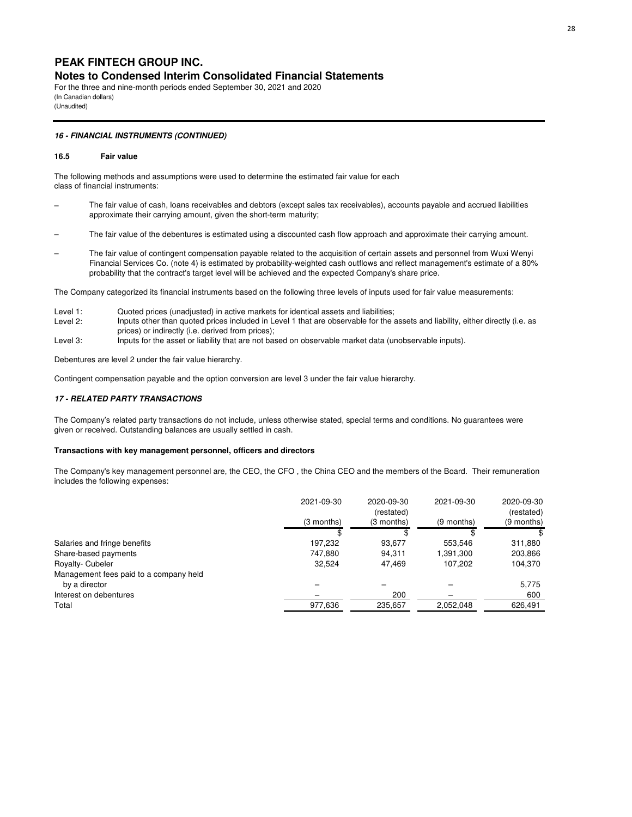For the three and nine-month periods ended September 30, 2021 and 2020 (In Canadian dollars) (Unaudited)

#### **16 - FINANCIAL INSTRUMENTS (CONTINUED)**

#### **16.5 Fair value**

The following methods and assumptions were used to determine the estimated fair value for each class of financial instruments:

- The fair value of cash, loans receivables and debtors (except sales tax receivables), accounts payable and accrued liabilities approximate their carrying amount, given the short-term maturity;
- The fair value of the debentures is estimated using a discounted cash flow approach and approximate their carrying amount.
- The fair value of contingent compensation payable related to the acquisition of certain assets and personnel from Wuxi Wenyi Financial Services Co. (note 4) is estimated by probability-weighted cash outflows and reflect management's estimate of a 80% probability that the contract's target level will be achieved and the expected Company's share price.

The Company categorized its financial instruments based on the following three levels of inputs used for fair value measurements:

- Level 1: Quoted prices (unadjusted) in active markets for identical assets and liabilities;
- Level 2: Inputs other than quoted prices included in Level 1 that are observable for the assets and liability, either directly (i.e. as prices) or indirectly (i.e. derived from prices);
- Level 3: Inputs for the asset or liability that are not based on observable market data (unobservable inputs).

Debentures are level 2 under the fair value hierarchy.

Contingent compensation payable and the option conversion are level 3 under the fair value hierarchy.

## **17 - RELATED PARTY TRANSACTIONS**

The Company's related party transactions do not include, unless otherwise stated, special terms and conditions. No guarantees were given or received. Outstanding balances are usually settled in cash.

#### **Transactions with key management personnel, officers and directors**

The Company's key management personnel are, the CEO, the CFO , the China CEO and the members of the Board. Their remuneration includes the following expenses:

|                                        | 2021-09-30 | 2020-09-30<br>(restated) | 2021-09-30 | 2020-09-30<br>(restated) |
|----------------------------------------|------------|--------------------------|------------|--------------------------|
|                                        | (3 months) | (3 months)               | (9 months) | (9 months)               |
|                                        |            |                          |            |                          |
| Salaries and fringe benefits           | 197.232    | 93.677                   | 553.546    | 311.880                  |
| Share-based payments                   | 747.880    | 94.311                   | 1,391,300  | 203,866                  |
| Royalty- Cubeler                       | 32.524     | 47.469                   | 107.202    | 104,370                  |
| Management fees paid to a company held |            |                          |            |                          |
| by a director                          |            |                          |            | 5,775                    |
| Interest on debentures                 |            | 200                      |            | 600                      |
| Total                                  | 977,636    | 235,657                  | 2,052,048  | 626,491                  |
|                                        |            |                          |            |                          |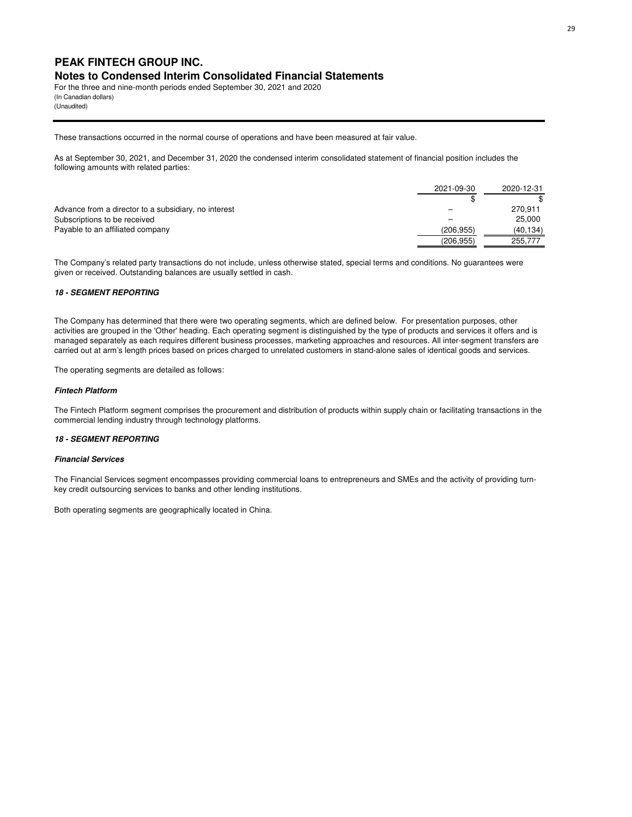For the three and nine-month periods ended September 30, 2021 and 2020 (In Canadian dollars) (Unaudited)

These transactions occurred in the normal course of operations and have been measured at fair value.

As at September 30, 2021, and December 31, 2020 the condensed interim consolidated statement of financial position includes the following amounts with related parties:

|                                                      | 2021-09-30 | 2020-12-31 |
|------------------------------------------------------|------------|------------|
|                                                      |            |            |
| Advance from a director to a subsidiary, no interest |            | 270.911    |
| Subscriptions to be received                         |            | 25,000     |
| Payable to an affiliated company                     | (206.955)  | (40, 134)  |
|                                                      | (206, 955) | 255,777    |

The Company's related party transactions do not include, unless otherwise stated, special terms and conditions. No guarantees were given or received. Outstanding balances are usually settled in cash.

#### **18 - SEGMENT REPORTING**

The Company has determined that there were two operating segments, which are defined below. For presentation purposes, other activities are grouped in the 'Other' heading. Each operating segment is distinguished by the type of products and services it offers and is managed separately as each requires different business processes, marketing approaches and resources. All inter-segment transfers are carried out at arm's length prices based on prices charged to unrelated customers in stand-alone sales of identical goods and services.

The operating segments are detailed as follows:

#### **Fintech Platform**

The Fintech Platform segment comprises the procurement and distribution of products within supply chain or facilitating transactions in the commercial lending industry through technology platforms.

#### **18 - SEGMENT REPORTING**

#### **Financial Services**

The Financial Services segment encompasses providing commercial loans to entrepreneurs and SMEs and the activity of providing turnkey credit outsourcing services to banks and other lending institutions.

Both operating segments are geographically located in China.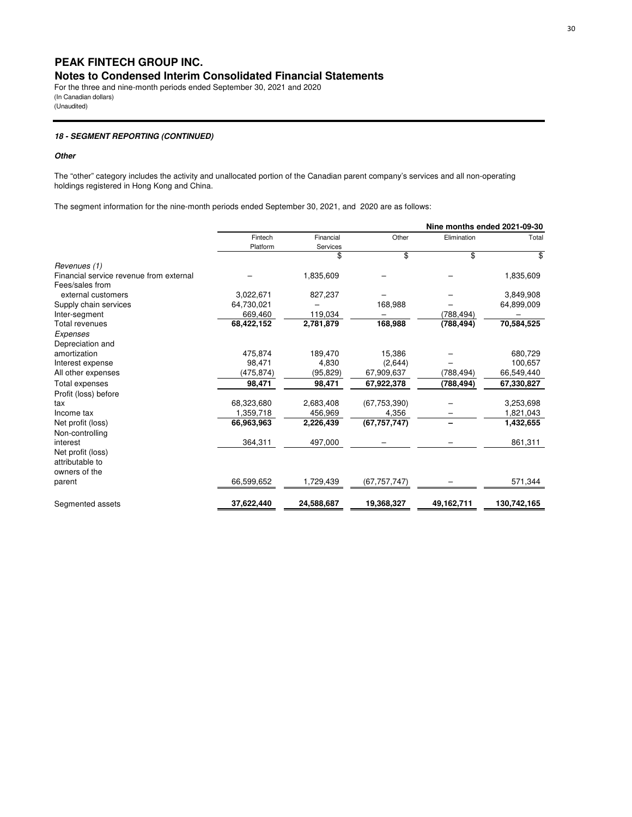For the three and nine-month periods ended September 30, 2021 and 2020 (In Canadian dollars) (Unaudited)

## **18 - SEGMENT REPORTING (CONTINUED)**

#### **Other**

The "other" category includes the activity and unallocated portion of the Canadian parent company's services and all non-operating holdings registered in Hong Kong and China.

The segment information for the nine-month periods ended September 30, 2021, and 2020 are as follows:

|                                         |            |            |                |             | Nine months ended 2021-09-30 |
|-----------------------------------------|------------|------------|----------------|-------------|------------------------------|
|                                         | Fintech    | Financial  | Other          | Elimination | Total                        |
|                                         | Platform   | Services   |                |             |                              |
|                                         |            | \$         | \$             | \$          | \$                           |
| Revenues (1)                            |            |            |                |             |                              |
| Financial service revenue from external |            | 1,835,609  |                |             | 1,835,609                    |
| Fees/sales from                         |            |            |                |             |                              |
| external customers                      | 3,022,671  | 827,237    |                |             | 3,849,908                    |
| Supply chain services                   | 64,730,021 |            | 168,988        |             | 64,899,009                   |
| Inter-segment                           | 669,460    | 119,034    |                | (788, 494)  |                              |
| Total revenues                          | 68,422,152 | 2,781,879  | 168,988        | (788, 494)  | 70,584,525                   |
| Expenses                                |            |            |                |             |                              |
| Depreciation and                        |            |            |                |             |                              |
| amortization                            | 475,874    | 189,470    | 15,386         |             | 680,729                      |
| Interest expense                        | 98,471     | 4,830      | (2,644)        |             | 100,657                      |
| All other expenses                      | (475, 874) | (95, 829)  | 67,909,637     | (788, 494)  | 66,549,440                   |
| Total expenses                          | 98,471     | 98,471     | 67,922,378     | (788, 494)  | 67,330,827                   |
| Profit (loss) before                    |            |            |                |             |                              |
| tax                                     | 68,323,680 | 2,683,408  | (67, 753, 390) |             | 3,253,698                    |
| Income tax                              | 1,359,718  | 456,969    | 4,356          |             | 1,821,043                    |
| Net profit (loss)                       | 66,963,963 | 2,226,439  | (67, 757, 747) |             | 1,432,655                    |
| Non-controlling                         |            |            |                |             |                              |
| interest                                | 364,311    | 497,000    |                |             | 861,311                      |
| Net profit (loss)                       |            |            |                |             |                              |
| attributable to                         |            |            |                |             |                              |
| owners of the                           |            |            |                |             |                              |
| parent                                  | 66,599,652 | 1,729,439  | (67, 757, 747) |             | 571,344                      |
| Segmented assets                        | 37,622,440 | 24,588,687 | 19,368,327     | 49,162,711  | 130,742,165                  |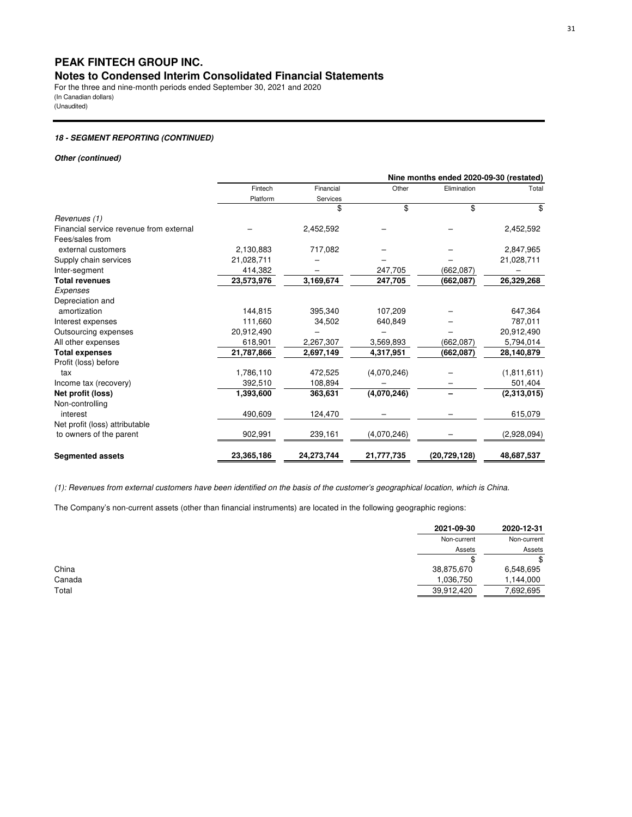For the three and nine-month periods ended September 30, 2021 and 2020 (In Canadian dollars) (Unaudited)

## **18 - SEGMENT REPORTING (CONTINUED)**

#### **Other (continued)**

|                                         |            |            |             | Nine months ended 2020-09-30 (restated) |               |
|-----------------------------------------|------------|------------|-------------|-----------------------------------------|---------------|
|                                         | Fintech    | Financial  | Other       | Elimination                             | Total         |
|                                         | Platform   | Services   |             |                                         |               |
|                                         |            | \$         | \$          | \$                                      | \$            |
| Revenues (1)                            |            |            |             |                                         |               |
| Financial service revenue from external |            | 2,452,592  |             |                                         | 2,452,592     |
| Fees/sales from                         |            |            |             |                                         |               |
| external customers                      | 2,130,883  | 717,082    |             |                                         | 2,847,965     |
| Supply chain services                   | 21,028,711 |            |             |                                         | 21,028,711    |
| Inter-segment                           | 414,382    |            | 247,705     | (662,087)                               |               |
| <b>Total revenues</b>                   | 23,573,976 | 3,169,674  | 247,705     | (662,087)                               | 26,329,268    |
| Expenses                                |            |            |             |                                         |               |
| Depreciation and                        |            |            |             |                                         |               |
| amortization                            | 144,815    | 395,340    | 107,209     |                                         | 647,364       |
| Interest expenses                       | 111,660    | 34,502     | 640,849     |                                         | 787,011       |
| Outsourcing expenses                    | 20,912,490 |            |             |                                         | 20,912,490    |
| All other expenses                      | 618,901    | 2,267,307  | 3,569,893   | (662,087)                               | 5,794,014     |
| <b>Total expenses</b>                   | 21,787,866 | 2,697,149  | 4,317,951   | (662, 087)                              | 28,140,879    |
| Profit (loss) before                    |            |            |             |                                         |               |
| tax                                     | 1,786,110  | 472,525    | (4,070,246) |                                         | (1, 811, 611) |
| Income tax (recovery)                   | 392,510    | 108,894    |             |                                         | 501,404       |
| Net profit (loss)                       | 1,393,600  | 363,631    | (4,070,246) |                                         | (2,313,015)   |
| Non-controlling                         |            |            |             |                                         |               |
| interest                                | 490,609    | 124,470    |             |                                         | 615,079       |
| Net profit (loss) attributable          |            |            |             |                                         |               |
| to owners of the parent                 | 902,991    | 239,161    | (4,070,246) |                                         | (2,928,094)   |
| <b>Segmented assets</b>                 | 23,365,186 | 24,273,744 | 21,777,735  | (20, 729, 128)                          | 48,687,537    |

*(1): Revenues from external customers have been identified on the basis of the customer's geographical location, which is China.*

The Company's non-current assets (other than financial instruments) are located in the following geographic regions:

| 2021-09-30<br>2020-12-31              |
|---------------------------------------|
| Non-current<br>Non-current            |
| Assets<br>Assets                      |
| \$                                    |
| 6,548,695                             |
| 1,144,000                             |
| 7,692,695                             |
| 38,875,670<br>1,036,750<br>39,912,420 |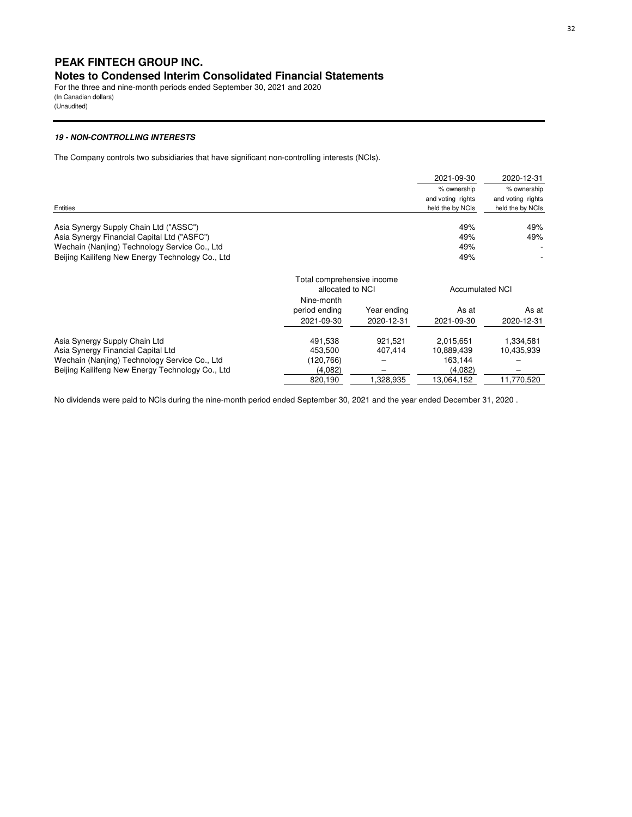## **PEAK FINTECH GROUP INC.**

## **Notes to Condensed Interim Consolidated Financial Statements**

For the three and nine-month periods ended September 30, 2021 and 2020 (In Canadian dollars) (Unaudited)

#### **19 - NON-CONTROLLING INTERESTS**

The Company controls two subsidiaries that have significant non-controlling interests (NCIs).

|                                                  |                                                |             | 2021-09-30             | 2020-12-31        |
|--------------------------------------------------|------------------------------------------------|-------------|------------------------|-------------------|
|                                                  |                                                |             | % ownership            | % ownership       |
|                                                  |                                                |             | and voting rights      | and voting rights |
| Entities                                         |                                                |             | held the by NCIs       | held the by NCIs  |
| Asia Synergy Supply Chain Ltd ("ASSC")           |                                                |             | 49%                    | 49%               |
| Asia Synergy Financial Capital Ltd ("ASFC")      |                                                |             | 49%                    | 49%               |
| Wechain (Nanjing) Technology Service Co., Ltd    |                                                |             | 49%                    |                   |
| Beijing Kailifeng New Energy Technology Co., Ltd |                                                |             | 49%                    |                   |
|                                                  | Total comprehensive income<br>allocated to NCI |             | <b>Accumulated NCI</b> |                   |
|                                                  | Nine-month                                     |             |                        |                   |
|                                                  | period ending                                  | Year ending | As at                  | As at             |
|                                                  | 2021-09-30                                     | 2020-12-31  | 2021-09-30             | 2020-12-31        |
| Asia Synergy Supply Chain Ltd                    | 491,538                                        | 921.521     | 2,015,651              | 1,334,581         |
| Asia Synergy Financial Capital Ltd               | 453.500                                        | 407.414     | 10,889,439             | 10,435,939        |
| Wechain (Nanjing) Technology Service Co., Ltd    | (120,766)                                      |             | 163,144                |                   |
| Beijing Kailifeng New Energy Technology Co., Ltd | (4,082)                                        |             | (4,082)                |                   |
|                                                  | 820,190                                        | 1,328,935   | 13,064,152             | 11,770,520        |

No dividends were paid to NCIs during the nine-month period ended September 30, 2021 and the year ended December 31, 2020 .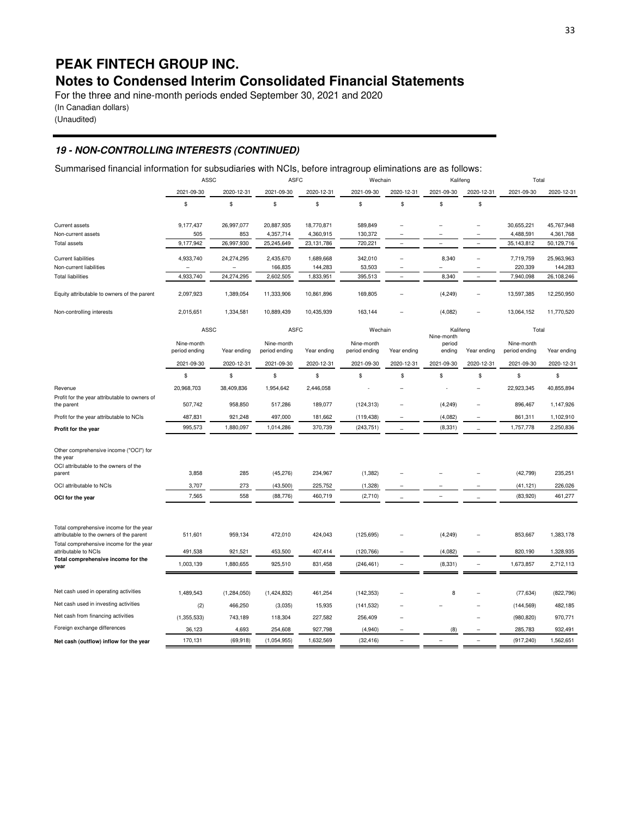# **PEAK FINTECH GROUP INC.**

# **Notes to Condensed Interim Consolidated Financial Statements**

For the three and nine-month periods ended September 30, 2021 and 2020 (In Canadian dollars)

(Unaudited)

## **19 - NON-CONTROLLING INTERESTS (CONTINUED)**

Summarised financial information for subsudiaries with NCIs, before intragroup eliminations are as follows:

|                                                                                                       | ASSC                        |             | <b>ASFC</b>                 |             | Wechain                     |             | Kalifeng                       |                          | Total                       |             |
|-------------------------------------------------------------------------------------------------------|-----------------------------|-------------|-----------------------------|-------------|-----------------------------|-------------|--------------------------------|--------------------------|-----------------------------|-------------|
|                                                                                                       | 2021-09-30                  | 2020-12-31  | 2021-09-30                  | 2020-12-31  | 2021-09-30                  | 2020-12-31  | 2021-09-30                     | 2020-12-31               | 2021-09-30                  | 2020-12-31  |
|                                                                                                       | \$                          | \$          | \$                          | \$          | \$                          | \$          | \$                             | \$                       |                             |             |
| <b>Current assets</b>                                                                                 | 9,177,437                   | 26,997,077  | 20,887,935                  | 18,770,871  | 589,849                     |             |                                |                          | 30,655,221                  | 45,767,948  |
| Non-current assets                                                                                    | 505                         | 853         | 4,357,714                   | 4,360,915   | 130,372                     |             |                                |                          | 4,488,591                   | 4,361,768   |
| <b>Total assets</b>                                                                                   | 9,177,942                   | 26,997,930  | 25,245,649                  | 23,131,786  | 720,221                     | ÷           |                                | $\overline{\phantom{a}}$ | 35,143,812                  | 50,129,716  |
| <b>Current liabilities</b>                                                                            | 4,933,740                   | 24,274,295  | 2,435,670                   | 1,689,668   | 342,010                     |             | 8,340                          |                          | 7,719,759                   | 25,963,963  |
| Non-current liabilities                                                                               | $\overline{a}$              |             | 166,835                     | 144,283     | 53,503                      |             |                                |                          | 220,339                     | 144,283     |
| <b>Total liabilities</b>                                                                              | 4,933,740                   | 24,274,295  | 2,602,505                   | 1,833,951   | 395,513                     |             | 8,340                          | $\overline{a}$           | 7,940,098                   | 26,108,246  |
| Equity attributable to owners of the parent                                                           | 2,097,923                   | 1,389,054   | 11,333,906                  | 10,861,896  | 169,805                     |             | (4, 249)                       |                          | 13,597,385                  | 12,250,950  |
| Non-controlling interests                                                                             | 2,015,651                   | 1,334,581   | 10,889,439                  | 10,435,939  | 163,144                     |             | (4,082)                        |                          | 13,064,152                  | 11,770,520  |
|                                                                                                       | ASSC                        |             | <b>ASFC</b>                 |             | Wechain                     |             | Kalifeng                       |                          | Total                       |             |
|                                                                                                       | Nine-month<br>period ending | Year ending | Nine-month<br>period ending | Year ending | Nine-month<br>period ending | Year ending | Nine-month<br>period<br>ending | Year ending              | Nine-month<br>period ending | Year ending |
|                                                                                                       | 2021-09-30                  | 2020-12-31  | 2021-09-30                  | 2020-12-31  | 2021-09-30                  | 2020-12-31  | 2021-09-30                     | 2020-12-31               | 2021-09-30                  | 2020-12-31  |
|                                                                                                       | \$                          | \$          | \$                          | \$          | \$                          | \$          | \$                             | \$                       | \$                          | \$          |
| Revenue                                                                                               | 20,968,703                  | 38,409,836  | 1,954,642                   | 2,446,058   |                             |             |                                |                          | 22,923,345                  | 40,855,894  |
| Profit for the year attributable to owners of<br>the parent                                           | 507,742                     | 958,850     | 517,286                     | 189,077     | (124, 313)                  |             | (4,249)                        |                          | 896,467                     | 1,147,926   |
| Profit for the year attributable to NCIs                                                              | 487,831                     | 921,248     | 497,000                     | 181,662     | (119, 438)                  |             | (4,082)                        |                          | 861,311                     | 1,102,910   |
| Profit for the year                                                                                   | 995,573                     | 1,880,097   | 1,014,286                   | 370,739     | (243, 751)                  |             | (8, 331)                       |                          | 1,757,778                   | 2,250,836   |
| Other comprehensive income ("OCI") for<br>the year<br>OCI attributable to the owners of the<br>parent | 3,858                       | 285         | (45, 276)                   | 234,967     | (1, 382)                    |             |                                |                          | (42, 799)                   | 235,251     |
| OCI attributable to NCIs                                                                              | 3,707                       | 273         | (43,500)                    | 225,752     | (1,328)                     |             |                                |                          | (41, 121)                   | 226,026     |
| OCI for the year                                                                                      | 7,565                       | 558         | (88, 776)                   | 460,719     | (2,710)                     |             | ۰                              |                          | (83,920)                    | 461,277     |
|                                                                                                       |                             |             |                             |             |                             |             |                                |                          |                             |             |
| Total comprehensive income for the year<br>attributable to the owners of the parent                   | 511,601                     | 959,134     | 472,010                     | 424,043     | (125, 695)                  |             | (4,249)                        |                          | 853,667                     | 1,383,178   |
| Total comprehensive income for the year<br>attributable to NCIs                                       | 491,538                     | 921,521     | 453,500                     | 407,414     | (120, 766)                  |             | (4,082)                        |                          | 820,190                     | 1,328,935   |
| Total comprehensive income for the                                                                    | 1,003,139                   | 1,880,655   | 925,510                     | 831,458     | (246, 461)                  | L,          | (8, 331)                       |                          | 1,673,857                   | 2,712,113   |
| year                                                                                                  |                             |             |                             |             |                             |             |                                |                          |                             |             |
| Net cash used in operating activities                                                                 | 1,489,543                   | (1,284,050) | (1,424,832)                 | 461,254     | (142, 353)                  |             | 8                              |                          | (77, 634)                   | (822, 796)  |
| Net cash used in investing activities                                                                 | (2)                         | 466,250     | (3,035)                     | 15,935      | (141, 532)                  |             |                                |                          | (144, 569)                  | 482,185     |
| Net cash from financing activities                                                                    | (1,355,533)                 | 743,189     | 118,304                     | 227,582     | 256,409                     |             |                                |                          | (980, 820)                  | 970,771     |
| Foreign exchange differences                                                                          | 36,123                      | 4,693       | 254,608                     | 927,798     | (4,940)                     |             | (8)                            |                          | 285,783                     | 932,491     |
| Net cash (outflow) inflow for the year                                                                | 170,131                     | (69, 918)   | (1,054,955)                 | 1,632,569   | (32, 416)                   |             |                                |                          | (917, 240)                  | 1,562,651   |